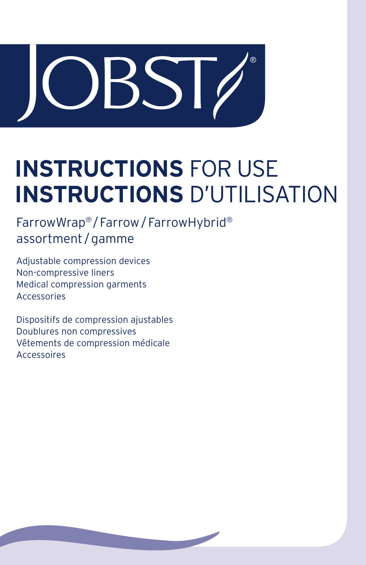

# **INSTRUCTIONS** FOR USE **INSTRUCTIONS** D'UTILISATION

FarrowWrap®/Farrow/FarrowHybrid® assortment /gamme

Adjustable compression devices Non-compressive liners Medical compression garments Accessories

Dispositifs de compression ajustables Doublures non compressives Vêtements de compression médicale Accessoires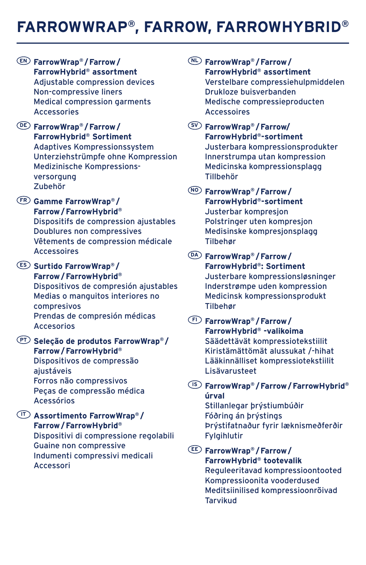## **FARROWWRAP®, FARROW, FARROWHYBRID®**

- **EN FarrowWrap® /Farrow/ FarrowHybrid® assortment** Adjustable compression devices Non-compressive liners Medical compression garments Accessories
- **DE FarrowWrap® /Farrow/ FarrowHybrid® Sortiment** Adaptives Kompressionssystem Unterziehstrümpfe ohne Kompression Medizinische Kompressionsversorgung Zubehör
- **FR Gamme FarrowWrap® / Farrow/FarrowHybrid®**

Dispositifs de compression ajustables Doublures non compressives Vêtements de compression médicale **Accessoires** 

- **ES Surtido FarrowWrap® / Farrow/FarrowHybrid®** Dispositivos de compresión ajustables Medias o manguitos interiores no compresivos Prendas de compresión médicas Accesorios
- **PT Seleção de produtos FarrowWrap® / Farrow/FarrowHybrid®** Dispositivos de compressão ajustáveis Forros não compressivos Peças de compressão médica Acessórios
- **IT Assortimento FarrowWrap® / Farrow/FarrowHybrid®** Dispositivi di compressione regolabili Guaine non compressive Indumenti compressivi medicali Accessori

**NL FarrowWrap® /Farrow/ FarrowHybrid® assortiment** Verstelbare compressiehulpmiddelen Drukloze buisverbanden Medische compressieproducten Accessoires

- **SV FarrowWrap® /Farrow/ FarrowHybrid®-sortiment** Justerbara kompressionsprodukter Innerstrumpa utan kompression Medicinska kompressionsplagg Tillbehör
- **NO FarrowWrap® /Farrow/ FarrowHybrid®-sortiment** Justerbar kompresjon Polstringer uten kompresjon Medisinske kompresjonsplagg Tilbehør
- **DA FarrowWrap® /Farrow/ FarrowHybrid®: Sortiment** Justerbare kompressionsløsninger Inderstrømpe uden kompression Medicinsk kompressionsprodukt Tilbehør
- **FI FarrowWrap® /Farrow/ FarrowHybrid® -valikoima** Säädettävät kompressiotekstiilit Kiristämättömät alussukat /-hihat Lääkinnälliset kompressiotekstiilit Lisävarusteet
- **IS FarrowWrap® /Farrow/FarrowHybrid® úrval** Stillanlegar þrýstiumbúðir

Fóðring án þrýstings Þrýstifatnaður fyrir læknismeðferðir Fylgihlutir

**EE FarrowWrap® /Farrow/ FarrowHybrid® tootevalik** Reguleeritavad kompressioontooted Kompressioonita vooderdused Meditsiinilised kompressioonrõivad Tarvikud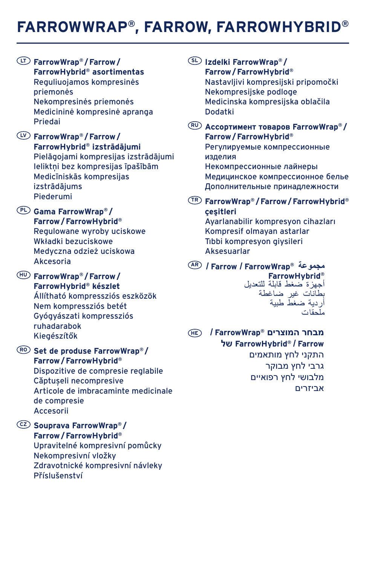## **FARROWWRAP®, FARROW, FARROWHYBRID®**

**LT FarrowWrap® /Farrow/ FarrowHybrid® asortimentas** Reguliuojamos kompresinės priemonės Nekompresinės priemonės Medicininė kompresinė apranga Priedai

**LV FarrowWrap® /Farrow/ FarrowHybrid® izstrādājumi** Pielāgojami kompresijas izstrādājumi Ieliktņi bez kompresijas īpašībām Medicīniskās kompresijas izstrādājums Piederumi

- **PL Gama FarrowWrap® / Farrow/FarrowHybrid®** Regulowane wyroby uciskowe Wkładki bezuciskowe Medyczna odzież uciskowa Akcesoria
- **HU FarrowWrap® /Farrow/ FarrowHybrid® készlet** Állítható kompressziós eszközök Nem kompressziós betét Gyógyászati kompressziós ruhadarabok Kiegészítők
- **RO Set de produse FarrowWrap® / Farrow/FarrowHybrid®** Dispozitive de compresie reglabile Căptușeli necompresive Articole de imbracaminte medicinale de compresie Accesorii
- **CZ Souprava FarrowWrap® / Farrow/FarrowHybrid®** Upravitelné kompresivní pomůcky Nekompresivní vložky Zdravotnické kompresivní návleky Příslušenství
- **SL Izdelki FarrowWrap® / Farrow/FarrowHybrid®** Nastavljivi kompresijski pripomočki Nekompresijske podloge Medicinska kompresijska oblačila Dodatki
- **RU Ассортимент товаров FarrowWrap® / Farrow/FarrowHybrid®** Регулируемые компрессионные изделия Некомпрессионные лайнеры

Медицинское компрессионное белье Дополнительные принадлежности

**TR FarrowWrap® /Farrow/FarrowHybrid® çeşitleri**

Ayarlanabilir kompresyon cihazları Kompresif olmayan astarlar Tıbbi kompresyon giysileri Aksesuarlar

**AR / Farrow / FarrowWrap® مجموعة FarrowHybrid®** أجهزة ضغط قابلة للتعديل بطانات غير ضاغطة أردية ضغط طبية ملحقات

**מבחר המוצרים RFarrowWrap /  HE של FarrowHybrid® / Farrow** התקני לחץ מותאמים גרבי לחץ מבוקר מלבושי לחץ רפואיים אביזרים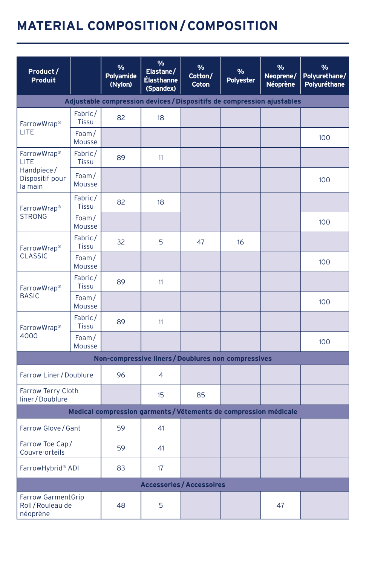## **MATERIAL COMPOSITION/COMPOSITION**

| Product /<br>Produit                                     |                         | %<br>Polyamide<br>(Nylon) | $\frac{9}{6}$<br>Elastane/<br>Élasthanne<br>(Spandex)                | $\frac{9}{6}$<br>Cotton/<br>Coton | %<br>Polyester | %<br>Neoprene/<br><b>Néoprène</b> | %<br>Polyurethane/<br>Polyuréthane |
|----------------------------------------------------------|-------------------------|---------------------------|----------------------------------------------------------------------|-----------------------------------|----------------|-----------------------------------|------------------------------------|
|                                                          |                         |                           | Adjustable compression devices/Dispositifs de compression ajustables |                                   |                |                                   |                                    |
| FarrowWrap <sup>®</sup>                                  | Fabric/<br><b>Tissu</b> | 82                        | 18                                                                   |                                   |                |                                   |                                    |
| LITE                                                     | Foam/<br>Mousse         |                           |                                                                      |                                   |                |                                   | 100                                |
| FarrowWrap <sup>®</sup><br>LITE                          | Fabric/<br><b>Tissu</b> | 89                        | 11                                                                   |                                   |                |                                   |                                    |
| Handpiece/<br>Dispositif pour<br>la main                 | Foam/<br>Mousse         |                           |                                                                      |                                   |                |                                   | 100                                |
| FarrowWrap <sup>®</sup>                                  | Fabric/<br><b>Tissu</b> | 82                        | 18                                                                   |                                   |                |                                   |                                    |
| <b>STRONG</b>                                            | Foam/<br>Mousse         |                           |                                                                      |                                   |                |                                   | 100                                |
| FarrowWrap <sup>®</sup>                                  | Fabric/<br><b>Tissu</b> | 32                        | 5                                                                    | 47                                | 16             |                                   |                                    |
| <b>CLASSIC</b>                                           | Foam/<br>Mousse         |                           |                                                                      |                                   |                |                                   | 100                                |
| FarrowWrap <sup>®</sup>                                  | Fabric/<br>Tissu        | 89                        | 11                                                                   |                                   |                |                                   |                                    |
| <b>BASIC</b>                                             | Foam/<br>Mousse         |                           |                                                                      |                                   |                |                                   | 100 <sub>o</sub>                   |
| FarrowWrap <sup>®</sup>                                  | Fabric/<br>Tissu        | 89                        | 11                                                                   |                                   |                |                                   |                                    |
| 4000                                                     | Foam/<br>Mousse         |                           |                                                                      |                                   |                |                                   | 100                                |
|                                                          |                         |                           | Non-compressive liners / Doublures non compressives                  |                                   |                |                                   |                                    |
| Farrow Liner / Doublure                                  |                         | 96                        | $\overline{4}$                                                       |                                   |                |                                   |                                    |
| Farrow Terry Cloth<br>liner/Doublure                     |                         |                           | 15                                                                   | 85                                |                |                                   |                                    |
|                                                          |                         |                           | Medical compression garments / Vêtements de compression médicale     |                                   |                |                                   |                                    |
| Farrow Glove / Gant                                      |                         | 59                        | 41                                                                   |                                   |                |                                   |                                    |
| Farrow Toe Cap/<br>Couvre-orteils                        |                         | 59                        | 41                                                                   |                                   |                |                                   |                                    |
| FarrowHybrid® ADI                                        |                         | 83                        | 17                                                                   |                                   |                |                                   |                                    |
|                                                          |                         |                           | <b>Accessories / Accessoires</b>                                     |                                   |                |                                   |                                    |
| <b>Farrow GarmentGrip</b><br>Roll/Rouleau de<br>néoprène |                         | 48                        | 5                                                                    |                                   |                | 47                                |                                    |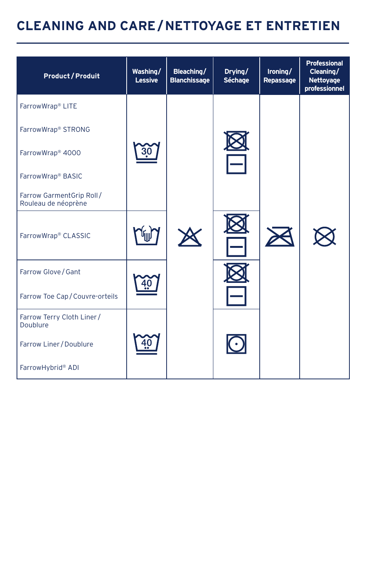| <b>Product / Produit</b>                        | Washing/<br>Lessive | Bleaching/<br><b>Blanchissage</b> | Drying/<br>Séchage | Ironing/<br>Repassage | <b>Professional</b><br>Cleaning/<br>Nettoyage<br>professionnel |
|-------------------------------------------------|---------------------|-----------------------------------|--------------------|-----------------------|----------------------------------------------------------------|
| FarrowWrap® LITE                                |                     |                                   |                    |                       |                                                                |
| FarrowWrap® STRONG                              |                     |                                   |                    |                       |                                                                |
| FarrowWrap <sup>®</sup> 4000                    |                     |                                   |                    |                       |                                                                |
| FarrowWrap® BASIC                               |                     |                                   |                    |                       |                                                                |
| Farrow GarmentGrip Roll/<br>Rouleau de néoprène |                     |                                   |                    |                       |                                                                |
| FarrowWrap® CLASSIC                             |                     |                                   |                    |                       |                                                                |
| Farrow Glove / Gant                             |                     |                                   |                    |                       |                                                                |
| Farrow Toe Cap/Couvre-orteils                   |                     |                                   |                    |                       |                                                                |
| Farrow Terry Cloth Liner /<br>Doublure          |                     |                                   |                    |                       |                                                                |
| Farrow Liner / Doublure                         |                     |                                   |                    |                       |                                                                |
| FarrowHybrid® ADI                               |                     |                                   |                    |                       |                                                                |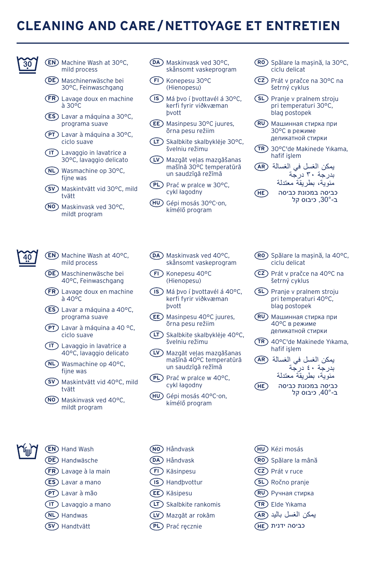

- **EN** Machine Wash at 30°C, mild process
- **DE** Maschinenwäsche bei 30°C, Feinwaschgang
- **FR** Lavage doux en machine à 30°C
- **ES** Lavar a máquina a 30°C, programa suave
- **PT** Lavar à máquina a 30°C, ciclo suave
- **IT** Lavaggio in lavatrice a 30°C, lavaggio delicato
- **NL** Wasmachine op 30°C, fijne was
- **SV** Maskintvätt vid 30°C, mild tvätt
- **NO** Maskinvask ved 30°C, mildt program
- **EN** Machine Wash at 40°C, mild process
	- **DE** Maschinenwäsche bei 40°C, Feinwaschgang
	- **FR** Lavage doux en machine à 40°C
	- **ES** Lavar a máquina a 40°C, programa suave
	- **PT** Lavar à máquina a 40 °C, ciclo suave
	- **IT** Lavaggio in lavatrice a 40°C, lavaggio delicato
	- **NL** Wasmachine op 40°C, fijne was
	- **SV** Maskintvätt vid 40°C, mild tvätt
	- **NO** Maskinvask ved 40°C, mildt program

#### **EN** Hand Wash

- **DE** Handwäsche
- **FR** Lavage à la main
- **ES** Lavar a mano
- **PT** Lavar à mão
- **IT** Lavaggio a mano
- **NL** Handwas
- **SV** Handtvätt
- **DA** Maskinvask ved 30°C, skånsomt vaskeprogram
- **FI** Konepesu 30°C (Hienopesu)
- **IS** Má þvo í þvottavél á 30°C, kerfi fyrir viðkvæman þvott
- **EE** Masinpesu 30°C juures, õrna pesu režiim
- **LT** Skalbkite skalbyklėje 30°C, švelniu režimu
- **LV** Mazgāt veļas mazgāšanas mašīnā 30°C temperatūrā un saudzīgā režīmā
- **PL** Prać w pralce w 30°C, cykl łagodny
- **HU** Gépi mosás 30°C-on, kímélő program
- **RO** Spălare la mașină, la 30°C, ciclu delicat
- **CZ** Prát v pračce na 30°C na šetrný cyklus
- **SL** Pranje v pralnem stroju pri temperaturi 30°C, blag postopek
- **RU** Машинная стирка при 30°C в режиме деликатной стирки
- **TR** 30°C'de Makinede Yıkama, hafif işlem
- يمكن الغسل في الغسالة **AR** بدرجة 30 درجة مئوية، بطريقة معتدلة
- כביסה במכונת כביסה **HE** ב,30°- כיבוס קל
- **DA** Maskinvask ved 40°C, skånsomt vaskeprogram
- **FI** Konepesu 40°C (Hienopesu)
- **IS** Má þvo í þvottavél á 40°C, kerfi fyrir viðkvæman þvott
- **EE** Masinpesu 40°C juures, õrna pesu režiim
- **LT** Skalbkite skalbyklėje 40°C, švelniu režimu
- **LV** Mazgāt veļas mazgāšanas mašīnā 40°C temperatūrā un saudzīgā režīmā
- **PL** Prać w pralce w 40°C, cykl łagodny
- **HU** Gépi mosás 40°C-on, kímélő program
- **NO** Håndvask
- **DA** Håndvask
- **FI** Käsinpesu
- **IS** Handþvottur
- **EE** Käsipesu
- **LT** Skalbkite rankomis
- **LV** Mazgāt ar rokām
- **PL** Prać ręcznie
- **RO** Spălare la mașină, la 40°C, ciclu delicat
- **CZ** Prát v pračce na 40°C na šetrný cyklus
- **SL** Pranje v pralnem stroju pri temperaturi 40°C, blag postopek
- **RU** Машинная стирка при 40°C в режиме деликатной стирки
- **TR** 40°C'de Makinede Yıkama, hafif işlem
- يمكن الغسل في الغسالة **AR** بدرجة 40 درجة مئوية، بطريقة معتدلة
- כביסה במכונת כביסה **HE** ב,40°- כיבוס קל
- **HU** Kézi mosás
- **RO** Spălare la mână
- **CZ** Prát v ruce
- **SL** Ročno pranje
- **RU** Ручная стирка
- **TR** Elde Yıkama
- يمكن الغسل باليد **AR**
- כביסה ידנית **HE**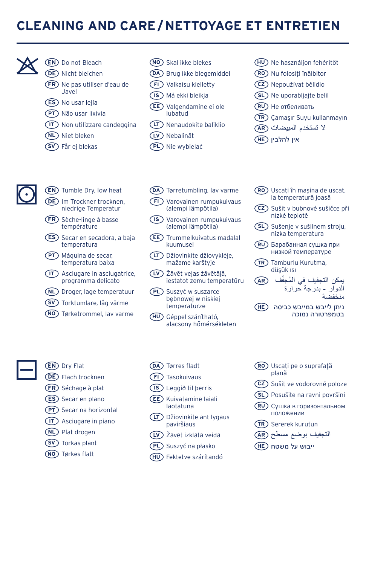

#### **EN** Do not Bleach **DE** Nicht bleichen

- **FR** Ne pas utiliser d'eau de Javel
- **ES** No usar lejía
- **PT** Não usar lixívia
- **IT** Non utilizzare candeggina
- **NL** Niet bleken
- **SV** Får ej blekas
- **NO** Skal ikke blekes
- **DA** Brug ikke blegemiddel
- **FI** Valkaisu kielletty
- **IS** Má ekki bleikja
- **EE** Valgendamine ei ole lubatud
- **LT** Nenaudokite baliklio
- **LV** Nebalināt
- **PL** Nie wybielać
- **HU** Ne használjon fehérítőt
- **RO** Nu folosiți înălbitor
- **CZ** Nepoužívat bělidlo
- **SL** Ne uporabljajte belil
- **RU** Не отбеливать
- **TR** Çamaşır Suyu kullanmayın
- ال تستخدم المبيضات **AR**
- אין להלבין **HE**



**EN** Tumble Dry, low heat

- DE) Im Trockner trocknen, niedrige Temperatur
- **FR** Sèche-linge à basse température
- **ES** Secar en secadora, a baja temperatura
- **PT** Máquina de secar, temperatura baixa
- **IT** Asciugare in asciugatrice, programma delicato
- **NL** Droger, lage temperatuur
- **SV** Torktumlare, låg värme
- **NO** Tørketrommel, lav varme
- **DA** Tørretumbling, lav varme **FI** Varovainen rumpukuivaus
- (alempi lämpötila) **IS** Varovainen rumpukuivaus
	- (alempi lämpötila)
- **EE** Trummelkuivatus madalal kuumusel
- **LT** Džiovinkite džiovyklėje, mažame karštyje
- **LV** Žāvēt veļas žāvētājā, iestatot zemu temperatūru
- **PL** Suszyć w suszarce bębnowej w niskiej temperaturze
- **HU** Géppel szárítható, alacsony hőmérsékleten

#### **EN** Dry Flat

- **DE** Flach trocknen
- **FR** Séchage à plat
- **ES** Secar en plano
- **PT** Secar na horizontal
- **IT** Asciugare in piano
- **NL** Plat drogen
- **SV** Torkas plant
- 
- **NO** Tørkes flatt
- **DA** Tørres fladt
- **FI** Tasokuivaus
- **IS** Leggið til þerris
- **EE** Kuivatamine laiali laotatuna
- **LT** Džiovinkite ant lygaus paviršiaus
- **LV** Žāvēt izklātā veidā
- **PL** Suszyć na płasko
- **HU** Fektetve szárítandó
- **RO** Uscați pe o suprafață plană
- **CZ** Sušit ve vodorovné poloze
- **SL** Posušite na ravni površini
- **RU** Сушка в горизонтальном положении
- **TR** Sererek kurutun
- التجفيف بوضع مسطح **AR**
- ייבוש על משטח **HE**
- **RO** Uscați în mașina de uscat, la temperatură joasă
- **CZ** Sušit v bubnové sušičce při nízké teplotě
- **SL** Sušenje v sušilnem stroju, nizka temperatura
- **RU** Барабанная сушка при низкой температуре
- **TR** Tamburlu Kurutma, düşük ısı
	- ِّف **AR** ُ يمكن التجفيف في المجف الدوار - بدرجة حرارة منخفضة
- ניתן לייבש במייבש כביסה **HE** בטמפרטורה נמוכה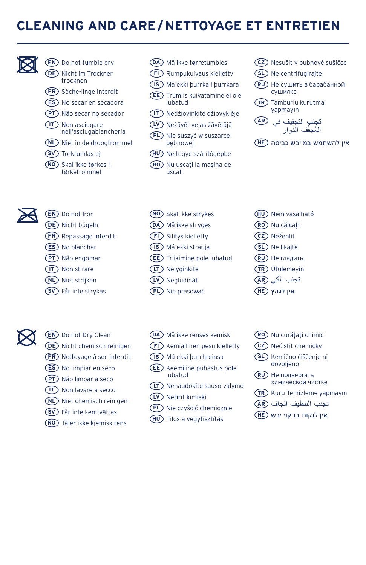

#### **EN** Do not tumble dry **DE** Nicht im Trockner trocknen

- **FR** Sèche-linge interdit
- **ES** No secar en secadora
- **PT** Não secar no secador
- **IT** Non asciugare nell'asciugabiancheria
- **NL** Niet in de droogtrommel
- **SV** Torktumlas ej
- **NO** Skal ikke tørkes i tørketrommel
- **DA** Må ikke tørretumbles
- **FI** Rumpukuivaus kielletty
- **IS** Má ekki þurrka í þurrkara
- **EE** Trumlis kuivatamine ei ole lubatud
- **LT** Nedžiovinkite džiovyklėje
- **LV** Nežāvēt veļas žāvētājā
- **PL** Nie suszyć w suszarce bębnowej
- **HU** Ne tegye szárítógépbe
- **RO** Nu uscați la mașina de uscat
- **CZ** Nesušit v bubnové sušičce
- **SL** Ne centrifugirajte
- **RU** Не сушить в барабанной сушилке
- **TR** Tamburlu kurutma yapmayın
- تجنب التجفيف في **AR** المُجفَّف الدوار
- אין להשתמש במייבש כביסה **HE**



- **EN** Do not Iron
- **DE** Nicht bügeln
- **FR** Repassage interdit
- **ES** No planchar
- **PT** Não engomar
- **IT** Non stirare
- **NL** Niet strijken
- **SV** Får inte strykas
- **NO** Skal ikke strykes
- **DA** Må ikke stryges
- **FI** Silitys kielletty
- **IS** Má ekki strauja
- **EE** Triikimine pole lubatud
- **LT** Nelyginkite
- **LV** Negludināt
- **PL** Nie prasować
- **DA** Må ikke renses kemisk
	- **FI** Kemiallinen pesu kielletty
	- **IS** Má ekki þurrhreinsa
	- **EE** Keemiline puhastus pole lubatud
	- **LT** Nenaudokite sauso valymo
	- **LV** Netīrīt ķīmiski
	- **PL** Nie czyścić chemicznie
	- **HU** Tilos a vegytisztítás
- **HU** Nem vasalható **RO** Nu călcați **CZ** Nežehlit **SL** Ne likajte **RU** Не гладить **TR** Ütülemeyin تجنب الكي **AR**
- אין לגהץ **HE**
- **RO** Nu curățați chimic
- **CZ** Nečistit chemicky
- **SL** Kemično čiščenje ni dovoljeno
- **RU** Не подвергать химической чистке
- **TR** Kuru Temizleme yapmayın
- تجنب التنظيف الجاف **AR**
- אין לנקות בניקוי יבש **HE**



#### **EN** Do not Dry Clean **DE** Nicht chemisch reinigen **FR** Nettoyage à sec interdit

**ES** No limpiar en seco **PT** Não limpar a seco **IT** Non lavare a secco **NL** Niet chemisch reinigen **SV** Får inte kemtvättas **NO** Tåler ikke kjemisk rens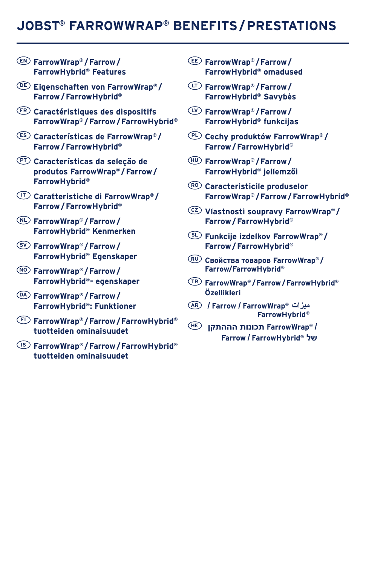## **JOBST® FARROWWRAP® BENEFITS/PRESTATIONS**

- **EN FarrowWrap® /Farrow/ FarrowHybrid® Features**
- **DE Eigenschaften von FarrowWrap® / Farrow/FarrowHybrid®**
- **FR Caractéristiques des dispositifs FarrowWrap® /Farrow/FarrowHybrid®**
- **ES Características de FarrowWrap® / Farrow/FarrowHybrid®**
- **PT Características da seleção de produtos FarrowWrap® /Farrow/ FarrowHybrid®**
- **IT Caratteristiche di FarrowWrap® / Farrow/FarrowHybrid®**
- **NL FarrowWrap® /Farrow/ FarrowHybrid® Kenmerken**
- **SV FarrowWrap® /Farrow/ FarrowHybrid® Egenskaper**
- **NO FarrowWrap® /Farrow/ FarrowHybrid®- egenskaper**
- **DA FarrowWrap® /Farrow/ FarrowHybrid®: Funktioner**
- **FI FarrowWrap® /Farrow/FarrowHybrid® tuotteiden ominaisuudet**
- **IS FarrowWrap® /Farrow/FarrowHybrid® tuotteiden ominaisuudet**
- **EE FarrowWrap® /Farrow/ FarrowHybrid® omadused**
- **LT FarrowWrap® /Farrow/ FarrowHybrid® Savybės**
- **LV FarrowWrap® /Farrow/ FarrowHybrid® funkcijas**
- **PL Cechy produktów FarrowWrap® / Farrow/FarrowHybrid®**
- **HU FarrowWrap® /Farrow/ FarrowHybrid® jellemzői**
- **RO Caracteristicile produselor FarrowWrap® /Farrow/FarrowHybrid®**
- **CZ Vlastnosti soupravy FarrowWrap® / Farrow/FarrowHybrid®**
- **SL Funkcije izdelkov FarrowWrap® / Farrow/FarrowHybrid®**
- **RU Свойства товаров FarrowWrap® / Farrow/FarrowHybrid®**
- **TR FarrowWrap® /Farrow/FarrowHybrid® Özellikleri**
- **AR / Farrow / FarrowWrap® ميزات FarrowHybrid®**
- **/ RFarrowWrap תכונות הההתקן HE Farrow / FarrowHybrid® של**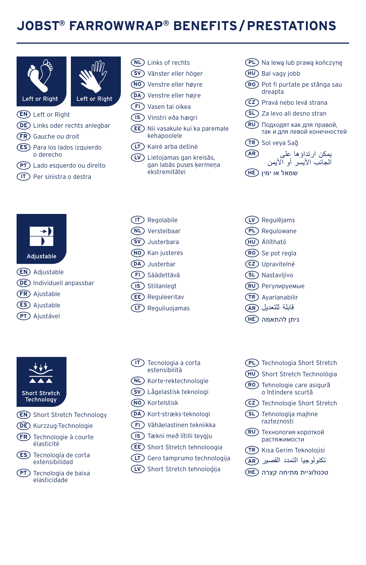## **JOBST® FARROWWRAP® BENEFITS/PRESTATIONS**





- **EN** Left or Right
- **DE** Links oder rechts anlegbar
- **FR** Gauche ou droit
- 
- **ES** Para los lados izquierdo o derecho
- **PT** Lado esquerdo ou direito
- **IT** Per sinistra o destra



- **SV** Vänster eller höger
- **NO** Venstre eller høyre
- **DA** Venstre eller højre
- **FI** Vasen tai oikea
- **IS** Vinstri eða hægri
- **EE** Nii vasakule kui ka paremale kehapoolele
- **LT** Kairė arba dešinė
- **LV** Lietojamas gan kreisās, gan labās puses ķermeņa ekstremitātei
- **IT** Regolabile **NL** Verstelbaar **SV** Justerbara **NO** Kan justeres **DA** Justerbar **FI** Säädettävä
- **IS** Stillanlegt
- **EE** Reguleeritav
- **LT** Reguliuojamas

**Short Stretch** Technology

**EN** Adjustable **DE** Individuell anpassbar **FR** Ajustable **ES** Ajustable **PT** Ajustável

Adiustable

- **EN** Short Stretch Technology
- **DE** Kurzzug-Technologie
- **FR** Technologie à courte élasticité
- **ES** Tecnología de corta extensibilidad
- **PT** Tecnologia de baixa elasticidade
- **IT** Tecnologia a corta estensibilità **NL** Korte-rektechnologie **SV** Lågelastisk teknologi **NO** Kortelstisk **DA** Kort-stræks-teknologi **FI** Vähäelastinen tekniikka **IS** Tækni með lítilli teygju
- **EE** Short Stretch tehnoloogia
- **LT** Gero tamprumo technologija
- **LV** Short Stretch tehnoloģija
- **PL** Na lewą lub prawą kończynę
- **HU** Bal vagy jobb
- **RO** Pot fi purtate pe stânga sau dreapta
- **CZ** Pravá nebo levá strana
- **SL** Za levo ali desno stran
- **RU** Подходят как для правой, так и для левой конечностей
- **TR** Sol veya Sağ



שמאל או ימין **HE**

|  | (LV) Regulējams |
|--|-----------------|
|--|-----------------|

- **PL** Regulowane
- **HU** Állítható
- **RO** Se pot regla
- **CZ** Upravitelné
- **SL** Nastavljivo
- **RU** Регулируемые
- **TR** Ayarlanabilir
- قابلة للتعديل **AR**
- ניתן להתאמה **HE**
- **PL** Technologia Short Stretch
- **HU** Short Stretch Technológia
- **RO** Tehnologie care asigură o întindere scurtă
- **CZ** Technologie Short Stretch
- **SL** Tehnologija majhne razteznosti
- **RU** Технология короткой растяжимости
- **TR** Kısa Gerim Teknolojisi
- تكنولوجيا التمدد القصير **AR**
- טכנולוגיית מתיחה קצרה **HE**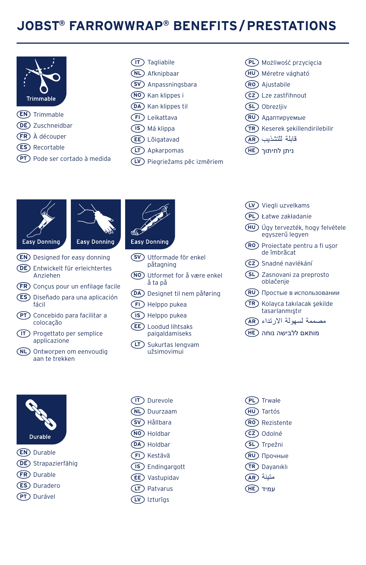## **JOBST® FARROWWRAP® BENEFITS/PRESTATIONS**



- **EN** Trimmable
- **DE** Zuschneidbar
- **FR** À découper
- **ES** Recortable
- **PT** Pode ser cortado à medida



- **NL** Afknipbaar
- **SV** Anpassningsbara
- **NO** Kan klippes i
- **DA** Kan klippes til
- **FI** Leikattava
- **IS** Má klippa
- **EE** Lõigatavad
- **LT** Apkarpomas
- **LV** Piegriežams pēc izmēriem
- **PL** Możliwość przycięcia
- **HU** Méretre vágható
- **RO** Ajustabile
- **CZ** Lze zastřihnout
- **SL** Obrezljiv
- **RU** Адаптируемые
- **TR** Keserek şekillendirilebilir
- قابلة للتشذيب **AR**
- ניתן לחיתוך **HE**





- **EN** Designed for easy donning
- **DE** Entwickelt für erleichtertes Anziehen
- **FR** Conçus pour un enfilage facile
- **ES** Diseñado para una aplicación fácil
- **PT** Concebido para facilitar a colocação
- **IT** Progettato per semplice applicazione
- **NL** Ontworpen om eenvoudig aan te trekken



- påtagning
- **NO** Utformet for å være enkel å ta på
- **DA** Designet til nem påføring
- **FI** Helppo pukea
- **IS** Helppo pukea **EE** Loodud lihtsaks paigaldamiseks
- **LT** Sukurtas lengvam užsimovimui
- **IT** Durevole **NL** Duurzaam **SV** Hållbara
- 
- **NO** Holdbar
- **DA** Holdbar
- **FI** Kestävä
- **IS** Endingargott
- **EE** Vastupidav
- **LT** Patvarus
- **LV** Izturīgs

**PL** Trwałe **HU** Tartós **RO** Rezistente **CZ** Odolné **SL** Trpežni **RU** Прочные **TR** Dayanıklı متينة **AR** עמיד **HE**

- **LV** Viegli uzvelkams
- **PL** Łatwe zakładanie
- **HU** Úgy tervezték, hogy felvétele egyszerű legyen
- **RO** Proiectate pentru a fi ușor de îmbrăcat
- **CZ** Snadné navlékání
- **SL** Zasnovani za preprosto oblačenje
- **RU** Простые в использовании
- **TR** Kolayca takılacak şekilde tasarlanmıştır
- مصممة لسهولة االرتداء **AR**
- מותאם ללבישה נוחה **HE**

- Durable **EN** Durable
- **DE** Strapazierfähig
- **FR** Durable
- **ES** Duradero
- **PT** Durável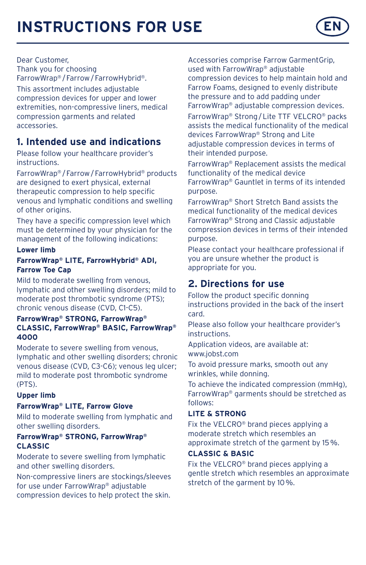# **INSTRUCTIONS FOR USE**



Dear Customer,

Thank you for choosing FarrowWrap® /Farrow/FarrowHybrid®.

This assortment includes adjustable compression devices for upper and lower extremities, non-compressive liners, medical compression garments and related accessories.

## **1. Intended use and indications**

Please follow your healthcare provider's instructions.

FarrowWrap® /Farrow/FarrowHybrid® products are designed to exert physical, external therapeutic compression to help specific venous and lymphatic conditions and swelling of other origins.

They have a specific compression level which must be determined by your physician for the management of the following indications:

#### **Lower limb**

#### **FarrowWrap® LITE, FarrowHybrid® ADI, Farrow Toe Cap**

Mild to moderate swelling from venous, lymphatic and other swelling disorders; mild to moderate post thrombotic syndrome (PTS); chronic venous disease (CVD, C1-C5).

#### **FarrowWrap® STRONG, FarrowWrap® CLASSIC, FarrowWrap® BASIC, FarrowWrap® 4000**

Moderate to severe swelling from venous, lymphatic and other swelling disorders; chronic venous disease (CVD, C3-C6); venous leg ulcer; mild to moderate post thrombotic syndrome (PTS).

#### **Upper limb**

#### **FarrowWrap® LITE, Farrow Glove**

Mild to moderate swelling from lymphatic and other swelling disorders.

#### **FarrowWrap® STRONG, FarrowWrap® CLASSIC**

Moderate to severe swelling from lymphatic and other swelling disorders.

Non-compressive liners are stockings/sleeves for use under FarrowWrap® adjustable compression devices to help protect the skin.

Accessories comprise Farrow GarmentGrip, used with FarrowWrap® adjustable compression devices to help maintain hold and Farrow Foams, designed to evenly distribute the pressure and to add padding under FarrowWrap® adjustable compression devices.

FarrowWrap® Strong/Lite TTF VELCRO® packs assists the medical functionality of the medical devices FarrowWrap® Strong and Lite adjustable compression devices in terms of their intended purpose.

FarrowWrap® Replacement assists the medical functionality of the medical device FarrowWrap® Gauntlet in terms of its intended purpose.

FarrowWrap® Short Stretch Band assists the medical functionality of the medical devices FarrowWrap® Strong and Classic adjustable compression devices in terms of their intended purpose.

Please contact your healthcare professional if you are unsure whether the product is appropriate for you.

## **2. Directions for use**

Follow the product specific donning instructions provided in the back of the insert card.

Please also follow your healthcare provider's **instructions** 

Application videos, are available at: www.jobst.com

To avoid pressure marks, smooth out any wrinkles, while donning.

To achieve the indicated compression (mmHg), FarrowWrap® garments should be stretched as follows:

#### **LITE & STRONG**

Fix the VELCRO® brand pieces applying a moderate stretch which resembles an approximate stretch of the garment by 15%.

#### **CLASSIC & BASIC**

Fix the VELCRO® brand pieces applying a gentle stretch which resembles an approximate stretch of the garment by 10%.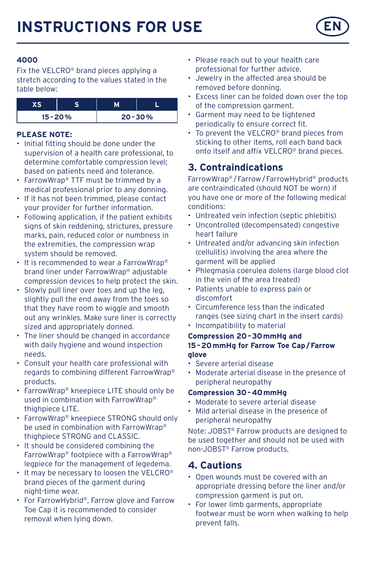

#### **4000**

Fix the VELCRO® brand pieces applying a stretch according to the values stated in the table below:

| $15 - 20%$ |  | $20 - 30%$ |
|------------|--|------------|

#### **PLEASE NOTE:**

- Initial fitting should be done under the supervision of a health care professional, to determine comfortable compression level; based on patients need and tolerance.
- FarrowWrap® TTF must be trimmed by a medical professional prior to any donning.
- If it has not been trimmed, please contact your provider for further information.
- Following application, if the patient exhibits signs of skin reddening, strictures, pressure marks, pain, reduced color or numbness in the extremities, the compression wrap system should be removed.
- It is recommended to wear a FarrowWrap® brand liner under FarrowWrap® adjustable compression devices to help protect the skin.
- Slowly pull liner over toes and up the leg, slightly pull the end away from the toes so that they have room to wiggle and smooth out any wrinkles. Make sure liner is correctly sized and appropriately donned.
- The liner should be changed in accordance with daily hygiene and wound inspection needs.
- Consult your health care professional with regards to combining different FarrowWrap® products.
- FarrowWrap® kneepiece LITE should only be used in combination with FarrowWrap® thighpiece LITE.
- FarrowWrap® kneepiece STRONG should only be used in combination with FarrowWrap® thighpiece STRONG and CLASSIC.
- It should be considered combining the FarrowWrap® footpiece with a FarrowWrap® legpiece for the management of legedema.
- It may be necessary to loosen the VELCRO® brand pieces of the garment during night-time wear.
- For FarrowHybrid®, Farrow glove and Farrow Toe Cap it is recommended to consider removal when lying down.
- Please reach out to your health care professional for further advice.
- Jewelry in the affected area should be removed before donning.
- Excess liner can be folded down over the top of the compression garment.
- Garment may need to be tightened periodically to ensure correct fit.
- To prevent the VELCRO® brand pieces from sticking to other items, roll each band back onto itself and affix VELCRO® brand pieces.

## **3. Contraindications**

FarrowWrap® /Farrow/FarrowHybrid® products are contraindicated (should NOT be worn) if you have one or more of the following medical conditions:

- Untreated vein infection (septic phlebitis)
- Uncontrolled (decompensated) congestive heart failure
- Untreated and/or advancing skin infection (cellulitis) involving the area where the garment will be applied
- Phlegmasia coerulea dolens (large blood clot in the vein of the area treated)
- Patients unable to express pain or discomfort
- Circumference less than the indicated ranges (see sizing chart in the insert cards)
- Incompatibility to material

#### **Compression 20–30mmHg and 15–20mmHg for Farrow Toe Cap/Farrow glove**

- Severe arterial disease
- Moderate arterial disease in the presence of peripheral neuropathy

#### **Compression 30–40mmHg**

- Moderate to severe arterial disease
- Mild arterial disease in the presence of peripheral neuropathy

Note: JOBST® Farrow products are designed to be used together and should not be used with non-JOBST® Farrow products.

## **4. Cautions**

- Open wounds must be covered with an appropriate dressing before the liner and/or compression garment is put on.
- For lower limb garments, appropriate footwear must be worn when walking to help prevent falls.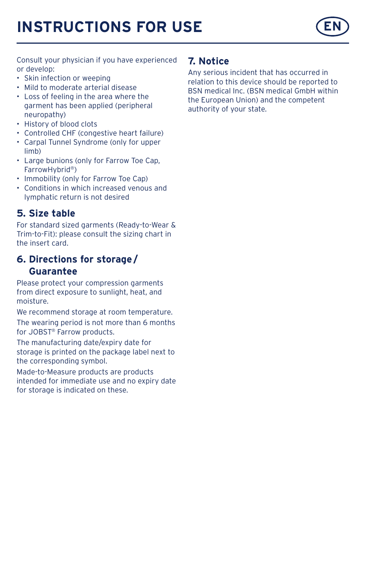# **INSTRUCTIONS FOR USE**



Consult your physician if you have experienced or develop:

- Skin infection or weeping
- Mild to moderate arterial disease
- Loss of feeling in the area where the garment has been applied (peripheral neuropathy)
- History of blood clots
- Controlled CHF (congestive heart failure)
- Carpal Tunnel Syndrome (only for upper limb)
- Large bunions (only for Farrow Toe Cap, FarrowHybrid®)
- Immobility (only for Farrow Toe Cap)
- Conditions in which increased venous and lymphatic return is not desired

## **5. Size table**

For standard sized garments (Ready-to-Wear & Trim-to-Fit): please consult the sizing chart in the insert card.

## **6. Directions for storage/ Guarantee**

Please protect your compression garments from direct exposure to sunlight, heat, and moisture.

We recommend storage at room temperature. The wearing period is not more than 6 months for JOBST® Farrow products.

The manufacturing date/expiry date for storage is printed on the package label next to the corresponding symbol.

Made-to-Measure products are products intended for immediate use and no expiry date for storage is indicated on these.

### **7. Notice**

Any serious incident that has occurred in relation to this device should be reported to BSN medical Inc. (BSN medical GmbH within the European Union) and the competent authority of your state.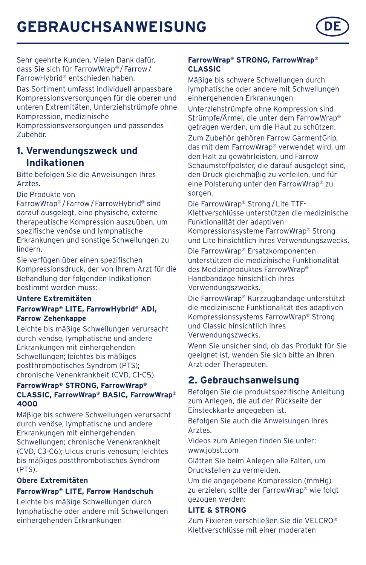## **GEBRAUCHSANWEISUNG DE**

Sehr geehrte Kunden, Vielen Dank dafür, dass Sie sich für FarrowWrap® /Farrow/ FarrowHybrid® entschieden haben.

Das Sortiment umfasst individuell anpassbare Kompressionsversorgungen für die oberen und unteren Extremitäten, Unterziehstrümpfe ohne Kompression, medizinische

Kompressionsversorgungen und passendes Zubehör.

### **1. Verwendungszweck und Indikationen**

Bitte befolgen Sie die Anweisungen Ihres Arztes.

Die Produkte von

FarrowWrap® /Farrow/FarrowHybrid® sind darauf ausgelegt, eine physische, externe therapeutische Kompression auszuüben, um spezifische venöse und lymphatische Erkrankungen und sonstige Schwellungen zu lindern.

Sie verfügen über einen spezifischen Kompressionsdruck, der von Ihrem Arzt für die Behandlung der folgenden Indikationen bestimmt werden muss:

#### **Untere Extremitäten**

#### **FarrowWrap® LITE, FarrowHybrid® ADI, Farrow Zehenkappe**

Leichte bis mäßige Schwellungen verursacht durch venöse, lymphatische und andere Erkrankungen mit einhergehenden Schwellungen; leichtes bis mäßiges postthrombotisches Syndrom (PTS); chronische Venenkrankheit (CVD, C1-C5).

#### **FarrowWrap® STRONG, FarrowWrap® CLASSIC, FarrowWrap® BASIC, FarrowWrap® 4000**

Mäßige bis schwere Schwellungen verursacht durch venöse, lymphatische und andere Erkrankungen mit einhergehenden Schwellungen; chronische Venenkrankheit (CVD, C3-C6); Ulcus cruris venosum; leichtes bis mäßiges postthrombotisches Syndrom (PTS).

#### **Obere Extremitäten**

#### **FarrowWrap® LITE, Farrow Handschuh**

Leichte bis mäßige Schwellungen durch lymphatische oder andere mit Schwellungen einhergehenden Erkrankungen

#### **FarrowWrap® STRONG, FarrowWrap® CLASSIC**

Mäßige bis schwere Schwellungen durch lymphatische oder andere mit Schwellungen einhergehenden Erkrankungen

Unterziehstrümpfe ohne Kompression sind Strümpfe/Ärmel, die unter dem FarrowWrap® getragen werden, um die Haut zu schützen. Zum Zubehör gehören Farrow GarmentGrip, das mit dem FarrowWrap® verwendet wird, um den Halt zu gewährleisten, und Farrow Schaumstoffpolster, die darauf ausgelegt sind, den Druck gleichmäßig zu verteilen, und für eine Polsterung unter den FarrowWrap® zu sorgen.

Die FarrowWrap® Strong/Lite TTF-Klettverschlüsse unterstützen die medizinische Funktionalität der adaptiven Kompressionssysteme FarrowWrap® Strong und Lite hinsichtlich ihres Verwendungszwecks. Die FarrowWrap® Ersatzkomponenten unterstützen die medizinische Funktionalität des Medizinproduktes FarrowWrap® Handbandage hinsichtlich ihres Verwendungszwecks.

Die FarrowWrap® Kurzzugbandage unterstützt die medizinische Funktionalität des adaptiven Kompressionssystems FarrowWrap® Strong und Classic hinsichtlich ihres Verwendungszwecks.

Wenn Sie unsicher sind, ob das Produkt für Sie geeignet ist, wenden Sie sich bitte an Ihren Arzt oder Therapeuten.

## **2. Gebrauchsanweisung**

Befolgen Sie die produktspezifische Anleitung zum Anlegen, die auf der Rückseite der Einsteckkarte angegeben ist.

Befolgen Sie auch die Anweisungen Ihres Arztes.

Videos zum Anlegen finden Sie unter: www.jobst.com

Glätten Sie beim Anlegen alle Falten, um Druckstellen zu vermeiden.

Um die angegebene Kompression (mmHg) zu erzielen, sollte der FarrowWrap® wie folgt gezogen werden:

#### **LITE & STRONG**

Zum Fixieren verschließen Sie die VELCRO® Klettverschlüsse mit einer moderaten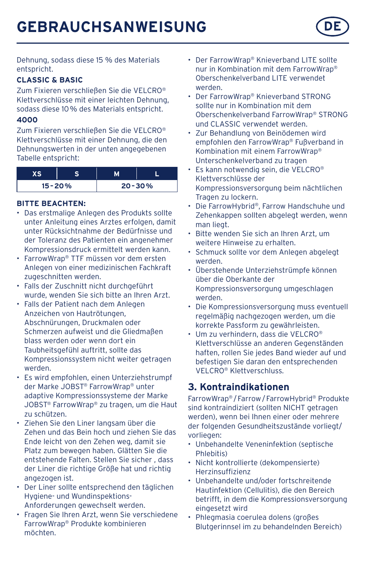Dehnung, sodass diese 15 % des Materials entspricht.

#### **CLASSIC & BASIC**

Zum Fixieren verschließen Sie die VELCRO® Klettverschlüsse mit einer leichten Dehnung, sodass diese 10% des Materials entspricht.

#### **4000**

Zum Fixieren verschließen Sie die VELCRO® Klettverschlüsse mit einer Dehnung, die den Dehnungswerten in der unten angegebenen Tabelle entspricht:

| $15 - 20%$ | $20 - 30%$ |
|------------|------------|

#### **BITTE BEACHTEN:**

- Das erstmalige Anlegen des Produkts sollte unter Anleitung eines Arztes erfolgen, damit unter Rücksichtnahme der Bedürfnisse und der Toleranz des Patienten ein angenehmer Kompressionsdruck ermittelt werden kann.
- FarrowWrap® TTF müssen vor dem ersten Anlegen von einer medizinischen Fachkraft zugeschnitten werden.
- Falls der Zuschnitt nicht durchgeführt wurde, wenden Sie sich bitte an Ihren Arzt.
- Falls der Patient nach dem Anlegen Anzeichen von Hautrötungen, Abschnürungen, Druckmalen oder Schmerzen aufweist und die Gliedmaßen blass werden oder wenn dort ein Taubheitsgefühl auftritt, sollte das Kompressionssystem nicht weiter getragen werden.
- Es wird empfohlen, einen Unterziehstrumpf der Marke JOBST® FarrowWrap® unter adaptive Kompressionssysteme der Marke JOBST® FarrowWrap® zu tragen, um die Haut zu schützen.
- Ziehen Sie den Liner langsam über die Zehen und das Bein hoch und ziehen Sie das Ende leicht von den Zehen weg, damit sie Platz zum bewegen haben. Glätten Sie die entstehende Falten. Stellen Sie sicher , dass der Liner die richtige Größe hat und richtig angezogen ist.
- Der Liner sollte entsprechend den täglichen Hygiene- und Wundinspektions-Anforderungen gewechselt werden.
- Fragen Sie Ihren Arzt, wenn Sie verschiedene FarrowWrap® Produkte kombinieren möchten.
- Der FarrowWrap® Knieverband LITE sollte nur in Kombination mit dem FarrowWrap® Oberschenkelverband LITE verwendet werden.
- Der FarrowWrap® Knieverband STRONG sollte nur in Kombination mit dem Oberschenkelverband FarrowWrap® STRONG und CLASSIC verwendet werden.
- Zur Behandlung von Beinödemen wird empfohlen den FarrowWrap® Fußverband in Kombination mit einem FarrowWrap® Unterschenkelverband zu tragen
- Es kann notwendig sein, die VELCRO® Klettverschlüsse der Kompressionsversorgung beim nächtlichen Tragen zu lockern.
- Die FarrowHybrid®, Farrow Handschuhe und Zehenkappen sollten abgelegt werden, wenn man liegt.
- Bitte wenden Sie sich an Ihren Arzt, um weitere Hinweise zu erhalten.
- Schmuck sollte vor dem Anlegen abgelegt werden.
- Überstehende Unterziehstrümpfe können über die Oberkante der Kompressionsversorgung umgeschlagen werden.
- Die Kompressionsversorgung muss eventuell regelmäßig nachgezogen werden, um die korrekte Passform zu gewährleisten.
- Um zu verhindern, dass die VELCRO® Klettverschlüsse an anderen Gegenständen haften, rollen Sie jedes Band wieder auf und befestigen Sie daran den entsprechenden VELCRO® Klettverschluss.

## **3. Kontraindikationen**

FarrowWrap® /Farrow/FarrowHybrid® Produkte sind kontraindiziert (sollten NICHT getragen werden), wenn bei Ihnen einer oder mehrere der folgenden Gesundheitszustände vorliegt/ vorliegen:

- Unbehandelte Veneninfektion (septische Phlebitis)
- Nicht kontrollierte (dekompensierte) Herzinsuffizienz
- Unbehandelte und/oder fortschreitende Hautinfektion (Cellulitis), die den Bereich betrifft, in dem die Kompressionsversorgung eingesetzt wird
- Phlegmasia coerulea dolens (großes Blutgerinnsel im zu behandelnden Bereich)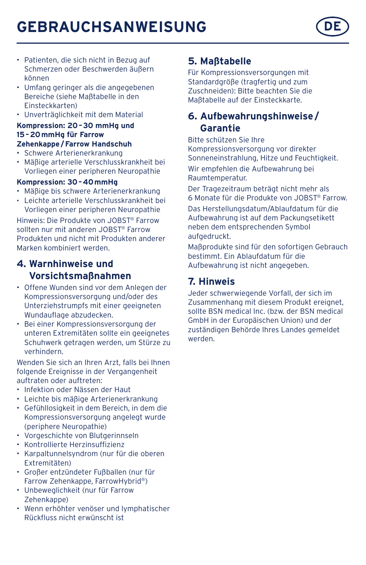# **GEBRAUCHSANWEISUNG DE**

- Patienten, die sich nicht in Bezug auf Schmerzen oder Beschwerden äußern können
- Umfang geringer als die angegebenen Bereiche (siehe Maßtabelle in den Einsteckkarten)
- Unverträglichkeit mit dem Material

#### **Kompression: 20–30 mmHg und 15–20mmHg für Farrow Zehenkappe/Farrow Handschuh**

- Schwere Arterienerkrankung
- Mäßige arterielle Verschlusskrankheit bei Vorliegen einer peripheren Neuropathie

#### **Kompression: 30–40mmHg**

- Mäßige bis schwere Arterienerkrankung
- Leichte arterielle Verschlusskrankheit bei Vorliegen einer peripheren Neuropathie

Hinweis: Die Produkte von JOBST® Farrow sollten nur mit anderen JOBST® Farrow Produkten und nicht mit Produkten anderer Marken kombiniert werden.

## **4. Warnhinweise und Vorsichtsmaßnahmen**

- Offene Wunden sind vor dem Anlegen der Kompressionsversorgung und/oder des Unterziehstrumpfs mit einer geeigneten Wundauflage abzudecken.
- Bei einer Kompressionsversorgung der unteren Extremitäten sollte ein geeignetes Schuhwerk getragen werden, um Stürze zu verhindern.

Wenden Sie sich an Ihren Arzt, falls bei Ihnen folgende Ereignisse in der Vergangenheit auftraten oder auftreten:

- Infektion oder Nässen der Haut
- Leichte bis mäßige Arterienerkrankung
- Gefühllosigkeit in dem Bereich, in dem die Kompressionsversorgung angelegt wurde (periphere Neuropathie)
- Vorgeschichte von Blutgerinnseln
- Kontrollierte Herzinsuffizienz
- Karpaltunnelsyndrom (nur für die oberen Extremitäten)
- Großer entzündeter Fußballen (nur für Farrow Zehenkappe, FarrowHybrid®)
- Unbeweglichkeit (nur für Farrow Zehenkappe)
- Wenn erhöhter venöser und lymphatischer Rückfluss nicht erwünscht ist

## **5. Maßtabelle**

Für Kompressionsversorgungen mit Standardgröße (tragfertig und zum Zuschneiden): Bitte beachten Sie die Maßtabelle auf der Einsteckkarte.

## **6. Aufbewahrungshinweise/ Garantie**

Bitte schützen Sie Ihre

Kompressionsversorgung vor direkter Sonneneinstrahlung, Hitze und Feuchtigkeit. Wir empfehlen die Aufbewahrung bei Raumtemperatur.

Der Tragezeitraum beträgt nicht mehr als 6 Monate für die Produkte von JOBST® Farrow.

Das Herstellungsdatum/Ablaufdatum für die Aufbewahrung ist auf dem Packungsetikett neben dem entsprechenden Symbol aufgedruckt.

Maßprodukte sind für den sofortigen Gebrauch bestimmt. Ein Ablaufdatum für die Aufbewahrung ist nicht angegeben.

## **7. Hinweis**

Jeder schwerwiegende Vorfall, der sich im Zusammenhang mit diesem Produkt ereignet, sollte BSN medical Inc. (bzw. der BSN medical GmbH in der Europäischen Union) und der zuständigen Behörde Ihres Landes gemeldet werden.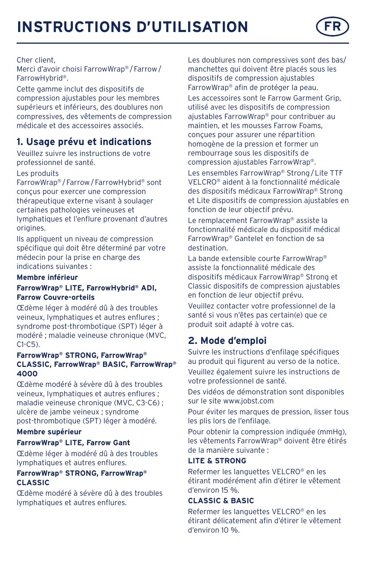# **INSTRUCTIONS D'UTILISATION**



#### Cher client,

Merci d'avoir choisi FarrowWrap® /Farrow/ FarrowHybrid®.

Cette gamme inclut des dispositifs de compression ajustables pour les membres supérieurs et inférieurs, des doublures non compressives, des vêtements de compression médicale et des accessoires associés.

## **1. Usage prévu et indications**

Veuillez suivre les instructions de votre professionnel de santé.

#### Les produits

FarrowWrap® /Farrow/FarrowHybrid® sont conçus pour exercer une compression thérapeutique externe visant à soulager certaines pathologies veineuses et lymphatiques et l'enflure provenant d'autres origines.

Ils appliquent un niveau de compression spécifique qui doit être déterminé par votre médecin pour la prise en charge des indications suivantes :

#### **Membre inférieur**

#### **FarrowWrap® LITE, FarrowHybrid® ADI, Farrow Couvre-orteils**

Œdème léger à modéré dû à des troubles veineux, lymphatiques et autres enflures ; syndrome post-thrombotique (SPT) léger à modéré : maladie veineuse chronique (MVC,  $C1-C5$ ).

#### **FarrowWrap® STRONG, FarrowWrap® CLASSIC, FarrowWrap® BASIC, FarrowWrap® 4000**

Œdème modéré à sévère dû à des troubles veineux, lymphatiques et autres enflures ; maladie veineuse chronique (MVC, C3-C6) ; ulcère de jambe veineux ; syndrome post-thrombotique (SPT) léger à modéré.

#### **Membre supérieur**

#### **FarrowWrap® LITE, Farrow Gant**

Œdème léger à modéré dû à des troubles lymphatiques et autres enflures.

#### **FarrowWrap® STRONG, FarrowWrap® CLASSIC**

Œdème modéré à sévère dû à des troubles lymphatiques et autres enflures.

Les doublures non compressives sont des bas/ manchettes qui doivent être placés sous les dispositifs de compression ajustables FarrowWrap® afin de protéger la peau.

Les accessoires sont le Farrow Garment Grip, utilisé avec les dispositifs de compression ajustables FarrowWrap® pour contribuer au maintien, et les mousses Farrow Foams, conçues pour assurer une répartition homogène de la pression et former un rembourrage sous les dispositifs de compression ajustables FarrowWrap®.

Les ensembles FarrowWrap® Strong/Lite TTF VELCRO® aident à la fonctionnalité médicale des dispositifs médicaux FarrowWrap® Strong et Lite dispositifs de compression ajustables en fonction de leur objectif prévu.

Le remplacement FarrowWrap® assiste la fonctionnalité médicale du dispositif médical FarrowWrap® Gantelet en fonction de sa destination.

La bande extensible courte FarrowWrap® assiste la fonctionnalité médicale des dispositifs médicaux FarrowWrap® Strong et Classic dispositifs de compression ajustables en fonction de leur objectif prévu.

Veuillez contacter votre professionnel de la santé si vous n'êtes pas certain(e) que ce produit soit adapté à votre cas.

## **2. Mode d'emploi**

Suivre les instructions d'enfilage spécifiques au produit qui figurent au verso de la notice. Veuillez également suivre les instructions de votre professionnel de santé.

Des vidéos de démonstration sont disponibles sur le site www.jobst.com

Pour éviter les marques de pression, lisser tous les plis lors de l'enfilage.

Pour obtenir la compression indiquée (mmHg), les vêtements FarrowWrap® doivent être étirés de la manière suivante :

#### **LITE & STRONG**

Refermer les languettes VELCRO® en les étirant modérément afin d'étirer le vêtement d'environ 15 %.

#### **CLASSIC & BASIC**

Refermer les languettes VELCRO® en les étirant délicatement afin d'étirer le vêtement d'environ 10 %.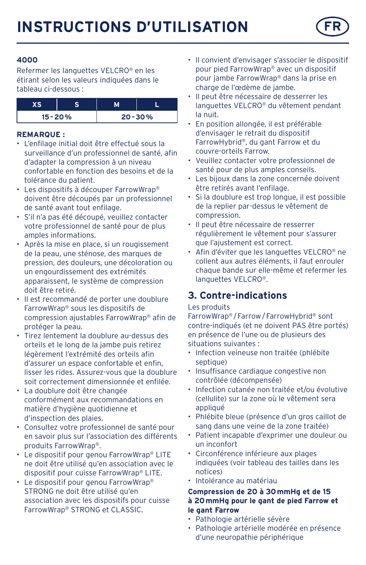

#### **4000**

Refermer les languettes VELCRO® en les étirant selon les valeurs indiquées dans le tableau ci-dessous :

| $15 - 20%$ | $20 - 30%$ |  |
|------------|------------|--|

#### **REMARQUE :**

- L'enfilage initial doit être effectué sous la surveillance d'un professionnel de santé, afin d'adapter la compression à un niveau confortable en fonction des besoins et de la tolérance du patient.
- Les dispositifs à découper FarrowWrap® doivent être découpés par un professionnel de santé avant tout enfilage.
- S'il n'a pas été découpé, veuillez contacter votre professionnel de santé pour de plus amples informations.
- Après la mise en place, si un rougissement de la peau, une sténose, des marques de pression, des douleurs, une décoloration ou un engourdissement des extrémités apparaissent, le système de compression doit être retiré.
- Il est recommandé de porter une doublure FarrowWrap® sous les dispositifs de compression ajustables FarrowWrap® afin de protéger la peau.
- Tirez lentement la doublure au-dessus des orteils et le long de la jambe puis retirez légèrement l'extrémité des orteils afin d'assurer un espace confortable et enfin, lisser les rides. Assurez-vous que la doublure soit correctement dimensionnée et enfilée.
- La doublure doit être changée conformément aux recommandations en matière d'hygiène quotidienne et d'inspection des plaies.
- Consultez votre professionnel de santé pour en savoir plus sur l'association des différents produits FarrowWrap®.
- Le dispositif pour genou FarrowWrap® LITE ne doit être utilisé qu'en association avec le dispositif pour cuisse FarrowWrap® LITE.
- Le dispositif pour genou FarrowWrap® STRONG ne doit être utilisé qu'en association avec les dispositifs pour cuisse FarrowWrap® STRONG et CLASSIC.
- Il convient d'envisager s'associer le dispositif pour pied FarrowWrap® avec un dispositif pour jambe FarrowWrap® dans la prise en charge de l'œdème de jambe.
- Il peut être nécessaire de desserrer les languettes VELCRO® du vêtement pendant la nuit.
- En position allongée, il est préférable d'envisager le retrait du dispositif FarrowHybrid®, du gant Farrow et du couvre-orteils Farrow.
- Veuillez contacter votre professionnel de santé pour de plus amples conseils.
- Les bijoux dans la zone concernée doivent être retirés avant l'enfilage.
- Si la doublure est trop longue, il est possible de la replier par-dessus le vêtement de compression.
- Il peut être nécessaire de resserrer régulièrement le vêtement pour s'assurer que l'ajustement est correct.
- Afin d'éviter que les languettes VELCRO® ne collent aux autres éléments, il faut enrouler chaque bande sur elle-même et refermer les languettes VELCRO®.

## **3. Contre-indications**

#### Les produits

FarrowWrap® /Farrow/FarrowHybrid® sont contre-indiqués (et ne doivent PAS être portés) en présence de l'une ou de plusieurs des situations suivantes :

- Infection veineuse non traitée (phlébite septique)
- Insuffisance cardiaque congestive non contrôlée (décompensée)
- Infection cutanée non traitée et/ou évolutive (cellulite) sur la zone où le vêtement sera appliqué
- Phlébite bleue (présence d'un gros caillot de sang dans une veine de la zone traitée)
- Patient incapable d'exprimer une douleur ou un inconfort
- Circonférence inférieure aux plages indiquées (voir tableau des tailles dans les notices)
- Intolérance au matériau

#### **Compression de 20 à 30mmHg et de 15 à 20mmHg pour le gant de pied Farrow et le gant Farrow**

- Pathologie artérielle sévère
- Pathologie artérielle modérée en présence d'une neuropathie périphérique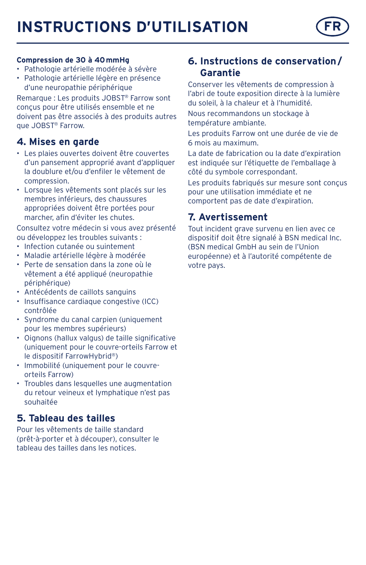# **INSTRUCTIONS D'UTILISATION**



#### **Compression de 30 à 40mmHg**

- Pathologie artérielle modérée à sévère
- Pathologie artérielle légère en présence d'une neuropathie périphérique

Remarque : Les produits JOBST® Farrow sont conçus pour être utilisés ensemble et ne doivent pas être associés à des produits autres que JOBST® Farrow.

### **4. Mises en garde**

- Les plaies ouvertes doivent être couvertes d'un pansement approprié avant d'appliquer la doublure et/ou d'enfiler le vêtement de compression.
- Lorsque les vêtements sont placés sur les membres inférieurs, des chaussures appropriées doivent être portées pour marcher, afin d'éviter les chutes.

Consultez votre médecin si vous avez présenté ou développez les troubles suivants :

- Infection cutanée ou suintement
- Maladie artérielle légère à modérée
- Perte de sensation dans la zone où le vêtement a été appliqué (neuropathie périphérique)
- Antécédents de caillots sanguins
- Insuffisance cardiaque congestive (ICC) contrôlée
- Syndrome du canal carpien (uniquement pour les membres supérieurs)
- Oignons (hallux valgus) de taille significative (uniquement pour le couvre-orteils Farrow et le dispositif FarrowHybrid®)
- Immobilité (uniquement pour le couvreorteils Farrow)
- Troubles dans lesquelles une augmentation du retour veineux et lymphatique n'est pas souhaitée

## **5. Tableau des tailles**

Pour les vêtements de taille standard (prêt-à-porter et à découper), consulter le tableau des tailles dans les notices.

## **6. Instructions de conservation/ Garantie**

Conserver les vêtements de compression à l'abri de toute exposition directe à la lumière du soleil, à la chaleur et à l'humidité.

Nous recommandons un stockage à température ambiante.

Les produits Farrow ont une durée de vie de 6 mois au maximum.

La date de fabrication ou la date d'expiration est indiquée sur l'étiquette de l'emballage à côté du symbole correspondant.

Les produits fabriqués sur mesure sont conçus pour une utilisation immédiate et ne comportent pas de date d'expiration.

## **7. Avertissement**

Tout incident grave survenu en lien avec ce dispositif doit être signalé à BSN medical Inc. (BSN medical GmbH au sein de l'Union européenne) et à l'autorité compétente de votre pays.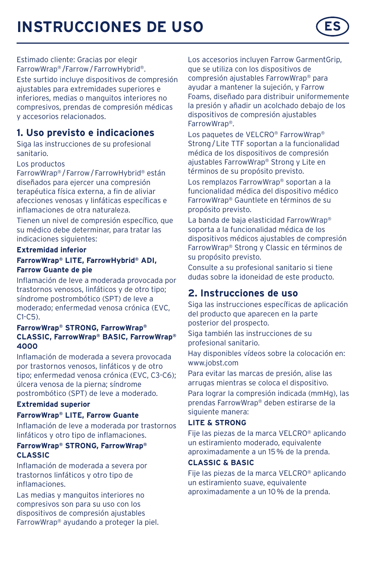# **INSTRUCCIONES DE USO**

Estimado cliente: Gracias por elegir FarrowWrap® /Farrow/FarrowHybrid®.

Este surtido incluye dispositivos de compresión ajustables para extremidades superiores e inferiores, medias o manguitos interiores no compresivos, prendas de compresión médicas y accesorios relacionados.

## **1. Uso previsto e indicaciones**

Siga las instrucciones de su profesional sanitario.

#### Los productos

FarrowWrap® /Farrow/FarrowHybrid® están diseñados para ejercer una compresión terapéutica física externa, a fin de aliviar afecciones venosas y linfáticas específicas e inflamaciones de otra naturaleza.

Tienen un nivel de compresión específico, que su médico debe determinar, para tratar las indicaciones siguientes:

#### **Extremidad inferior**

#### **FarrowWrap® LITE, FarrowHybrid® ADI, Farrow Guante de pie**

Inflamación de leve a moderada provocada por trastornos venosos, linfáticos y de otro tipo; síndrome postrombótico (SPT) de leve a moderado; enfermedad venosa crónica (EVC,  $C1-C5$ 

#### **FarrowWrap® STRONG, FarrowWrap® CLASSIC, FarrowWrap® BASIC, FarrowWrap® 4000**

Inflamación de moderada a severa provocada por trastornos venosos, linfáticos y de otro tipo; enfermedad venosa crónica (EVC, C3-C6); úlcera venosa de la pierna; síndrome postrombótico (SPT) de leve a moderado.

#### **Extremidad superior**

#### **FarrowWrap® LITE, Farrow Guante**

Inflamación de leve a moderada por trastornos linfáticos y otro tipo de inflamaciones.

#### **FarrowWrap® STRONG, FarrowWrap® CLASSIC**

Inflamación de moderada a severa por trastornos linfáticos y otro tipo de inflamaciones.

Las medias y manguitos interiores no compresivos son para su uso con los dispositivos de compresión ajustables FarrowWrap® ayudando a proteger la piel. Los accesorios incluyen Farrow GarmentGrip, que se utiliza con los dispositivos de compresión ajustables FarrowWrap® para ayudar a mantener la sujeción, y Farrow Foams, diseñado para distribuir uniformemente la presión y añadir un acolchado debajo de los dispositivos de compresión ajustables FarrowWrap®.

Los paquetes de VELCRO® FarrowWrap® Strong/Lite TTF soportan a la funcionalidad médica de los dispositivos de compresión ajustables FarrowWrap® Strong y Lite en términos de su propósito previsto.

Los remplazos FarrowWrap® soportan a la funcionalidad médica del dispositivo médico FarrowWrap® Gauntlete en términos de su propósito previsto.

La banda de baja elasticidad FarrowWrap® soporta a la funcionalidad médica de los dispositivos médicos ajustables de compresión FarrowWrap® Strong y Classic en términos de su propósito previsto.

Consulte a su profesional sanitario si tiene dudas sobre la idoneidad de este producto.

### **2. Instrucciones de uso**

Siga las instrucciones específicas de aplicación del producto que aparecen en la parte posterior del prospecto.

Siga también las instrucciones de su profesional sanitario.

Hay disponibles vídeos sobre la colocación en: www.jobst.com

Para evitar las marcas de presión, alise las arrugas mientras se coloca el dispositivo.

Para lograr la compresión indicada (mmHg), las prendas FarrowWrap® deben estirarse de la siguiente manera:

#### **LITE & STRONG**

Fije las piezas de la marca VELCRO® aplicando un estiramiento moderado, equivalente aproximadamente a un 15% de la prenda.

#### **CLASSIC & BASIC**

Fije las piezas de la marca VELCRO® aplicando un estiramiento suave, equivalente aproximadamente a un 10% de la prenda.

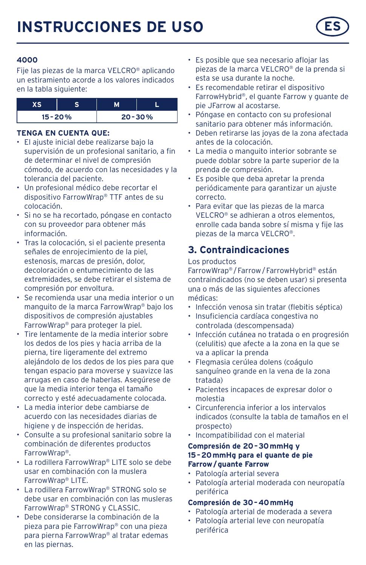#### **4000**

Fije las piezas de la marca VELCRO® aplicando un estiramiento acorde a los valores indicados en la tabla siguiente:

| $15 - 20%$ |  | $20 - 30%$ |
|------------|--|------------|

#### **TENGA EN CUENTA QUE:**

- El ajuste inicial debe realizarse bajo la supervisión de un profesional sanitario, a fin de determinar el nivel de compresión cómodo, de acuerdo con las necesidades y la tolerancia del paciente.
- Un profesional médico debe recortar el dispositivo FarrowWrap® TTF antes de su colocación.
- Si no se ha recortado, póngase en contacto con su proveedor para obtener más información.
- Tras la colocación, si el paciente presenta señales de enrojecimiento de la piel, estenosis, marcas de presión, dolor, decoloración o entumecimiento de las extremidades, se debe retirar el sistema de compresión por envoltura.
- Se recomienda usar una media interior o un manguito de la marca FarrowWrap® bajo los dispositivos de compresión ajustables FarrowWrap® para proteger la piel.
- Tire lentamente de la media interior sobre los dedos de los pies y hacia arriba de la pierna, tire ligeramente del extremo alejándolo de los dedos de los pies para que tengan espacio para moverse y suavizce las arrugas en caso de haberlas. Asegúrese de que la media interior tenga el tamaño correcto y esté adecuadamente colocada.
- La media interior debe cambiarse de acuerdo con las necesidades diarias de higiene y de inspección de heridas.
- Consulte a su profesional sanitario sobre la combinación de diferentes productos FarrowWrap®.
- La rodillera FarrowWrap® LITE solo se debe usar en combinación con la muslera FarrowWrap® LITE.
- La rodillera FarrowWrap® STRONG solo se debe usar en combinación con las musleras FarrowWrap® STRONG y CLASSIC.
- Debe considerarse la combinación de la pieza para pie FarrowWrap® con una pieza para pierna FarrowWrap® al tratar edemas en las piernas.
- Es posible que sea necesario aflojar las piezas de la marca VELCRO® de la prenda si esta se usa durante la noche.
- Es recomendable retirar el dispositivo FarrowHybrid®, el guante Farrow y guante de pie JFarrow al acostarse.
- Póngase en contacto con su profesional sanitario para obtener más información.
- Deben retirarse las joyas de la zona afectada antes de la colocación.
- La media o manguito interior sobrante se puede doblar sobre la parte superior de la prenda de compresión.
- Es posible que deba apretar la prenda periódicamente para garantizar un ajuste correcto.
- Para evitar que las piezas de la marca VELCRO® se adhieran a otros elementos, enrolle cada banda sobre sí misma y fije las piezas de la marca VELCRO®.

## **3. Contraindicaciones**

#### Los productos

FarrowWrap® /Farrow/FarrowHybrid® están contraindicados (no se deben usar) si presenta una o más de las siguientes afecciones médicas:

- Infección venosa sin tratar (flebitis séptica)
- Insuficiencia cardíaca congestiva no controlada (descompensada)
- Infección cutánea no tratada o en progresión (celulitis) que afecte a la zona en la que se va a aplicar la prenda
- Flegmasia cerúlea dolens (coágulo sanguíneo grande en la vena de la zona tratada)
- Pacientes incapaces de expresar dolor o molestia
- Circunferencia inferior a los intervalos indicados (consulte la tabla de tamaños en el prospecto)
- Incompatibilidad con el material

#### **Compresión de 20–30mmHg y 15–20mmHg para el guante de pie Farrow/guante Farrow**

- Patología arterial severa
- Patología arterial moderada con neuropatía periférica

#### **Compresión de 30–40mmHg**

- Patología arterial de moderada a severa
- Patología arterial leve con neuropatía periférica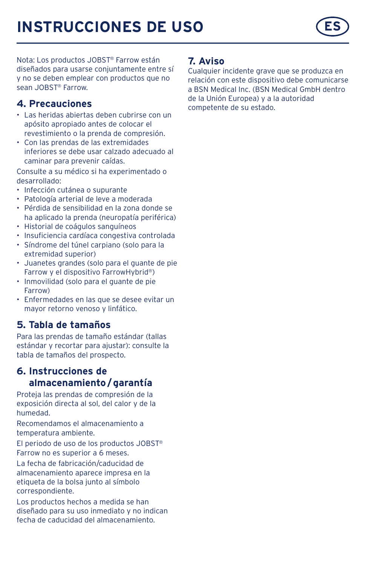# **INSTRUCCIONES DE USO**



Nota: Los productos JOBST® Farrow están diseñados para usarse conjuntamente entre sí y no se deben emplear con productos que no sean JOBST® Farrow.

## **4. Precauciones**

- Las heridas abiertas deben cubrirse con un apósito apropiado antes de colocar el revestimiento o la prenda de compresión.
- Con las prendas de las extremidades inferiores se debe usar calzado adecuado al caminar para prevenir caídas.

Consulte a su médico si ha experimentado o desarrollado:

- Infección cutánea o supurante
- Patología arterial de leve a moderada
- Pérdida de sensibilidad en la zona donde se ha aplicado la prenda (neuropatía periférica)
- Historial de coágulos sanguíneos
- Insuficiencia cardíaca congestiva controlada
- Síndrome del túnel carpiano (solo para la extremidad superior)
- Juanetes grandes (solo para el guante de pie Farrow y el dispositivo FarrowHybrid®)
- Inmovilidad (solo para el guante de pie Farrow)
- Enfermedades en las que se desee evitar un mayor retorno venoso y linfático.

## **5. Tabla de tamaños**

Para las prendas de tamaño estándar (tallas estándar y recortar para ajustar): consulte la tabla de tamaños del prospecto.

## **6. Instrucciones de almacenamiento/garantía**

Proteja las prendas de compresión de la exposición directa al sol, del calor y de la humedad.

Recomendamos el almacenamiento a temperatura ambiente.

El periodo de uso de los productos JOBST® Farrow no es superior a 6 meses.

La fecha de fabricación/caducidad de almacenamiento aparece impresa en la etiqueta de la bolsa junto al símbolo correspondiente.

Los productos hechos a medida se han diseñado para su uso inmediato y no indican fecha de caducidad del almacenamiento.

### **7. Aviso**

Cualquier incidente grave que se produzca en relación con este dispositivo debe comunicarse a BSN Medical Inc. (BSN Medical GmbH dentro de la Unión Europea) y a la autoridad competente de su estado.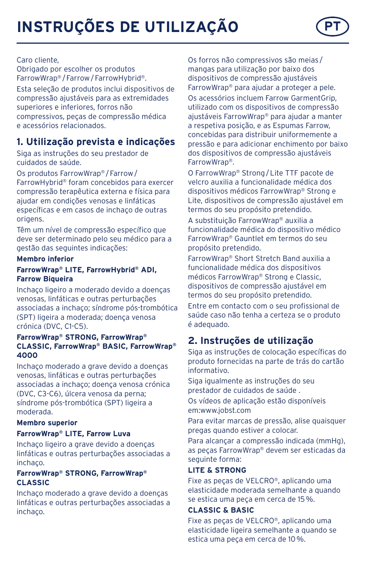

#### Caro cliente,

Obrigado por escolher os produtos FarrowWrap® /Farrow/FarrowHybrid®. Esta seleção de produtos inclui dispositivos de compressão ajustáveis para as extremidades superiores e inferiores, forros não compressivos, peças de compressão médica e acessórios relacionados.

## **1. Utilização prevista e indicações**

Siga as instruções do seu prestador de cuidados de saúde.

Os produtos FarrowWrap® /Farrow/ FarrowHybrid® foram concebidos para exercer compressão terapêutica externa e física para ajudar em condições venosas e linfáticas específicas e em casos de inchaço de outras origens.

Têm um nível de compressão específico que deve ser determinado pelo seu médico para a gestão das seguintes indicações:

#### **Membro inferior**

#### **FarrowWrap® LITE, FarrowHybrid® ADI, Farrow Biqueira**

Inchaço ligeiro a moderado devido a doenças venosas, linfáticas e outras perturbações associadas a inchaço; síndrome pós-trombótica (SPT) ligeira a moderada; doença venosa crónica (DVC, C1-C5).

#### **FarrowWrap® STRONG, FarrowWrap® CLASSIC, FarrowWrap® BASIC, FarrowWrap® 4000**

Inchaço moderado a grave devido a doenças venosas, linfáticas e outras perturbações associadas a inchaço; doença venosa crónica (DVC, C3-C6), úlcera venosa da perna; síndrome pós-trombótica (SPT) ligeira a moderada.

### **Membro superior**

#### **FarrowWrap® LITE, Farrow Luva**

Inchaço ligeiro a grave devido a doenças linfáticas e outras perturbações associadas a inchaço.

#### **FarrowWrap® STRONG, FarrowWrap® CLASSIC**

Inchaço moderado a grave devido a doenças linfáticas e outras perturbações associadas a inchaço.

Os forros não compressivos são meias / mangas para utilização por baixo dos dispositivos de compressão ajustáveis FarrowWrap® para ajudar a proteger a pele.

Os acessórios incluem Farrow GarmentGrip, utilizado com os dispositivos de compressão ajustáveis FarrowWrap® para ajudar a manter a respetiva posição, e as Espumas Farrow, concebidas para distribuir uniformemente a pressão e para adicionar enchimento por baixo dos dispositivos de compressão ajustáveis FarrowWrap®.

O FarrowWrap® Strong/Lite TTF pacote de velcro auxilia a funcionalidade médica dos dispositivos médicos FarrowWrap® Strong e Lite, dispositivos de compressão ajustável em termos do seu propósito pretendido.

A substituição FarrowWrap® auxilia a funcionalidade médica do dispositivo médico FarrowWrap® Gauntlet em termos do seu propósito pretendido.

FarrowWrap® Short Stretch Band auxilia a funcionalidade médica dos dispositivos médicos FarrowWrap® Strong e Classic, dispositivos de compressão ajustável em termos do seu propósito pretendido.

Entre em contacto com o seu profissional de saúde caso não tenha a certeza se o produto é adequado.

## **2. Instruções de utilização**

Siga as instruções de colocação específicas do produto fornecidas na parte de trás do cartão informativo.

Siga igualmente as instruções do seu prestador de cuidados de saúde .

Os vídeos de aplicação estão disponíveis em:www.jobst.com

Para evitar marcas de pressão, alise quaisquer pregas quando estiver a colocar.

Para alcançar a compressão indicada (mmHg), as peças FarrowWrap® devem ser esticadas da seguinte forma:

#### **LITE & STRONG**

Fixe as peças de VELCRO®, aplicando uma elasticidade moderada semelhante a quando se estica uma peça em cerca de 15%.

#### **CLASSIC & BASIC**

Fixe as peças de VELCRO®, aplicando uma elasticidade ligeira semelhante a quando se estica uma peça em cerca de 10%.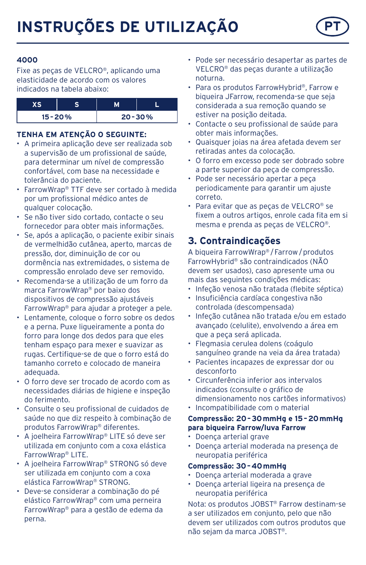

#### **4000**

Fixe as peças de VELCRO®, aplicando uma elasticidade de acordo com os valores indicados na tabela abaixo:

| $15 - 20%$ |  | $20 - 30%$ |
|------------|--|------------|

#### **TENHA EM ATENÇÃO O SEGUINTE:**

- A primeira aplicação deve ser realizada sob a supervisão de um profissional de saúde, para determinar um nível de compressão confortável, com base na necessidade e tolerância do paciente.
- FarrowWrap® TTF deve ser cortado à medida por um profissional médico antes de qualquer colocação.
- Se não tiver sido cortado, contacte o seu fornecedor para obter mais informações.
- Se, após a aplicação, o paciente exibir sinais de vermelhidão cutânea, aperto, marcas de pressão, dor, diminuição de cor ou dormência nas extremidades, o sistema de compressão enrolado deve ser removido.
- Recomenda-se a utilização de um forro da marca FarrowWrap® por baixo dos dispositivos de compressão ajustáveis FarrowWrap® para ajudar a proteger a pele.
- Lentamente, coloque o forro sobre os dedos e a perna. Puxe ligueiramente a ponta do forro para longe dos dedos para que eles tenham espaço para mexer e suavizar as rugas. Certifique-se de que o forro está do tamanho correto e colocado de maneira adequada.
- O forro deve ser trocado de acordo com as necessidades diárias de higiene e inspeção do ferimento.
- Consulte o seu profissional de cuidados de saúde no que diz respeito à combinação de produtos FarrowWrap® diferentes.
- A joelheira FarrowWrap® LITE só deve ser utilizada em conjunto com a coxa elástica FarrowWrap® LITE.
- A joelheira FarrowWrap® STRONG só deve ser utilizada em conjunto com a coxa elástica FarrowWrap® STRONG.
- Deve-se considerar a combinação do pé elástico FarrowWrap® com uma perneira FarrowWrap® para a gestão de edema da perna.
- Pode ser necessário desapertar as partes de VELCRO® das peças durante a utilização noturna.
- Para os produtos FarrowHybrid®, Farrow e biqueira JFarrow, recomenda-se que seja considerada a sua remoção quando se estiver na posição deitada.
- Contacte o seu profissional de saúde para obter mais informações.
- Quaisquer joias na área afetada devem ser retiradas antes da colocação.
- O forro em excesso pode ser dobrado sobre a parte superior da peça de compressão.
- Pode ser necessário apertar a peça periodicamente para garantir um ajuste correto.
- Para evitar que as peças de VELCRO® se fixem a outros artigos, enrole cada fita em si mesma e prenda as peças de VELCRO®.

## **3. Contraindicações**

A biqueira FarrowWrap® /Farrow/produtos FarrowHybrid® são contraindicados (NÃO devem ser usados), caso apresente uma ou mais das seguintes condições médicas:

- Infeção venosa não tratada (flebite séptica)
- Insuficiência cardíaca congestiva não controlada (descompensada)
- Infeção cutânea não tratada e/ou em estado avançado (celulite), envolvendo a área em que a peça será aplicada.
- Flegmasia cerulea dolens (coágulo sanguíneo grande na veia da área tratada)
- Pacientes incapazes de expressar dor ou desconforto
- Circunferência inferior aos intervalos indicados (consulte o gráfico de dimensionamento nos cartões informativos)
- Incompatibilidade com o material

#### **Compressão: 20–30mmHg e 15–20mmHg para biqueira Farrow/luva Farrow**

- Doença arterial grave
- Doença arterial moderada na presença de neuropatia periférica

#### **Compressão: 30–40mmHg**

- Doença arterial moderada a grave
- Doença arterial ligeira na presença de neuropatia periférica

Nota: os produtos JOBST® Farrow destinam-se a ser utilizados em conjunto, pelo que não devem ser utilizados com outros produtos que não sejam da marca JOBST®.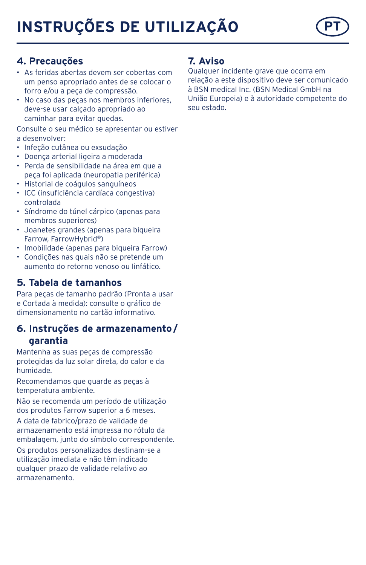# **INSTRUÇÕES DE UTILIZAÇÃO**



## **4. Precauções**

- As feridas abertas devem ser cobertas com um penso apropriado antes de se colocar o forro e/ou a peça de compressão.
- No caso das peças nos membros inferiores, deve-se usar calçado apropriado ao caminhar para evitar quedas.

Consulte o seu médico se apresentar ou estiver a desenvolver:

- Infeção cutânea ou exsudação
- Doença arterial ligeira a moderada
- Perda de sensibilidade na área em que a peça foi aplicada (neuropatia periférica)
- Historial de coágulos sanguíneos
- ICC (insuficiência cardíaca congestiva) controlada
- Síndrome do túnel cárpico (apenas para membros superiores)
- Joanetes grandes (apenas para biqueira Farrow, FarrowHybrid®)
- Imobilidade (apenas para biqueira Farrow)
- Condições nas quais não se pretende um aumento do retorno venoso ou linfático.

## **5. Tabela de tamanhos**

Para peças de tamanho padrão (Pronta a usar e Cortada à medida): consulte o gráfico de dimensionamento no cartão informativo.

### **6. Instruções de armazenamento/ garantia**

Mantenha as suas peças de compressão protegidas da luz solar direta, do calor e da humidade.

Recomendamos que guarde as peças à temperatura ambiente.

Não se recomenda um período de utilização dos produtos Farrow superior a 6 meses.

A data de fabrico/prazo de validade de armazenamento está impressa no rótulo da embalagem, junto do símbolo correspondente. Os produtos personalizados destinam-se a utilização imediata e não têm indicado qualquer prazo de validade relativo ao armazenamento.

#### **7. Aviso**

Qualquer incidente grave que ocorra em relação a este dispositivo deve ser comunicado à BSN medical Inc. (BSN Medical GmbH na União Europeia) e à autoridade competente do seu estado.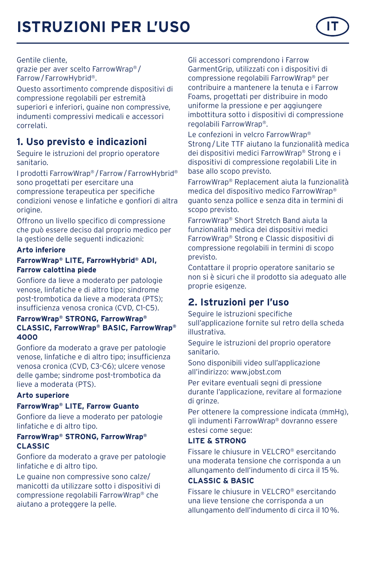Gentile cliente,

grazie per aver scelto FarrowWrap® / Farrow/FarrowHybrid®.

Questo assortimento comprende dispositivi di compressione regolabili per estremità superiori e inferiori, guaine non compressive, indumenti compressivi medicali e accessori correlati.

## **1. Uso previsto e indicazioni**

Seguire le istruzioni del proprio operatore sanitario.

I prodotti FarrowWrap® /Farrow/FarrowHybrid® sono progettati per esercitare una compressione terapeutica per specifiche condizioni venose e linfatiche e gonfiori di altra origine.

Offrono un livello specifico di compressione che può essere deciso dal proprio medico per la gestione delle seguenti indicazioni:

#### **Arto inferiore**

#### **FarrowWrap® LITE, FarrowHybrid® ADI, Farrow calottina piede**

Gonfiore da lieve a moderato per patologie venose, linfatiche e di altro tipo; sindrome post-trombotica da lieve a moderata (PTS); insufficienza venosa cronica (CVD, C1-C5).

#### **FarrowWrap® STRONG, FarrowWrap® CLASSIC, FarrowWrap® BASIC, FarrowWrap® 4000**

Gonfiore da moderato a grave per patologie venose, linfatiche e di altro tipo; insufficienza venosa cronica (CVD, C3-C6); ulcere venose delle gambe; sindrome post-trombotica da lieve a moderata (PTS).

#### **Arto superiore**

#### **FarrowWrap® LITE, Farrow Guanto**

Gonfiore da lieve a moderato per patologie linfatiche e di altro tipo.

#### **FarrowWrap® STRONG, FarrowWrap® CLASSIC**

Gonfiore da moderato a grave per patologie linfatiche e di altro tipo.

Le guaine non compressive sono calze/ manicotti da utilizzare sotto i dispositivi di compressione regolabili FarrowWrap® che aiutano a proteggere la pelle.

Gli accessori comprendono i Farrow GarmentGrip, utilizzati con i dispositivi di compressione regolabili FarrowWrap® per contribuire a mantenere la tenuta e i Farrow Foams, progettati per distribuire in modo uniforme la pressione e per aggiungere imbottitura sotto i dispositivi di compressione regolabili FarrowWrap®.

Le confezioni in velcro FarrowWrap® Strong/Lite TTF aiutano la funzionalità medica dei dispositivi medici FarrowWrap® Strong e i dispositivi di compressione regolabili Lite in base allo scopo previsto.

FarrowWrap® Replacement aiuta la funzionalità medica del dispositivo medico FarrowWrap® guanto senza pollice e senza dita in termini di scopo previsto.

FarrowWrap® Short Stretch Band aiuta la funzionalità medica dei dispositivi medici FarrowWrap® Strong e Classic dispositivi di compressione regolabili in termini di scopo previsto.

Contattare il proprio operatore sanitario se non si è sicuri che il prodotto sia adeguato alle proprie esigenze.

## **2. Istruzioni per l'uso**

Seguire le istruzioni specifiche sull'applicazione fornite sul retro della scheda illustrativa.

Seguire le istruzioni del proprio operatore sanitario.

Sono disponibili video sull'applicazione all'indirizzo: www.jobst.com

Per evitare eventuali segni di pressione durante l'applicazione, revitare al formazione di grinze.

Per ottenere la compressione indicata (mmHg), gli indumenti FarrowWrap® dovranno essere estesi come segue:

#### **LITE & STRONG**

Fissare le chiusure in VELCRO® esercitando una moderata tensione che corrisponda a un allungamento dell'indumento di circa il 15%.

#### **CLASSIC & BASIC**

Fissare le chiusure in VELCRO® esercitando una lieve tensione che corrisponda a un allungamento dell'indumento di circa il 10%.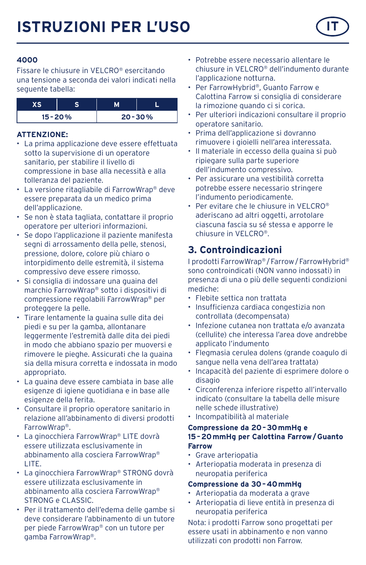

Fissare le chiusure in VELCRO® esercitando una tensione a seconda dei valori indicati nella seguente tabella:

| $15 - 20%$ |  | $20 - 30%$ |
|------------|--|------------|

#### **ATTENZIONE:**

- La prima applicazione deve essere effettuata sotto la supervisione di un operatore sanitario, per stabilire il livello di compressione in base alla necessità e alla tolleranza del paziente.
- La versione ritagliabile di FarrowWrap® deve essere preparata da un medico prima dell'applicazione.
- Se non è stata tagliata, contattare il proprio operatore per ulteriori informazioni.
- Se dopo l'applicazione il paziente manifesta segni di arrossamento della pelle, stenosi, pressione, dolore, colore più chiaro o intorpidimento delle estremità, il sistema compressivo deve essere rimosso.
- Si consiglia di indossare una guaina del marchio FarrowWrap® sotto i dispositivi di compressione regolabili FarrowWrap® per proteggere la pelle.
- Tirare lentamente la guaina sulle dita dei piedi e su per la gamba, allontanare leggermente l'estremità dalle dita dei piedi in modo che abbiano spazio per muoversi e rimovere le pieghe. Assicurati che la guaina sia della misura corretta e indossata in modo appropriato.
- La guaina deve essere cambiata in base alle esigenze di igiene quotidiana e in base alle esigenze della ferita.
- Consultare il proprio operatore sanitario in relazione all'abbinamento di diversi prodotti FarrowWrap®.
- La ginocchiera FarrowWrap® LITE dovrà essere utilizzata esclusivamente in abbinamento alla cosciera FarrowWrap® LITE.
- La ginocchiera FarrowWrap® STRONG dovrà essere utilizzata esclusivamente in abbinamento alla cosciera FarrowWrap® STRONG e CLASSIC.
- Per il trattamento dell'edema delle gambe si deve considerare l'abbinamento di un tutore per piede FarrowWrap® con un tutore per gamba FarrowWrap®.
- Potrebbe essere necessario allentare le chiusure in VELCRO® dell'indumento durante l'applicazione notturna.
- Per FarrowHybrid®, Guanto Farrow e Calottina Farrow si consiglia di considerare la rimozione quando ci si corica.
- Per ulteriori indicazioni consultare il proprio operatore sanitario.
- Prima dell'applicazione si dovranno rimuovere i gioielli nell'area interessata.
- Il materiale in eccesso della guaina si può ripiegare sulla parte superiore dell'indumento compressivo.
- Per assicurare una vestibilità corretta potrebbe essere necessario stringere l'indumento periodicamente.
- Per evitare che le chiusure in VELCRO® aderiscano ad altri oggetti, arrotolare ciascuna fascia su sé stessa e apporre le chiusure in VELCRO®.

## **3. Controindicazioni**

I prodotti FarrowWrap® /Farrow/FarrowHybrid® sono controindicati (NON vanno indossati) in presenza di una o più delle seguenti condizioni mediche:

- Flebite settica non trattata
- Insufficienza cardiaca congestizia non controllata (decompensata)
- Infezione cutanea non trattata e/o avanzata (cellulite) che interessa l'area dove andrebbe applicato l'indumento
- Flegmasia cerulea dolens (grande coagulo di sangue nella vena dell'area trattata)
- Incapacità del paziente di esprimere dolore o disagio
- Circonferenza inferiore rispetto all'intervallo indicato (consultare la tabella delle misure nelle schede illustrative)
- Incompatibilità al materiale

#### **Compressione da 20–30mmHg e 15–20mmHg per Calottina Farrow/Guanto Farrow**

- Grave arteriopatia
- Arteriopatia moderata in presenza di neuropatia periferica

#### **Compressione da 30–40mmHg**

- Arteriopatia da moderata a grave
- Arteriopatia di lieve entità in presenza di neuropatia periferica

Nota: i prodotti Farrow sono progettati per essere usati in abbinamento e non vanno utilizzati con prodotti non Farrow.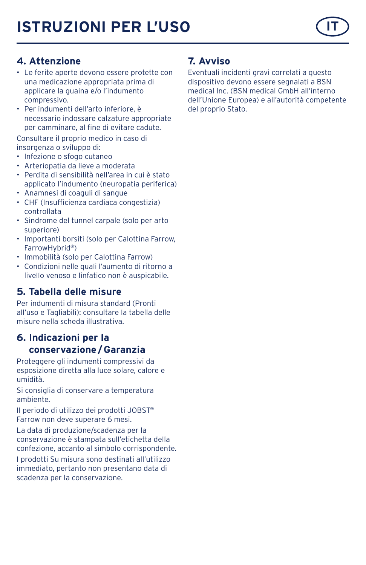## **4. Attenzione**

- Le ferite aperte devono essere protette con una medicazione appropriata prima di applicare la guaina e/o l'indumento compressivo.
- Per indumenti dell'arto inferiore, è necessario indossare calzature appropriate per camminare, al fine di evitare cadute.

Consultare il proprio medico in caso di insorgenza o sviluppo di:

- Infezione o sfogo cutaneo
- Arteriopatia da lieve a moderata
- Perdita di sensibilità nell'area in cui è stato applicato l'indumento (neuropatia periferica)
- Anamnesi di coaguli di sangue
- CHF (Insufficienza cardiaca congestizia) controllata
- Sindrome del tunnel carpale (solo per arto superiore)
- Importanti borsiti (solo per Calottina Farrow, FarrowHybrid®)
- Immobilità (solo per Calottina Farrow)
- Condizioni nelle quali l'aumento di ritorno a livello venoso e linfatico non è auspicabile.

## **5. Tabella delle misure**

Per indumenti di misura standard (Pronti all'uso e Tagliabili): consultare la tabella delle misure nella scheda illustrativa.

## **6. Indicazioni per la conservazione/Garanzia**

Proteggere gli indumenti compressivi da esposizione diretta alla luce solare, calore e umidità.

Si consiglia di conservare a temperatura ambiente.

Il periodo di utilizzo dei prodotti JOBST® Farrow non deve superare 6 mesi.

La data di produzione/scadenza per la conservazione è stampata sull'etichetta della confezione, accanto al simbolo corrispondente.

I prodotti Su misura sono destinati all'utilizzo immediato, pertanto non presentano data di scadenza per la conservazione.

## **7. Avviso**

Eventuali incidenti gravi correlati a questo dispositivo devono essere segnalati a BSN medical Inc. (BSN medical GmbH all'interno dell'Unione Europea) e all'autorità competente del proprio Stato.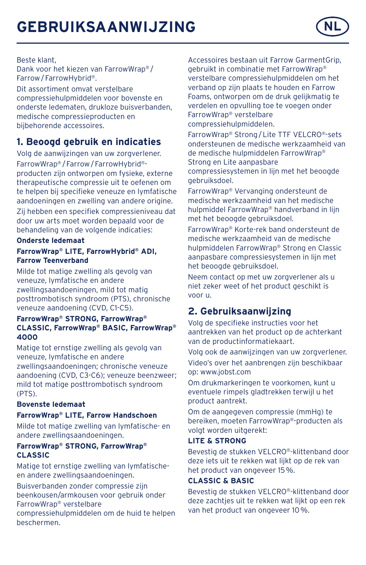

Beste klant,

Dank voor het kiezen van FarrowWrap® / Farrow/FarrowHybrid®.

Dit assortiment omvat verstelbare compressiehulpmiddelen voor bovenste en onderste ledematen, drukloze buisverbanden, medische compressieproducten en bijbehorende accessoires.

## **1. Beoogd gebruik en indicaties**

Volg de aanwijzingen van uw zorgverlener. FarrowWrap® /Farrow/FarrowHybrid® producten zijn ontworpen om fysieke, externe therapeutische compressie uit te oefenen om te helpen bij specifieke veneuze en lymfatische aandoeningen en zwelling van andere origine.

Zij hebben een specifiek compressieniveau dat door uw arts moet worden bepaald voor de behandeling van de volgende indicaties:

#### **Onderste ledemaat**

#### **FarrowWrap® LITE, FarrowHybrid® ADI, Farrow Teenverband**

Milde tot matige zwelling als gevolg van veneuze, lymfatische en andere zwellingsaandoeningen, mild tot matig posttrombotisch syndroom (PTS), chronische veneuze aandoening (CVD, C1-C5).

#### **FarrowWrap® STRONG, FarrowWrap® CLASSIC, FarrowWrap® BASIC, FarrowWrap® 4000**

Matige tot ernstige zwelling als gevolg van veneuze, lymfatische en andere zwellingsaandoeningen; chronische veneuze aandoening (CVD, C3-C6); veneuze beenzweer; mild tot matige posttrombotisch syndroom (PTS).

#### **Bovenste ledemaat**

#### **FarrowWrap® LITE, Farrow Handschoen**

Milde tot matige zwelling van lymfatische- en andere zwellingsaandoeningen.

#### **FarrowWrap® STRONG, FarrowWrap® CLASSIC**

Matige tot ernstige zwelling van lymfatischeen andere zwellingsaandoeningen.

Buisverbanden zonder compressie zijn beenkousen/armkousen voor gebruik onder FarrowWrap® verstelbare

compressiehulpmiddelen om de huid te helpen beschermen.

Accessoires bestaan uit Farrow GarmentGrip, gebruikt in combinatie met FarrowWrap® verstelbare compressiehulpmiddelen om het verband op zijn plaats te houden en Farrow Foams, ontworpen om de druk gelijkmatig te verdelen en opvulling toe te voegen onder FarrowWrap® verstelbare compressiehulpmiddelen.

FarrowWrap® Strong/Lite TTF VELCRO®-sets ondersteunen de medische werkzaamheid van de medische hulpmiddelen FarrowWrap® Strong en Lite aanpasbare compressiesystemen in lijn met het beoogde

gebruiksdoel.

FarrowWrap® Vervanging ondersteunt de medische werkzaamheid van het medische hulpmiddel FarrowWrap® handverband in lijn met het beoogde gebruiksdoel.

FarrowWrap® Korte-rek band ondersteunt de medische werkzaamheid van de medische hulpmiddelen FarrowWrap® Strong en Classic aanpasbare compressiesystemen in lijn met het beoogde gebruiksdoel.

Neem contact op met uw zorgverlener als u niet zeker weet of het product geschikt is voor u.

## **2. Gebruiksaanwijzing**

Volg de specifieke instructies voor het aantrekken van het product op de achterkant van de productinformatiekaart.

Volg ook de aanwijzingen van uw zorgverlener. Video's over het aanbrengen zijn beschikbaar op: www.jobst.com

Om drukmarkeringen te voorkomen, kunt u eventuele rimpels gladtrekken terwijl u het product aantrekt.

Om de aangegeven compressie (mmHg) te bereiken, moeten FarrowWrap®-producten als volgt worden uitgerekt:

#### **LITE & STRONG**

Bevestig de stukken VELCRO®-klittenband door deze iets uit te rekken wat lijkt op de rek van het product van ongeveer 15%.

#### **CLASSIC & BASIC**

Bevestig de stukken VELCRO®-klittenband door deze zachtjes uit te rekken wat lijkt op een rek van het product van ongeveer 10%.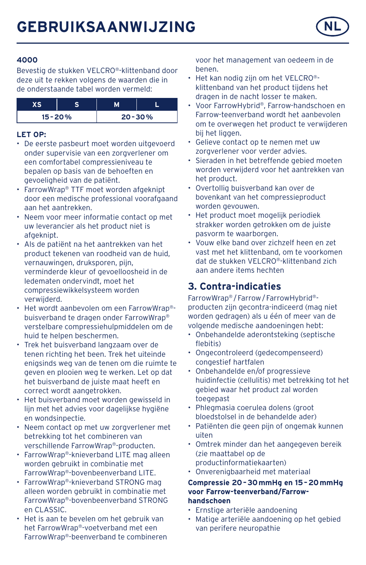

#### **4000**

Bevestig de stukken VELCRO®-klittenband door deze uit te rekken volgens de waarden die in de onderstaande tabel worden vermeld:

| $15 - 20%$ |  | $20 - 30%$ |
|------------|--|------------|

### **LET OP:**

- De eerste pasbeurt moet worden uitgevoerd onder supervisie van een zorgverlener om een comfortabel compressieniveau te bepalen op basis van de behoeften en gevoeligheid van de patiënt.
- FarrowWrap® TTF moet worden afgeknipt door een medische professional voorafgaand aan het aantrekken.
- Neem voor meer informatie contact op met uw leverancier als het product niet is afgeknipt.
- Als de patiënt na het aantrekken van het product tekenen van roodheid van de huid, vernauwingen, druksporen, pijn, verminderde kleur of gevoelloosheid in de ledematen ondervindt, moet het compressiewikkelsysteem worden verwijderd.
- Het wordt aanbevolen om een FarrowWrap® buisverband te dragen onder FarrowWrap® verstelbare compressiehulpmiddelen om de huid te helpen beschermen.
- Trek het buisverband langzaam over de tenen richting het been. Trek het uiteinde enigsinds weg van de tenen om die ruimte te geven en plooien weg te werken. Let op dat het buisverband de juiste maat heeft en correct wordt aangetrokken.
- Het buisverband moet worden gewisseld in lijn met het advies voor dagelijkse hygiëne en wondsinpectie.
- Neem contact op met uw zorgverlener met betrekking tot het combineren van verschillende FarrowWrap®-producten.
- FarrowWrap®-knieverband LITE mag alleen worden gebruikt in combinatie met FarrowWrap®-bovenbeenverband LITE.
- FarrowWrap®-knieverband STRONG mag alleen worden gebruikt in combinatie met FarrowWrap®-bovenbeenverband STRONG en CLASSIC.
- Het is aan te bevelen om het gebruik van het FarrowWrap®-voetverband met een FarrowWrap®-beenverband te combineren

voor het management van oedeem in de benen.

- Het kan nodig zijn om het VELCRO® klittenband van het product tijdens het dragen in de nacht losser te maken.
- Voor FarrowHybrid®, Farrow-handschoen en Farrow-teenverband wordt het aanbevolen om te overwegen het product te verwijderen bij het liggen.
- Gelieve contact op te nemen met uw zorgverlener voor verder advies.
- Sieraden in het betreffende gebied moeten worden verwijderd voor het aantrekken van het product.
- Overtollig buisverband kan over de bovenkant van het compressieproduct worden gevouwen.
- Het product moet mogelijk periodiek strakker worden getrokken om de juiste pasvorm te waarborgen.
- Vouw elke band over zichzelf heen en zet vast met het klittenband, om te voorkomen dat de stukken VELCRO®-klittenband zich aan andere items hechten

## **3. Contra-indicaties**

FarrowWrap® /Farrow/FarrowHybrid® producten zijn gecontra-indiceerd (mag niet worden gedragen) als u één of meer van de volgende medische aandoeningen hebt:

- Onbehandelde aderontsteking (septische flebitis)
- Ongecontroleerd (gedecompenseerd) congestief hartfalen
- Onbehandelde en/of progressieve huidinfectie (cellulitis) met betrekking tot het gebied waar het product zal worden toegepast
- Phlegmasia coerulea dolens (groot bloedstolsel in de behandelde ader)
- Patiënten die geen pijn of ongemak kunnen uiten
- Omtrek minder dan het aangegeven bereik (zie maattabel op de productinformatiekaarten)
- Onverenigbaarheid met materiaal

#### **Compressie 20–30mmHg en 15–20mmHg voor Farrow-teenverband/Farrowhandschoen**

- Ernstige arteriële aandoening
- Matige arteriële aandoening op het gebied van perifere neuropathie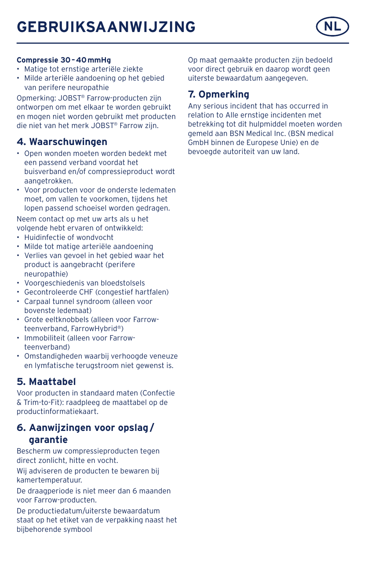# **GEBRUIKSAANWIJZING NL**



#### **Compressie 30–40mmHg**

- Matige tot ernstige arteriële ziekte
- Milde arteriële aandoening op het gebied van perifere neuropathie

Opmerking: JOBST® Farrow-producten zijn ontworpen om met elkaar te worden gebruikt en mogen niet worden gebruikt met producten die niet van het merk JOBST® Farrow zijn.

### **4. Waarschuwingen**

- Open wonden moeten worden bedekt met een passend verband voordat het buisverband en/of compressieproduct wordt aangetrokken.
- Voor producten voor de onderste ledematen moet, om vallen te voorkomen, tijdens het lopen passend schoeisel worden gedragen.

Neem contact op met uw arts als u het volgende hebt ervaren of ontwikkeld:

- Huidinfectie of wondvocht
- Milde tot matige arteriële aandoening
- Verlies van gevoel in het gebied waar het product is aangebracht (perifere neuropathie)
- Voorgeschiedenis van bloedstolsels
- Gecontroleerde CHF (congestief hartfalen)
- Carpaal tunnel syndroom (alleen voor bovenste ledemaat)
- Grote eeltknobbels (alleen voor Farrowteenverband, FarrowHybrid®)
- Immobiliteit (alleen voor Farrowteenverband)
- Omstandigheden waarbij verhoogde veneuze en lymfatische terugstroom niet gewenst is.

## **5. Maattabel**

Voor producten in standaard maten (Confectie & Trim-to-Fit): raadpleeg de maattabel op de productinformatiekaart.

### **6. Aanwijzingen voor opslag/ garantie**

Bescherm uw compressieproducten tegen direct zonlicht, hitte en vocht.

Wij adviseren de producten te bewaren bij kamertemperatuur.

De draagperiode is niet meer dan 6 maanden voor Farrow-producten.

De productiedatum/uiterste bewaardatum staat op het etiket van de verpakking naast het bijbehorende symbool

Op maat gemaakte producten zijn bedoeld voor direct gebruik en daarop wordt geen uiterste bewaardatum aangegeven.

### **7. Opmerking**

Any serious incident that has occurred in relation to Alle ernstige incidenten met betrekking tot dit hulpmiddel moeten worden gemeld aan BSN Medical Inc. (BSN medical GmbH binnen de Europese Unie) en de bevoegde autoriteit van uw land.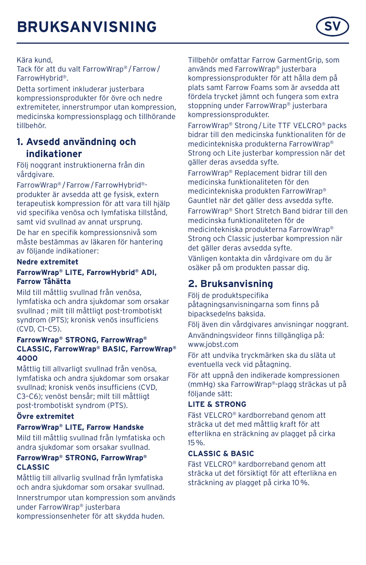

Kära kund,

Tack för att du valt FarrowWrap® /Farrow/ FarrowHybrid®.

Detta sortiment inkluderar justerbara kompressionsprodukter för övre och nedre extremiteter, innerstrumpor utan kompression, medicinska kompressionsplagg och tillhörande tillbehör.

## **1. Avsedd användning och indikationer**

Följ noggrant instruktionerna från din vårdgivare.

FarrowWrap® /Farrow/FarrowHybrid® produkter är avsedda att ge fysisk, extern terapeutisk kompression för att vara till hjälp vid specifika venösa och lymfatiska tillstånd, samt vid svullnad av annat ursprung.

De har en specifik kompressionsnivå som måste bestämmas av läkaren för hantering av följande indikationer:

#### **Nedre extremitet**

#### **FarrowWrap® LITE, FarrowHybrid® ADI, Farrow Tåhätta**

Mild till måttlig svullnad från venösa, lymfatiska och andra sjukdomar som orsakar svullnad ; milt till måttligt post-trombotiskt syndrom (PTS); kronisk venös insufficiens (CVD, C1–C5).

#### **FarrowWrap® STRONG, FarrowWrap® CLASSIC, FarrowWrap® BASIC, FarrowWrap® 4000**

Måttlig till allvarligt svullnad från venösa, lymfatiska och andra sjukdomar som orsakar svullnad; kronisk venös insufficiens (CVD, C3–C6); venöst bensår; milt till måttligt post-trombotiskt syndrom (PTS).

#### **Övre extremitet**

#### **FarrowWrap® LITE, Farrow Handske**

Mild till måttlig svullnad från lymfatiska och andra sjukdomar som orsakar svullnad.

#### **FarrowWrap® STRONG, FarrowWrap® CLASSIC**

Måttlig till allvarlig svullnad från lymfatiska och andra sjukdomar som orsakar svullnad.

Innerstrumpor utan kompression som används under FarrowWrap® justerbara kompressionsenheter för att skydda huden.

Tillbehör omfattar Farrow GarmentGrip, som används med FarrowWrap® justerbara kompressionsprodukter för att hålla dem på plats samt Farrow Foams som är avsedda att fördela trycket jämnt och fungera som extra stoppning under FarrowWrap® justerbara kompressionsprodukter.

FarrowWrap® Strong/Lite TTF VELCRO® packs bidrar till den medicinska funktionaliten för de medicintekniska produkterna FarrowWrap® Strong och Lite justerbar kompression när det gäller deras avsedda syfte.

FarrowWrap® Replacement bidrar till den medicinska funktionaliteten för den medicintekniska produkten FarrowWrap® Gauntlet när det gäller dess avsedda syfte. FarrowWrap® Short Stretch Band bidrar till den medicinska funktionaliteten för de medicintekniska produkterna FarrowWrap® Strong och Classic justerbar kompression när det gäller deras avsedda syfte. Vänligen kontakta din vårdgivare om du är osäker på om produkten passar dig.

## **2. Bruksanvisning**

Följ de produktspecifika påtagningsanvisningarna som finns på bipacksedelns baksida.

Följ även din vårdgivares anvisningar noggrant.

Användningsvideor finns tillgängliga på: www.jobst.com

För att undvika tryckmärken ska du släta ut eventuella veck vid påtagning.

För att uppnå den indikerade kompressionen (mmHg) ska FarrowWrap®-plagg sträckas ut på följande sätt:

#### **LITE & STRONG**

Fäst VELCRO® kardborreband genom att sträcka ut det med måttlig kraft för att efterlikna en sträckning av plagget på cirka 15%.

#### **CLASSIC & BASIC**

Fäst VELCRO® kardborreband genom att sträcka ut det försiktigt för att efterlikna en sträckning av plagget på cirka 10%.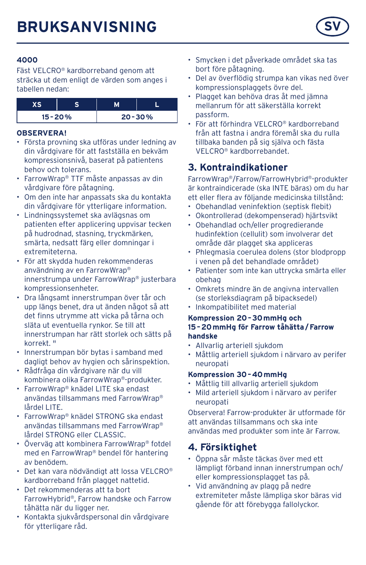

#### **4000**

Fäst VELCRO® kardborreband genom att sträcka ut dem enligt de värden som anges i tabellen nedan:

| $15 - 20%$ |  | $20 - 30%$ |
|------------|--|------------|

#### **OBSERVERA!**

- Första provning ska utföras under ledning av din vårdgivare för att fastställa en bekväm kompressionsnivå, baserat på patientens behov och tolerans.
- FarrowWrap® TTF måste anpassas av din vårdgivare före påtagning.
- Om den inte har anpassats ska du kontakta din vårdgivare för ytterligare information.
- Lindningssystemet ska avlägsnas om patienten efter applicering uppvisar tecken på hudrodnad, stasning, tryckmärken, smärta, nedsatt färg eller domningar i extremiteterna.
- För att skydda huden rekommenderas användning av en FarrowWrap® innerstrumpa under FarrowWrap® justerbara kompressionsenheter.
- Dra långsamt innerstrumpan över tår och upp längs benet, dra ut änden något så att det finns utrymme att vicka på tårna och släta ut eventuella rynkor. Se till att innerstrumpan har rätt storlek och sätts på korrekt. "
- Innerstrumpan bör bytas i samband med dagligt behov av hygien och sårinspektion.
- Rådfråga din vårdgivare när du vill kombinera olika FarrowWrap®-produkter.
- FarrowWrap® knädel LITE ska endast användas tillsammans med FarrowWrap® lårdel LITE.
- FarrowWrap® knädel STRONG ska endast användas tillsammans med FarrowWrap® lårdel STRONG eller CLASSIC.
- Överväg att kombinera FarrowWrap® fotdel med en FarrowWrap® bendel för hantering av benödem.
- Det kan vara nödvändigt att lossa VELCRO® kardborreband från plagget nattetid.
- Det rekommenderas att ta bort FarrowHybrid®, Farrow handske och Farrow tåhätta när du ligger ner.
- Kontakta sjukvårdspersonal din vårdgivare för ytterligare råd.
- Smycken i det påverkade området ska tas bort före påtagning.
- Del av överflödig strumpa kan vikas ned över kompressionsplaggets övre del
- Plagget kan behöva dras åt med jämna mellanrum för att säkerställa korrekt passform.
- För att förhindra VELCRO® kardborreband från att fastna i andra föremål ska du rulla tillbaka banden på sig själva och fästa VELCRO® kardborrebandet.

## **3. Kontraindikationer**

FarrowWrap®/Farrow/FarrowHybrid®-produkter är kontraindicerade (ska INTE bäras) om du har ett eller flera av följande medicinska tillstånd:

- Obehandlad veninfektion (septisk flebit)
- Okontrollerad (dekompenserad) hjärtsvikt
- Obehandlad och/eller progredierande hudinfektion (cellulit) som involverar det område där plagget ska appliceras
- Phlegmasia coerulea dolens (stor blodpropp i venen på det behandlade området)
- Patienter som inte kan uttrycka smärta eller obehag
- Omkrets mindre än de angivna intervallen (se storleksdiagram på bipacksedel)
- Inkompatibilitet med material

#### **Kompression 20–30mmHg och 15–20mmHg för Farrow tåhätta/Farrow handske**

- Allvarlig arteriell sjukdom
- Måttlig arteriell sjukdom i närvaro av perifer neuropati

#### **Kompression 30–40mmHg**

- Måttlig till allvarlig arteriell sjukdom
- Mild arteriell sjukdom i närvaro av perifer neuropati

Observera! Farrow-produkter är utformade för att användas tillsammans och ska inte användas med produkter som inte är Farrow.

## **4. Försiktighet**

- Öppna sår måste täckas över med ett lämpligt förband innan innerstrumpan och/ eller kompressionsplagget tas på.
- Vid användning av plagg på nedre extremiteter måste lämpliga skor bäras vid gående för att förebygga fallolyckor.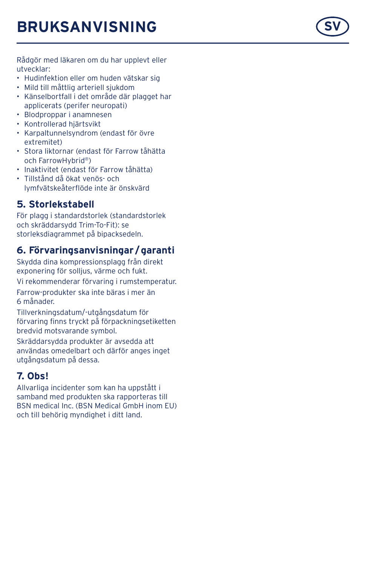Rådgör med läkaren om du har upplevt eller utvecklar:

- Hudinfektion eller om huden vätskar sig
- Mild till måttlig arteriell sjukdom
- Känselbortfall i det område där plagget har applicerats (perifer neuropati)
- Blodproppar i anamnesen
- Kontrollerad hjärtsvikt
- Karpaltunnelsyndrom (endast för övre extremitet)
- Stora liktornar (endast för Farrow tåhätta och FarrowHybrid ® )
- Inaktivitet (endast för Farrow tåhätta)
- Tillstånd då ökat venös- och lymfvätskeåterflöde inte är önskvärd

### **5. Storlekstabell**

För plagg i standardstorlek (standardstorlek och skräddarsydd Trim-To-Fit): se storleksdiagrammet på bipacksedeln.

### **6. Förvaringsanvisningar /garanti**

Skydda dina kompressionsplagg från direkt exponering för solljus, värme och fukt.

Vi rekommenderar förvaring i rumstemperatur.

Farrow-produkter ska inte bäras i mer än<br>6 månader

Tillverkningsdatum/-utgångsdatum för förvaring finns tryckt på förpackningsetiketten bredvid motsvarande symbol.

Skräddarsydda produkter är avsedda att användas omedelbart och därför anges inget utgångsdatum på dessa.

## **7. Obs!**

Allvarliga incidenter som kan ha uppstått i samband med produkten ska rapporteras till BSN medical Inc. (BSN Medical GmbH inom EU) och till behörig myndighet i ditt land.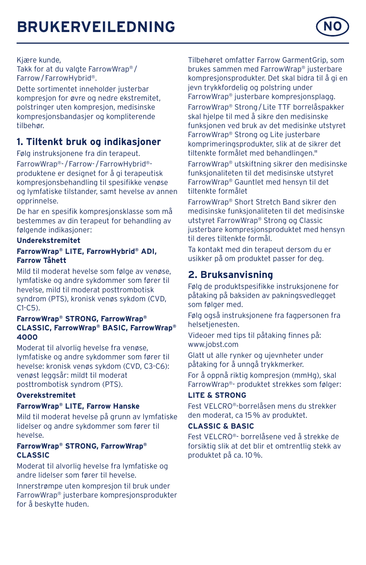## **BRUKERVEILEDNING**



#### Kjære kunde,

Takk for at du valgte FarrowWrap®/ Farrow/ FarrowHybrid®.

Dette sortimentet inneholder justerbar kompresjon for øvre og nedre ekstremitet, polstringer uten kompresjon, medisinske kompresjonsbandasjer og kompliterende tilbehør.

## **1. Tiltenkt bruk og indikasjoner**

Følg instruksjonene fra din terapeut. FarrowWrap®- /Farrow- /FarrowHybrid® produktene er designet for å gi terapeutisk kompresjonsbehandling til spesifikke venøse og lymfatiske tilstander, samt hevelse av annen opprinnelse.

De har en spesifik kompresjonsklasse som må bestemmes av din terapeut for behandling av følgende indikasjoner:

#### **Underekstremitet**

#### **FarrowWrap® LITE, FarrowHybrid® ADI, Farrow Tåhett**

Mild til moderat hevelse som følge av venøse, lymfatiske og andre sykdommer som fører til hevelse, mild til moderat posttrombotisk syndrom (PTS), kronisk venøs sykdom (CVD, C1-C5).

#### **FarrowWrap® STRONG, FarrowWrap® CLASSIC, FarrowWrap® BASIC, FarrowWrap® 4000**

Moderat til alvorlig hevelse fra venøse, lymfatiske og andre sykdommer som fører til hevelse: kronisk venøs sykdom (CVD, C3-C6): venøst leggsår: mildt til moderat posttrombotisk syndrom (PTS).

#### **Overekstremitet**

#### **FarrowWrap® LITE, Farrow Hanske**

Mild til moderat hevelse på grunn av lymfatiske lidelser og andre sykdommer som fører til hevelse.

#### **FarrowWrap® STRONG, FarrowWrap® CLASSIC**

Moderat til alvorlig hevelse fra lymfatiske og andre lidelser som fører til hevelse.

Innerstrømpe uten kompresjon til bruk under FarrowWrap® justerbare kompresjonsprodukter for å beskytte huden.

Tilbehøret omfatter Farrow GarmentGrip, som brukes sammen med FarrowWrap® justerbare kompresjonsprodukter. Det skal bidra til å gi en jevn trykkfordelig og polstring under FarrowWrap® justerbare kompresjonsplagg. FarrowWrap® Strong/Lite TTF borrelåspakker skal hjelpe til med å sikre den medisinske funksjonen ved bruk av det medisinke utstyret FarrowWrap® Strong og Lite justerbare komprimeringsprodukter, slik at de sikrer det tiltenkte formålet med behandlingen."

FarrowWrap® utskiftning sikrer den medisinske funksjonaliteten til det medisinske utstyret FarrowWrap® Gauntlet med hensyn til det tiltenkte formålet

FarrowWrap® Short Stretch Band sikrer den medisinske funksjonaliteten til det medisinske utstyret FarrowWrap® Strong og Classic justerbare kompresjonsproduktet med hensyn til deres tiltenkte formål.

Ta kontakt med din terapeut dersom du er usikker på om produktet passer for deg.

## **2. Bruksanvisning**

Følg de produktspesifikke instruksjonene for påtaking på baksiden av pakningsvedlegget som følger med.

Følg også instruksjonene fra fagpersonen fra helsetjenesten.

Videoer med tips til påtaking finnes på: www.jobst.com

Glatt ut alle rynker og ujevnheter under påtaking for å unngå trykkmerker.

For å oppnå riktig kompresjon (mmHg), skal FarrowWrap®- produktet strekkes som følger:

#### **LITE & STRONG**

Fest VELCRO®-borrelåsen mens du strekker den moderat, ca 15% av produktet.

#### **CLASSIC & BASIC**

Fest VELCRO®- borrelåsene ved å strekke de forsiktig slik at det blir et omtrentlig stekk av produktet på ca. 10%.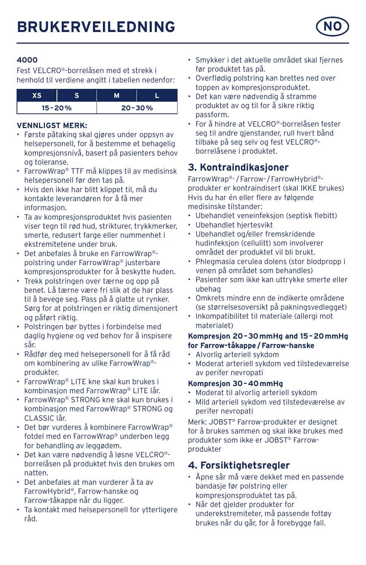

Fest VELCRO®-borrelåsen med et strekk i henhold til verdiene angitt i tabellen nedenfor:

| $15 - 20%$ |  | $20 - 30%$ |
|------------|--|------------|

#### **VENNLIGST MERK:**

- Første påtaking skal gjøres under oppsyn av helsepersonell, for å bestemme et behagelig kompresjonsnivå, basert på pasienters behov og toleranse.
- FarrowWrap® TTF må klippes til av medisinsk helsepersonell før den tas på.
- Hvis den ikke har blitt klippet til, må du kontakte leverandøren for å få mer informasjon.
- Ta av kompresjonsproduktet hvis pasienten viser tegn til rød hud, strikturer, trykkmerker, smerte, redusert farge eller nummenhet i ekstremitetene under bruk.
- Det anbefales å bruke en FarrowWrap® polstring under FarrowWrap® justerbare kompresjonsprodukter for å beskytte huden.
- Trekk polstringen over tærne og opp på benet. Lå tærne være fri slik at de har plass til å bevege seg. Pass på å glatte ut rynker. Sørg for at polstringen er riktig dimensjonert og påført riktig.
- Polstringen bør byttes i forbindelse med daglig hygiene og ved behov for å inspisere sår.
- Rådfør deg med helsepersonell for å få råd om kombinering av ulike FarrowWrap® produkter.
- FarrowWrap® LITE kne skal kun brukes i kombinasjon med FarrowWrap® LITE lår.
- FarrowWrap® STRONG kne skal kun brukes i kombinasjon med FarrowWrap® STRONG og CLASSIC lår.
- Det bør vurderes å kombinere FarrowWrap® fotdel med en FarrowWrap® underben legg for behandling av leggødem.
- Det kan være nødvendig å løsne VELCRO® borrelåsen på produktet hvis den brukes om natten.
- Det anbefales at man vurderer å ta av FarrowHybrid®, Farrow-hanske og Farrow-tåkappe når du ligger.
- Ta kontakt med helsepersonell for ytterligere råd.
- Smykker i det aktuelle området skal fjernes før produktet tas på.
- Overflødig polstring kan brettes ned over toppen av kompresjonsproduktet.
- Det kan være nødvendig å stramme produktet av og til for å sikre riktig passform.
- For å hindre at VELCRO®-borrelåsen fester seg til andre gjenstander, rull hvert bånd tilbake på seg selv og fest VELCRO® borrelåsene i produktet.

## **3. Kontraindikasjoner**

FarrowWrap®- /Farrow- /FarrowHybrid® produkter er kontraindisert (skal IKKE brukes) Hvis du har én eller flere av følgende medisinske tilstander:

- Ubehandlet veneinfeksjon (septisk flebitt)
- Ubehandlet hjertesvikt
- Ubehandlet og/eller fremskridende hudinfeksjon (cellulitt) som involverer området der produktet vil bli brukt.
- Phlegmasia cerulea dolens (stor blodpropp i venen på området som behandles)
- Pasienter som ikke kan uttrykke smerte eller ubehag
- Omkrets mindre enn de indikerte områdene (se størrelsesoversikt på pakningsvedlegget)
- Inkompatibilitet til materiale (allergi mot materialet)

#### **Kompresjon 20–30mmHg and 15–20mmHg for Farrow-tåkappe/Farrow-hanske**

- Alvorlig arteriell sykdom
- Moderat arteriell sykdom ved tilstedeværelse av perifer nevropati

#### **Kompresjon 30–40mmHg**

- Moderat til alvorlig arteriell sykdom
- Mild arteriell sykdom ved tilstedeværelse av perifer nevropati

Merk: JOBST® Farrow-produkter er designet for å brukes sammen og skal ikke brukes med produkter som ikke er JOBST® Farrowprodukter

## **4. Forsiktighetsregler**

- Åpne sår må være dekket med en passende bandasje før polstring eller kompresjonsproduktet tas på.
- Når det gjelder produkter for underekstremiteter, må passende fottøy brukes når du går, for å forebygge fall.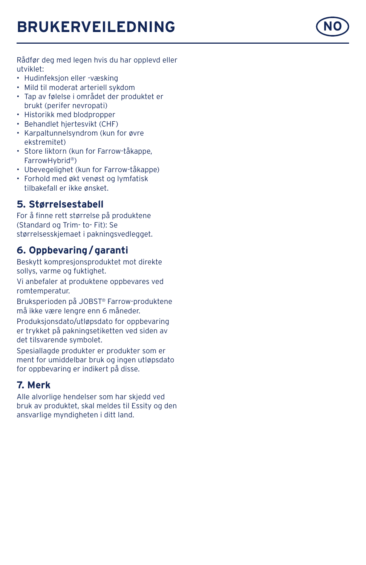# **BRUKERVEILEDNING NO**

Rådfør deg med legen hvis du har opplevd eller utviklet:

- Hudinfeksjon eller -væsking
- Mild til moderat arteriell sykdom
- Tap av følelse i området der produktet er brukt (perifer nevropati)
- Historikk med blodpropper
- Behandlet hjertesvikt (CHF)
- Karpaltunnelsyndrom (kun for øvre ekstremitet)
- Store liktorn (kun for Farrow-tåkappe, FarrowHybrid ® )
- Ubevegelighet (kun for Farrow-tåkappe)
- Forhold med økt venøst og lymfatisk tilbakefall er ikke ønsket.

### **5. Størrelsestabell**

For å finne rett størrelse på produktene (Standard og Trim- to- Fit): Se størrelsesskjemaet i pakningsvedlegget.

### **6. Oppbevaring /garanti**

Beskytt kompresjonsproduktet mot direkte sollys, varme og fuktighet.

Vi anbefaler at produktene oppbevares ved romtemperatur.

Bruksperioden på JOBST ® Farrow-produktene må ikke være lengre enn 6 måneder.

Produksjonsdato/utløpsdato for oppbevaring er trykket på pakningsetiketten ved siden av det tilsvarende symbolet.

Spesiallagde produkter er produkter som er ment for umiddelbar bruk og ingen utløpsdato for oppbevaring er indikert på disse.

## **7. Merk**

Alle alvorlige hendelser som har skjedd ved bruk av produktet, skal meldes til Essity og den ansvarlige myndigheten i ditt land.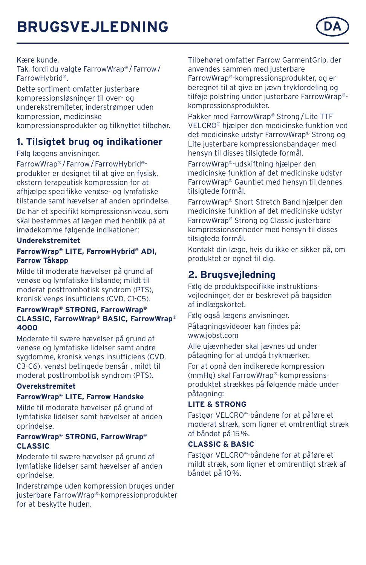

#### Kære kunde,

Tak, fordi du valgte FarrowWrap® / Farrow / FarrowHybrid®.

Dette sortiment omfatter justerbare kompressionsløsninger til over- og underekstremiteter, inderstrømper uden kompression, medicinske kompressionsprodukter og tilknyttet tilbehør.

## **1. Tilsigtet brug og indikationer**

Følg lægens anvisninger.

FarrowWrap® /Farrow/FarrowHybrid® produkter er designet til at give en fysisk, ekstern terapeutisk kompression for at afhjælpe specifikke venøse- og lymfatiske tilstande samt hævelser af anden oprindelse.

De har et specifikt kompressionsniveau, som skal bestemmes af lægen med henblik på at imødekomme følgende indikationer:

#### **Underekstremitet**

#### **FarrowWrap® LITE, FarrowHybrid® ADI, Farrow Tåkapp**

Milde til moderate hævelser på grund af venøse og lymfatiske tilstande; mildt til moderat posttrombotisk syndrom (PTS), kronisk venøs insufficiens (CVD, C1-C5).

#### **FarrowWrap® STRONG, FarrowWrap® CLASSIC, FarrowWrap® BASIC, FarrowWrap® 4000**

Moderate til svære hævelser på grund af venøse og lymfatiske lidelser samt andre sygdomme, kronisk venøs insufficiens (CVD, C3-C6), venøst betingede bensår , mildt til moderat posttrombotisk syndrom (PTS).

#### **Overekstremitet**

#### **FarrowWrap® LITE, Farrow Handske**

Milde til moderate hævelser på grund af lymfatiske lidelser samt hævelser af anden oprindelse.

#### **FarrowWrap® STRONG, FarrowWrap® CLASSIC**

Moderate til svære hævelser på grund af lymfatiske lidelser samt hævelser af anden oprindelse.

Inderstrømpe uden kompression bruges under justerbare FarrowWrap®-kompressionprodukter for at beskytte huden.

Tilbehøret omfatter Farrow GarmentGrip, der anvendes sammen med justerbare FarrowWrap®-kompressionsprodukter, og er beregnet til at give en jævn trykfordeling og tilføje polstring under justerbare FarrowWrap® kompressionsprodukter.

Pakker med FarrowWrap® Strong/Lite TTF VELCRO® hjælper den medicinske funktion ved det medicinske udstyr FarrowWrap® Strong og Lite justerbare kompressionsbandager med hensyn til disses tilsigtede formål.

FarrowWrap®-udskiftning hjælper den medicinske funktion af det medicinske udstyr FarrowWrap® Gauntlet med hensyn til dennes tilsigtede formål.

FarrowWrap® Short Stretch Band hjælper den medicinske funktion af det medicinske udstyr FarrowWrap® Strong og Classic justerbare kompressionsenheder med hensyn til disses tilsigtede formål.

Kontakt din læge, hvis du ikke er sikker på, om produktet er egnet til dig.

## **2. Brugsvejledning**

Følg de produktspecifikke instruktionsvejledninger, der er beskrevet på bagsiden af indlægskortet.

Følg også lægens anvisninger.

Påtagningsvideoer kan findes på: www.jobst.com

Alle ujævnheder skal jævnes ud under påtagning for at undgå trykmærker.

For at opnå den indikerede kompression (mmHg) skal FarrowWrap®-kompressionsproduktet strækkes på følgende måde under påtagning:

#### **LITE & STRONG**

Fastgør VELCRO®-båndene for at påføre et moderat stræk, som ligner et omtrentligt stræk af båndet på 15%.

#### **CLASSIC & BASIC**

Fastgør VELCRO®-båndene for at påføre et mildt stræk, som ligner et omtrentligt stræk af båndet på 10%.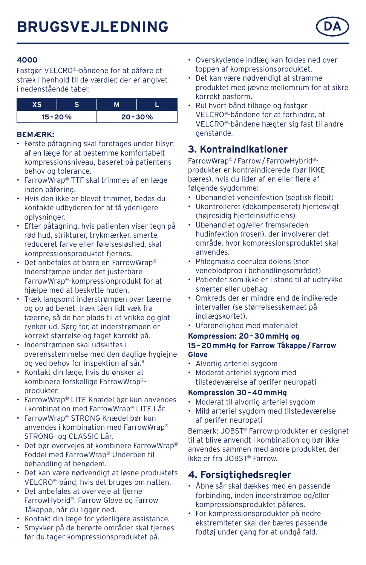

Fastgør VELCRO®-båndene for at påføre et stræk i henhold til de værdier, der er angivet i nedenstående tabel:

| $15 - 20%$ |  | $20 - 30%$ |
|------------|--|------------|

#### **BEMÆRK:**

- Første påtagning skal foretages under tilsyn af en læge for at bestemme komfortabelt kompressionsniveau, baseret på patientens behov og tolerance.
- FarrowWrap® TTF skal trimmes af en læge inden påføring.
- Hvis den ikke er blevet trimmet, bedes du kontakte udbyderen for at få yderligere oplysninger.
- Efter påtagning, hvis patienten viser tegn på rød hud, strikturer, trykmærker, smerte, reduceret farve eller følelsesløshed, skal kompressionsproduktet fjernes.
- Det anbefales at bære en FarrowWrap® Inderstrømpe under det justerbare FarrowWrap®-kompressionprodukt for at hjælpe med at beskytte huden.
- Træk langsomt inderstrømpen over tæerne og op ad benet, træk tåen lidt væk fra tæerne, så de har plads til at vrikke og glat rynker ud. Sørg for, at inderstrømpen er korrekt størrelse og taget korrekt på.
- Inderstrømpen skal udskiftes i overensstemmelse med den daglige hygiejne og ved behov for inspektion af sår."
- Kontakt din læge, hvis du ønsker at kombinere forskellige FarrowWrap® produkter.
- FarrowWrap® LITE Knædel bør kun anvendes i kombination med FarrowWrap® LITE Lår.
- FarrowWrap® STRONG Knædel bør kun anvendes i kombination med FarrowWrap® STRONG- og CLASSIC Lår.
- Det bør overvejes at kombinere FarrowWrap® Foddel med FarrowWrap® Underben til behandling af benødem.
- Det kan være nødvendigt at løsne produktets VELCRO®-bånd, hvis det bruges om natten.
- Det anbefales at overveje at fjerne FarrowHybrid®, Farrow Glove og Farrow Tåkappe, når du ligger ned.
- Kontakt din læge for yderligere assistance.
- Smykker på de berørte områder skal fjernes før du tager kompressionsproduktet på.
- Overskydende indlæg kan foldes ned over toppen af kompressionsproduktet.
- Det kan være nødvendigt at stramme produktet med jævne mellemrum for at sikre korrekt pasform.
- Rul hvert bånd tilbage og fastgør VELCRO®-båndene for at forhindre, at VELCRO®-båndene hægter sig fast til andre genstande.

# **3. Kontraindikationer**

FarrowWrap® /Farrow/FarrowHybrid® produkter er kontraindicerede (bør IKKE bæres), hvis du lider af en eller flere af følgende sygdomme:

- Ubehandlet veneinfektion (septisk flebit)
- Ukontrolleret (dekompenseret) hjertesvigt (højresidig hjerteinsufficiens)
- Ubehandlet og/eller fremskreden hudinfektion (rosen), der involverer det område, hvor kompressionsproduktet skal anvendes.
- Phlegmasia coerulea dolens (stor veneblodprop i behandlingsområdet)
- Patienter som ikke er i stand til at udtrykke smerter eller ubehag
- Omkreds der er mindre end de indikerede intervaller (se størrelsesskemaet på indlægskortet).
- Uforenelighed med materialet

#### **Kompression: 20–30mmHg og 15–20mmHg for Farrow Tåkappe/Farrow Glove**

- Alvorlig arteriel sygdom
- Moderat arteriel sygdom med tilstedeværelse af perifer neuropati

#### **Kompression 30–40mmHg**

- Moderat til alvorlig arteriel sygdom
- Mild arteriel sygdom med tilstedeværelse af perifer neuropati

Bemærk: JOBST® Farrow-produkter er designet til at blive anvendt i kombination og bør ikke anvendes sammen med andre produkter, der ikke er fra JOBST® Farrow.

# **4. Forsigtighedsregler**

- Åbne sår skal dækkes med en passende forbinding, inden inderstrømpe og/eller kompressionsproduktet påføres.
- For kompressionsprodukter på nedre ekstremiteter skal der bæres passende fodtøj under gang for at undgå fald.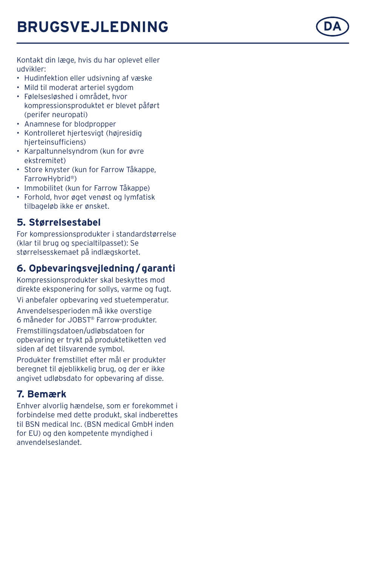

Kontakt din læge, hvis du har oplevet eller udvikler:

- Hudinfektion eller udsivning af væske
- Mild til moderat arteriel sygdom
- Følelsesløshed i området, hvor kompressionsproduktet er blevet påført (perifer neuropati)
- Anamnese for blodpropper
- Kontrolleret hjertesvigt (højresidig hierteinsufficiens)
- Karpaltunnelsyndrom (kun for øvre ekstremitet)
- Store knyster (kun for Farrow Tåkappe, FarrowHybrid ® )
- Immobilitet (kun for Farrow Tåkappe)
- Forhold, hvor øget venøst og lymfatisk tilbageløb ikke er ønsket.

## **5. Størrelsestabel**

For kompressionsprodukter i standardstørrelse (klar til brug og specialtilpasset): Se størrelsesskemaet på indlægskortet.

# **6. Opbevaringsvejledning /garanti**

Kompressionsprodukter skal beskyttes mod direkte eksponering for sollys, varme og fugt. Vi anbefaler opbevaring ved stuetemperatur.

Anvendelsesperioden må ikke overstige<br>6 måneder for JOBST® Farrow-produkter. Fremstillingsdatoen/udløbsdatoen for opbevaring er trykt på produktetiketten ved siden af det tilsvarende symbol.

Produkter fremstillet efter mål er produkter beregnet til øjeblikkelig brug, og der er ikke angivet udløbsdato for opbevaring af disse.

# **7. Bemærk**

Enhver alvorlig hændelse, som er forekommet i forbindelse med dette produkt, skal indberettes til BSN medical Inc. (BSN medical GmbH inden for EU) og den kompetente myndighed i anvendelseslandet.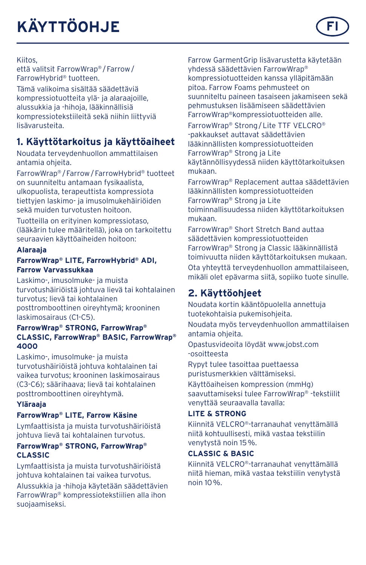# **KÄYTTÖOHJE**



Kiitos,

että valitsit FarrowWrap® /Farrow/ FarrowHybrid® tuotteen.

Tämä valikoima sisältää säädettäviä kompressiotuotteita ylä- ja alaraajoille, alussukkia ja -hihoja, lääkinnällisiä kompressiotekstiileitä sekä niihin liittyviä lisävarusteita.

# **1. Käyttötarkoitus ja käyttöaiheet**

Noudata terveydenhuollon ammattilaisen antamia ohjeita.

FarrowWrap® /Farrow/FarrowHybrid® tuotteet on suunniteltu antamaan fysikaalista, ulkopuolista, terapeuttista kompressiota tiettyjen laskimo- ja imusolmukehäiriöiden sekä muiden turvotusten hoitoon.

Tuotteilla on erityinen kompressiotaso, (lääkärin tulee määritellä), joka on tarkoitettu seuraavien käyttöaiheiden hoitoon:

#### **Alaraaja**

#### **FarrowWrap® LITE, FarrowHybrid® ADI, Farrow Varvassukkaa**

Laskimo-, imusolmuke- ja muista turvotushäiriöistä johtuva lievä tai kohtalainen turvotus; lievä tai kohtalainen posttromboottinen oireyhtymä; krooninen laskimosairaus (C1-C5).

#### **FarrowWrap® STRONG, FarrowWrap® CLASSIC, FarrowWrap® BASIC, FarrowWrap® 4000**

Laskimo-, imusolmuke- ja muista turvotushäiriöistä johtuva kohtalainen tai vaikea turvotus; krooninen laskimosairaus (C3-C6); säärihaava; lievä tai kohtalainen posttromboottinen oireyhtymä.

#### **Yläraaja**

#### **FarrowWrap® LITE, Farrow Käsine**

Lymfaattisista ja muista turvotushäiriöistä johtuva lievä tai kohtalainen turvotus.

#### **FarrowWrap® STRONG, FarrowWrap® CLASSIC**

Lymfaattisista ja muista turvotushäiriöistä johtuva kohtalainen tai vaikea turvotus.

Alussukkia ja -hihoja käytetään säädettävien FarrowWrap® kompressiotekstiilien alla ihon suojaamiseksi.

Farrow GarmentGrip lisävarustetta käytetään yhdessä säädettävien FarrowWrap® kompressiotuotteiden kanssa ylläpitämään pitoa. Farrow Foams pehmusteet on suunniteltu paineen tasaiseen jakamiseen sekä pehmustuksen lisäämiseen säädettävien FarrowWrap®kompressiotuotteiden alle.

FarrowWrap® Strong/Lite TTF VELCRO® -pakkaukset auttavat säädettävien lääkinnällisten kompressiotuotteiden FarrowWrap® Strong ja Lite käytännöllisyydessä niiden käyttötarkoituksen mukaan.

FarrowWrap® Replacement auttaa säädettävien lääkinnällisten kompressiotuotteiden FarrowWrap® Strong ja Lite toiminnallisuudessa niiden käyttötarkoituksen mukaan.

FarrowWrap® Short Stretch Band auttaa säädettävien kompressiotuotteiden FarrowWrap® Strong ja Classic lääkinnällistä toimivuutta niiden käyttötarkoituksen mukaan.

Ota yhteyttä terveydenhuollon ammattilaiseen, mikäli olet epävarma siitä, sopiiko tuote sinulle.

# **2. Käyttöohjeet**

Noudata kortin kääntöpuolella annettuja tuotekohtaisia pukemisohjeita.

Noudata myös terveydenhuollon ammattilaisen antamia ohjeita.

Opastusvideoita löydät www.jobst.com -osoitteesta

Rypyt tulee tasoittaa puettaessa puristusmerkkien välttämiseksi.

Käyttöaiheisen kompression (mmHg) saavuttamiseksi tulee FarrowWrap® -tekstiilit venyttää seuraavalla tavalla:

#### **LITE & STRONG**

Kiinnitä VELCRO®-tarranauhat venyttämällä niitä kohtuullisesti, mikä vastaa tekstiilin venytystä noin 15%.

#### **CLASSIC & BASIC**

Kiinnitä VELCRO®-tarranauhat venyttämällä niitä hieman, mikä vastaa tekstiilin venytystä noin 10%.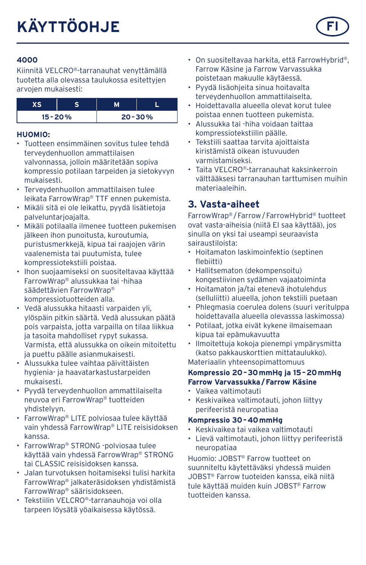

Kiinnitä VELCRO®-tarranauhat venyttämällä tuotetta alla olevassa taulukossa esitettyjen arvojen mukaisesti:

| $15 - 20%$ |  | $20 - 30%$ |
|------------|--|------------|

#### **HUOMIO:**

- Tuotteen ensimmäinen sovitus tulee tehdä terveydenhuollon ammattilaisen valvonnassa, jolloin määritetään sopiva kompressio potilaan tarpeiden ja sietokyvyn mukaisesti.
- Terveydenhuollon ammattilaisen tulee leikata FarrowWrap® TTF ennen pukemista.
- Mikäli sitä ei ole leikattu, pyydä lisätietoja palveluntarjoajalta.
- Mikäli potilaalla ilmenee tuotteen pukemisen jälkeen ihon punoitusta, kuroutumia, puristusmerkkejä, kipua tai raajojen värin vaalenemista tai puutumista, tulee kompressiotekstiili poistaa.
- Ihon suojaamiseksi on suositeltavaa käyttää FarrowWrap® alussukkaa tai -hihaa säädettävien FarrowWrap® kompressiotuotteiden alla.
- Vedä alussukka hitaasti varpaiden yli, ylöspäin pitkin säärtä. Vedä alussukan päätä pois varpaista, jotta varpailla on tilaa liikkua ja tasoita mahdolliset rypyt sukassa. Varmista, että alussukka on oikein mitoitettu ja puettu päälle asianmukaisesti.
- Alussukka tulee vaihtaa päivittäisten hygienia- ja haavatarkastustarpeiden mukaisesti.
- Pyydä terveydenhuollon ammattilaiselta neuvoa eri FarrowWrap® tuotteiden yhdistelyyn.
- FarrowWrap® LITE polviosaa tulee käyttää vain yhdessä FarrowWrap® LITE reisisidoksen kanssa.
- FarrowWrap® STRONG -polviosaa tulee käyttää vain yhdessä FarrowWrap® STRONG tai CLASSIC reisisidoksen kanssa.
- Jalan turvotuksen hoitamiseksi tulisi harkita FarrowWrap® jalkateräsidoksen yhdistämistä FarrowWrap® säärisidokseen.
- Tekstiilin VELCRO®-tarranauhoja voi olla tarpeen löysätä yöaikaisessa käytössä.
- On suositeltavaa harkita, että FarrowHybrid®, Farrow Käsine ja Farrow Varvassukka poistetaan makuulle käytäessä.
- Pyydä lisäohjeita sinua hoitavalta terveydenhuollon ammattilaiselta.
- Hoidettavalla alueella olevat korut tulee poistaa ennen tuotteen pukemista.
- Alussukka tai -hiha voidaan taittaa kompressiotekstiilin päälle.
- Tekstiili saattaa tarvita ajoittaista kiristämistä oikean istuvuuden varmistamiseksi.
- Taita VELCRO®-tarranauhat kaksinkerroin välttääksesi tarranauhan tarttumisen muihin materiaaleihin.

# **3. Vasta-aiheet**

FarrowWrap® /Farrow/FarrowHybrid® tuotteet ovat vasta-aiheisia (niitä EI saa käyttää), jos sinulla on yksi tai useampi seuraavista sairaustiloista:

- Hoitamaton laskimoinfektio (septinen flebiitti)
- Hallitsematon (dekompensoitu) kongestiivinen sydämen vajaatoiminta
- Hoitamaton ja/tai etenevä ihotulehdus (selluliitti) alueella, johon tekstiili puetaan
- Phlegmasia coerulea dolens (suuri veritulppa hoidettavalla alueella olevasssa laskimossa)
- Potilaat, jotka eivät kykene ilmaisemaan kipua tai epämukavuutta
- Ilmoitettuja kokoja pienempi ympärysmitta (katso pakkauskorttien mittataulukko). Materiaalin yhteensopimattomuus

#### **Kompressio 20–30mmHg ja 15–20mmHg Farrow Varvassukka/Farrow Käsine**

- Vaikea valtimotauti
- Keskivaikea valtimotauti, johon liittyy perifeeristä neuropatiaa

#### **Kompressio 30–40mmHg**

- Keskivaikea tai vaikea valtimotauti
- Lievä valtimotauti, johon liittyy perifeeristä neuropatiaa

Huomio: JOBST® Farrow tuotteet on suunniteltu käytettäväksi yhdessä muiden JOBST® Farrow tuoteiden kanssa, eikä niitä tule käyttää muiden kuin JOBST® Farrow tuotteiden kanssa.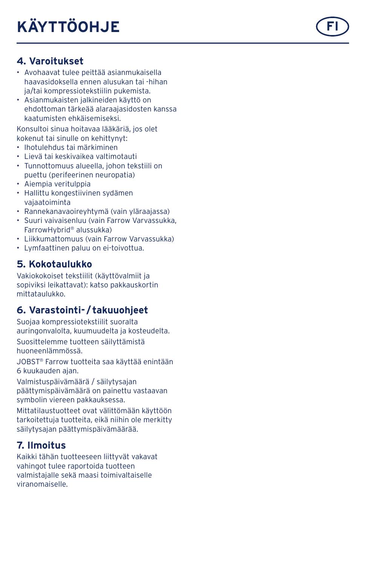# **4. Varoitukset**

- Avohaavat tulee peittää asianmukaisella haavasidoksella ennen alusukan tai -hihan ja/tai kompressiotekstiilin pukemista.
- Asianmukaisten jalkineiden käyttö on ehdottoman tärkeää alaraajasidosten kanssa kaatumisten ehkäisemiseksi.

Konsultoi sinua hoitavaa lääkäriä, jos olet kokenut tai sinulle on kehittynyt:

- Ihotulehdus tai märkiminen
- Lievä tai keskivaikea valtimotauti
- Tunnottomuus alueella, johon tekstiili on puettu (perifeerinen neuropatia)
- Aiempia veritulppia
- Hallittu kongestiivinen sydämen vajaatoiminta
- Rannekanavaoireyhtymä (vain yläraajassa)
- Suuri vaivaisenluu (vain Farrow Varvassukka, FarrowHybrid ® alussukka)
- Liikkumattomuus (vain Farrow Varvassukka)
- Lymfaattinen paluu on ei-toivottua.

## **5. Kokotaulukko**

Vakiokokoiset tekstiilit (käyttövalmiit ja sopiviksi leikattavat): katso pakkauskortin mittataulukko.

## **6. Varastointi- / takuuohjeet**

Suojaa kompressiotekstiilit suoralta auringonvalolta, kuumuudelta ja kosteudelta. Suosittelemme tuotteen säilyttämistä huoneenlämmössä.

JOBST ® Farrow tuotteita saa käyttää enintään 6 kuukauden ajan.

Valmistuspäivämäärä / säilytysajan päättymispäivämäärä on painettu vastaavan symbolin viereen pakkauksessa.

Mittatilaustuotteet ovat välittömään käyttöön tarkoitettuja tuotteita, eikä niihin ole merkitty säilytysajan päättymispäivämäärää.

## **7. Ilmoitus**

Kaikki tähän tuotteeseen liittyvät vakavat vahingot tulee raportoida tuotteen valmistajalle sekä maasi toimivaltaiselle viranomaiselle.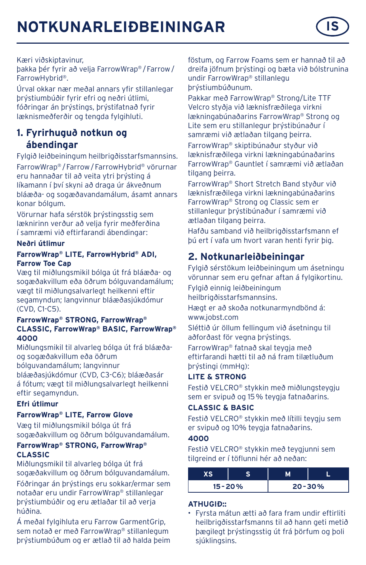# **NOTKUNARLEIÐBEININGAR IS**



þakka þér fyrir að velja FarrowWrap® /Farrow/ FarrowHybrid®.

Úrval okkar nær meðal annars yfir stillanlegar þrýstiumbúðir fyrir efri og neðri útlimi, fóðringar án þrýstings, þrýstifatnað fyrir læknismeðferðir og tengda fylgihluti.

### **1. Fyrirhuguð notkun og ábendingar**

Fylgið leiðbeiningum heilbrigðisstarfsmannsins. FarrowWrap® /Farrow/FarrowHybrid® vörurnar eru hannaðar til að veita ytri þrýsting á líkamann í því skyni að draga úr ákveðnum bláæða- og sogæðavandamálum, ásamt annars konar bólgum.

Vörurnar hafa sérstök þrýstingsstig sem læknirinn verður að velja fyrir meðferðina í samræmi við eftirfarandi ábendingar:

#### **Neðri útlimur**

#### **FarrowWrap® LITE, FarrowHybrid® ADI, Farrow Toe Cap**

Væg til miðlungsmikil bólga út frá bláæða- og sogæðakvillum eða öðrum bólguvandamálum; vægt til miðlungsalvarlegt heilkenni eftir segamyndun; langvinnur bláæðasjúkdómur (CVD, C1-C5).

#### **FarrowWrap® STRONG, FarrowWrap® CLASSIC, FarrowWrap® BASIC, FarrowWrap® 4000**

Miðlungsmikil til alvarleg bólga út frá bláæðaog sogæðakvillum eða öðrum

bólguvandamálum; langvinnur

bláæðasjúkdómur (CVD, C3-C6); bláæðasár á fótum; vægt til miðlungsalvarlegt heilkenni eftir segamyndun.

#### **Efri útlimur**

#### **FarrowWrap® LITE, Farrow Glove**

Væg til miðlungsmikil bólga út frá sogæðakvillum og öðrum bólguvandamálum.

#### **FarrowWrap® STRONG, FarrowWrap® CLASSIC**

Miðlungsmikil til alvarleg bólga út frá sogæðakvillum og öðrum bólguvandamálum.

Fóðringar án þrýstings eru sokkar/ermar sem notaðar eru undir FarrowWrap® stillanlegar þrýstiumbúðir og eru ætlaðar til að verja húðina.

Á meðal fylgihluta eru Farrow GarmentGrip, sem notað er með FarrowWrap® stillanlegum þrýstiumbúðum og er ætlað til að halda þeim föstum, og Farrow Foams sem er hannað til að dreifa jöfnum þrýstingi og bæta við bólstrunina undir FarrowWrap® stillanlegu þrýstiumbúðunum.

Pakkar með FarrowWrap® Strong/Lite TTF Velcro styðja við læknisfræðilega virkni lækningabúnaðarins FarrowWrap® Strong og Lite sem eru stillanlegur þrýstibúnaður í samræmi við ætlaðan tilgang þeirra.

FarrowWrap® skiptibúnaður styður við læknisfræðilega virkni lækningabúnaðarins FarrowWrap® Gauntlet í samræmi við ætlaðan tilgang þeirra.

FarrowWrap® Short Stretch Band styður við læknisfræðilega virkni lækningabúnaðarins FarrowWrap® Strong og Classic sem er stillanlegur þrýstibúnaður í samræmi við ætlaðan tilgang þeirra.

Hafðu samband við heilbrigðisstarfsmann ef þú ert í vafa um hvort varan henti fyrir þig.

## **2. Notkunarleiðbeiningar**

Fylgið sérstökum leiðbeiningum um ásetningu vörunnar sem eru gefnar aftan á fylgikortinu. Fylgið einnig leiðbeiningum heilbrigðisstarfsmannsins.

Hægt er að skoða notkunarmyndbönd á: www.jobst.com

Sléttið úr öllum fellingum við ásetningu til aðforðast för vegna þrýstings.

FarrowWrap® fatnað skal teygja með eftirfarandi hætti til að ná fram tilætluðum þrýstingi (mmHg):

#### **LITE & STRONG**

Festið VELCRO® stykkin með miðlungstevgju sem er svipuð og 15% teygja fatnaðarins.

#### **CLASSIC & BASIC**

Festið VELCRO® stykkin með lítilli teygju sem er svipuð og 10% teygja fatnaðarins.

#### **4000**

Festið VELCRO® stykkin með teygjunni sem tilgreind er í töflunni hér að neðan:

| $15 - 20%$ | $20 - 30%$ |
|------------|------------|

#### **ATHUGIÐ::**

• Fyrsta mátun ætti að fara fram undir eftirliti heilbrigðisstarfsmanns til að hann geti metið þægilegt þrýstingsstig út frá þörfum og þoli siúklingsins

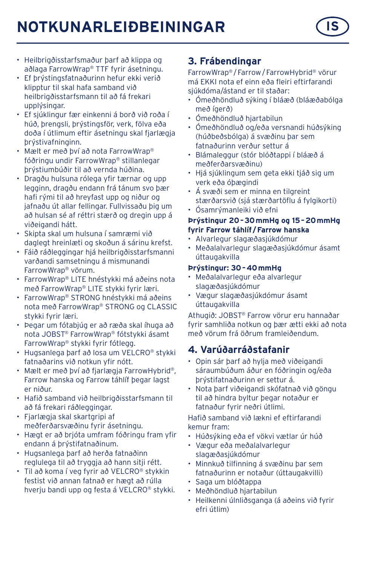# **NOTKUNARLEIÐBEININGAR IS**



- Heilbrigðisstarfsmaður þarf að klippa og aðlaga FarrowWrap® TTF fyrir ásetningu.
- Ef þrýstingsfatnaðurinn hefur ekki verið klipptur til skal hafa samband við heilbrigðisstarfsmann til að fá frekari upplýsingar.
- Ef sjúklingur fær einkenni á borð við roða í húð, þrengsli, þrýstingsför, verk, fölva eða doða í útlimum eftir ásetningu skal fjarlægja þrýstivafninginn.
- Mælt er með því að nota FarrowWrap® fóðringu undir FarrowWrap® stillanlegar þrýstiumbúðir til að vernda húðina.
- Dragðu hulsuna rólega yfir tærnar og upp legginn, dragðu endann frá tánum svo þær hafi rými til að hreyfast upp og niður og jafnaðu út allar fellingar. Fullvissaðu þig um að hulsan sé af réttri stærð og dregin upp á viðeigandi hátt.
- Skipta skal um hulsuna í samræmi við daglegt hreinlæti og skoðun á sárinu krefst.
- Fáið ráðleggingar hjá heilbrigðisstarfsmanni varðandi samsetningu á mismunandi FarrowWrap® vörum.
- FarrowWrap® LITE hnéstykki má aðeins nota með FarrowWrap® LITE stykki fyrir læri.
- FarrowWrap® STRONG hnéstykki má aðeins nota með FarrowWrap® STRONG og CLASSIC stykki fyrir læri.
- Þegar um fótabjúg er að ræða skal íhuga að nota JOBST® FarrowWrap® fótstykki ásamt FarrowWrap® stykki fyrir fótlegg.
- Hugsanlega þarf að losa um VELCRO® stykki fatnaðarins við notkun yfir nótt.
- Mælt er með því að fjarlægja FarrowHybrid®, Farrow hanska og Farrow táhlíf þegar lagst er niður.
- Hafið samband við heilbrigðisstarfsmann til að fá frekari ráðleggingar.
- Fjarlægja skal skartgripi af meðferðarsvæðinu fyrir ásetningu.
- Hægt er að brjóta umfram fóðringu fram yfir endann á þrýstifatnaðinum.
- Hugsanlega þarf að herða fatnaðinn reglulega til að tryggja að hann sitji rétt.
- Til að koma í veg fyrir að VELCRO® stykkin festist við annan fatnað er hægt að rúlla hveriu bandi upp og festa á VELCRO® stykki.

## **3. Frábendingar**

FarrowWrap® /Farrow/FarrowHybrid® vörur má EKKI nota ef einn eða fleiri eftirfarandi sjúkdóma/ástand er til staðar:

- Ómeðhöndluð sýking í bláæð (bláæðabólga með ígerð)
- Ómeðhöndluð hjartabilun
- Ómeðhöndluð og/eða versnandi húðsýking (húðbeðsbólga) á svæðinu þar sem fatnaðurinn verður settur á
- Blámaleggur (stór blóðtappi í bláæð á meðferðarsvæðinu)
- Hjá sjúklingum sem geta ekki tjáð sig um verk eða óþægindi
- Á svæði sem er minna en tilgreint stærðarsvið (sjá stærðartöflu á fylgikorti)
- Ósamrýmanleiki við efni

#### **Þrýstingur 20–30mmHg og 15–20mmHg fyrir Farrow táhlíf /Farrow hanska**

- Alvarlegur slagæðasjúkdómur
- Meðalalvarlegur slagæðasjúkdómur ásamt úttaugakvilla

#### **Þrýstingur: 30–40mmHg**

- Meðalalvarlegur eða alvarlegur slagæðasjúkdómur
- Vægur slagæðasjúkdómur ásamt úttaugakvilla

Athugið: JOBST® Farrow vörur eru hannaðar fyrir samhliða notkun og þær ætti ekki að nota með vörum frá öðrum framleiðendum.

## **4. Varúðarráðstafanir**

- Opin sár þarf að hylja með viðeigandi sáraumbúðum áður en fóðringin og/eða þrýstifatnaðurinn er settur á.
- Nota þarf viðeigandi skófatnað við göngu til að hindra byltur þegar notaður er fatnaður fyrir neðri útlimi.

Hafið samband við lækni ef eftirfarandi kemur fram:

- Húðsýking eða ef vökvi vætlar úr húð
- Vægur eða meðalalvarlegur slagæðasjúkdómur
- Minnkuð tilfinning á svæðinu þar sem fatnaðurinn er notaður (úttaugakvilli)
- Saga um blóðtappa
- Meðhöndluð hjartabilun
- Heilkenni úlnliðsganga (á aðeins við fyrir efri útlim)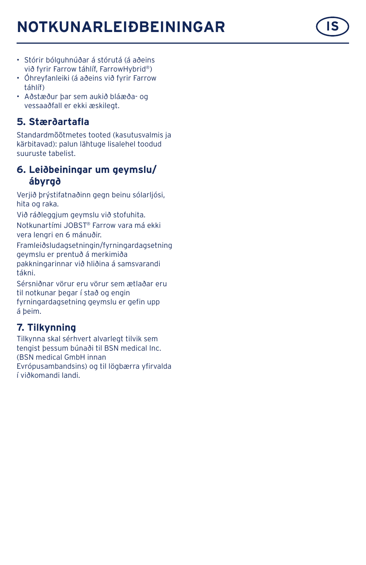# **NOTKUNARLEIÐBEININGAR IS**



- Stórir bólguhnúðar á stórutá (á aðeins við fyrir Farrow táhlíf, FarrowHybrid®)
- Óhreyfanleiki (á aðeins við fyrir Farrow táhlíf)
- Aðstæður þar sem aukið bláæða- og vessaaðfall er ekki æskilegt.

## **5. Stærðartafla**

Standardmõõtmetes tooted (kasutusvalmis ja kärbitavad): palun lähtuge lisalehel toodud suuruste tabelist.

### **6. Leiðbeiningar um geymslu/ ábyrgð**

Verjið þrýstifatnaðinn gegn beinu sólarljósi, hita og raka.

Við ráðleggjum geymslu við stofuhita.

Notkunartími JOBST® Farrow vara má ekki vera lengri en 6 mánuðir.

Framleiðsludagsetningin/fyrningardagsetning geymslu er prentuð á merkimiða pakkningarinnar við hliðina á samsvarandi tákni.

Sérsniðnar vörur eru vörur sem ætlaðar eru til notkunar þegar í stað og engin fyrningardagsetning geymslu er gefin upp á þeim.

# **7. Tilkynning**

Tilkynna skal sérhvert alvarlegt tilvik sem tengist þessum búnaði til BSN medical Inc. (BSN medical GmbH innan Evrópusambandsins) og til lögbærra yfirvalda í viðkomandi landi.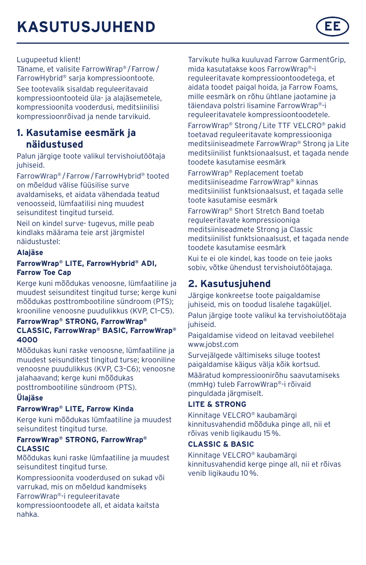

#### Lugupeetud klient!

Täname, et valisite FarrowWrap® /Farrow/ FarrowHybrid® sarja kompressioontoote.

See tootevalik sisaldab reguleeritavaid kompressioontooteid üla- ja alajäsemetele, kompressioonita vooderdusi, meditsiinilisi kompressioonrõivad ja nende tarvikuid.

### **1. Kasutamise eesmärk ja näidustused**

Palun järgige toote valikul tervishoiutöötaja juhiseid.

FarrowWrap® /Farrow/FarrowHybrid® tooted on mõeldud välise füüsilise surve avaldamiseks, et aidata vähendada teatud venoosseid, lümfaatilisi ning muudest seisunditest tingitud turseid.

Neil on kindel surve- tugevus, mille peab kindlaks määrama teie arst järgmistel näidustustel:

#### **Alajäse**

#### **FarrowWrap® LITE, FarrowHybrid® ADI, Farrow Toe Cap**

Kerge kuni mõõdukas venoosne, lümfaatiline ja muudest seisunditest tingitud turse; kerge kuni mõõdukas posttrombootiline sündroom (PTS); krooniline venoosne puudulikkus (KVP, C1–C5).

#### **FarrowWrap® STRONG, FarrowWrap® CLASSIC, FarrowWrap® BASIC, FarrowWrap® 4000**

Mõõdukas kuni raske venoosne, lümfaatiline ja muudest seisunditest tingitud turse; krooniline venoosne puudulikkus (KVP, C3–C6); venoosne jalahaavand; kerge kuni mõõdukas posttrombootiline sündroom (PTS).

#### **Ülajäse**

#### **FarrowWrap® LITE, Farrow Kinda**

Kerge kuni mõõdukas lümfaatiline ja muudest seisunditest tingitud turse.

#### **FarrowWrap® STRONG, FarrowWrap® CLASSIC**

Mõõdukas kuni raske lümfaatiline ja muudest seisunditest tingitud turse.

Kompressioonita vooderdused on sukad või varrukad, mis on mõeldud kandmiseks FarrowWrap®-i reguleeritavate kompressioontoodete all, et aidata kaitsta nahka.

Tarvikute hulka kuuluvad Farrow GarmentGrip, mida kasutatakse koos FarrowWrap®-i reguleeritavate kompressioontoodetega, et aidata toodet paigal hoida, ja Farrow Foams, mille eesmärk on rõhu ühtlane jaotamine ja täiendava polstri lisamine FarrowWrap®-i reguleeritavatele kompressioontoodetele.

FarrowWrap® Strong/Lite TTF VELCRO® pakid toetavad reguleeritavate kompressiooniga meditsiiniseadmete FarrowWrap® Strong ja Lite meditsiinilist funktsionaalsust, et tagada nende toodete kasutamise eesmärk

FarrowWrap® Replacement toetab meditsiiniseadme FarrowWrap® kinnas meditsiinilist funktsionaalsust, et tagada selle toote kasutamise eesmärk

FarrowWrap® Short Stretch Band toetab reguleeritavate kompressiooniga meditsiiniseadmete Strong ja Classic meditsiinilist funktsionaalsust, et tagada nende toodete kasutamise eesmärk Kui te ei ole kindel, kas toode on teie jaoks sobiv, võtke ühendust tervishoiutöötajaga.

## **2. Kasutusjuhend**

Järgige konkreetse toote paigaldamise juhiseid, mis on toodud lisalehe tagaküljel. Palun järgige toote valikul ka tervishoiutöötaja juhiseid.

Paigaldamise videod on leitavad veebilehel www.jobst.com

Survejälgede vältimiseks siluge tootest paigaldamise käigus välja kõik kortsud.

Määratud kompressioonirõhu saavutamiseks (mmHg) tuleb FarrowWrap®-i rõivaid pinguldada järgmiselt.

#### **LITE & STRONG**

Kinnitage VELCRO® kaubamärgi kinnitusvahendid mõõduka pinge all, nii et rõivas venib ligikaudu 15%.

#### **CLASSIC & BASIC**

Kinnitage VELCRO® kaubamärgi kinnitusvahendid kerge pinge all, nii et rõivas venib ligikaudu 10%.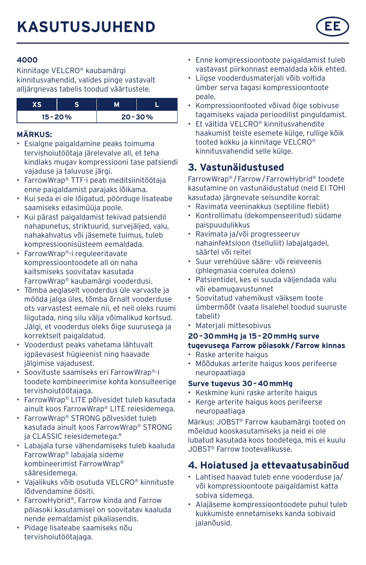

Kinnitage VELCRO® kaubamärgi kinnitusvahendid, valides pinge vastavalt alliärgnevas tabelis toodud väärtustele.

| $15 - 20%$ |  | $20 - 30%$ |
|------------|--|------------|

#### **MÄRKUS:**

- Esialgne paigaldamine peaks toimuma tervishoiutöötaja järelevalve all, et teha kindlaks mugav kompressiooni tase patsiendi vajaduse ja taluvuse järgi.
- FarrowWrap® TTF-i peab meditsiinitöötaja enne paigaldamist parajaks lõikama.
- Kui seda ei ole lõigatud, pöörduge lisateabe saamiseks edasimüüja poole.
- Kui pärast paigaldamist tekivad patsiendil nahapunetus, striktuurid, survejäljed, valu, nahakahvatus või jäsemete tuimus, tuleb kompressioonisüsteem eemaldada.
- FarrowWrap®-i reguleeritavate kompressioontoodete all on naha kaitsmiseks soovitatav kasutada FarrowWrap® kaubamärgi vooderdusi.
- Tõmba aeglaselt vooderdus üle varvaste ja mööda jalga üles, tõmba õrnalt vooderduse ots varvastest eemale nii, et neil oleks ruumi liigutada, ning silu välja võimalikud kortsud. Jälgi, et vooderdus oleks õige suurusega ja korrektselt paigaldatud.
- Vooderdust peaks vahetama lähtuvalt igpäevasest hügieenist ning haavade jälgimise vajadusest.
- Soovituste saamiseks eri FarrowWrap®-i toodete kombineerimise kohta konsulteerige tervishoiutöötajaga.
- FarrowWrap® LITE põlvesidet tuleb kasutada ainult koos FarrowWrap® LITE reiesidemega.
- FarrowWrap® STRONG põlvesidet tuleb kasutada ainult koos FarrowWrap® STRONG ia CLASSIC reiesidemetega."
- Labajala turse vähendamiseks tuleb kaaluda FarrowWrap® labajala sideme kombineerimist FarrowWrap® sääresidemega.
- Vajalikuks võib osutuda VELCRO® kinnituste lõdvendamine öösiti.
- FarrowHybrid®, Farrow kinda and Farrow pöiasoki kasutamisel on soovitatav kaaluda nende eemaldamist pikaliasendis.
- Pidage lisateabe saamiseks nõu tervishoiutöötajaga.
- Enne kompressioontoote paigaldamist tuleb vastavast piirkonnast eemaldada kõik ehted.
- Liigse vooderdusmaterjali võib voltida ümber serva tagasi kompressioontoote peale.
- Kompressioontooted võivad õige sobivuse tagamiseks vajada perioodilist pinguldamist.
- Et vältida VELCRO® kinnitusvahendite haakumist teiste esemete külge, rullige kõik tooted kokku ja kinnitage VELCRO® kinnitusvahendid selle külge.

# **3. Vastunäidustused**

FarrowWrap® /Farrow/FarrowHybrid® toodete kasutamine on vastunäidustatud (neid EI TOHI kasutada) järgnevate seisundite korral:

- Ravimata veeninakkus (septiline flebiit)
- Kontrollimatu (dekompenseeritud) südame paispuudulikkus
- Ravimata ja/või progresseeruv nahainfektsioon (tselluliit) labajalgadel, säärtel või reitel
- Suur verehüüve sääre- või reieveenis (phlegmasia coerulea dolens)
- Patsientidel, kes ei suuda väljendada valu või ebamugavustunnet
- Soovitatud vahemikust väiksem toote ümbermõõt (vaata lisalehel toodud suuruste tabelit)
- Materjali mittesobivus

#### **20–30mmHg ja 15–20mmHg surve tugevusega Farrow pöiasokk/Farrow kinnas**

- Raske arterite haigus
- Mõõdukas arterite haigus koos perifeerse neuropaatiaga

#### **Surve tugevus 30–40mmHg**

- Keskmine kuni raske arterite haigus
- Kerge arterite haigus koos perifeerse neuropaatiaga

Märkus: JOBST® Farrow kaubamärgi tooted on mõeldud kooskasutamiseks ja neid ei ole lubatud kasutada koos toodetega, mis ei kuulu JOBST® Farrow tootevalikusse.

# **4. Hoiatused ja ettevaatusabinõud**

- Lahtised haavad tuleb enne vooderduse ja/ või kompressioontoote paigaldamist katta sobiva sidemega.
- Alajäseme kompressioontoodete puhul tuleb kukkumiste ennetamiseks kanda sobivaid jalanõusid.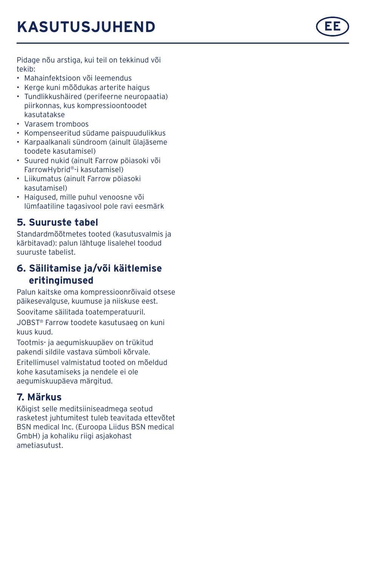Pidage nõu arstiga, kui teil on tekkinud või tekib:

- Mahainfektsioon või leemendus
- Kerge kuni mõõdukas arterite haigus
- Tundlikkushäired (perifeerne neuropaatia) piirkonnas, kus kompressioontoodet kasutatakse
- Varasem tromboos
- Kompenseeritud südame paispuudulikkus
- Karpaalkanali sündroom (ainult ülajäseme toodete kasutamisel)
- Suured nukid (ainult Farrow pöiasoki või FarrowHybrid ®-i kasutamisel)
- Liikumatus (ainult Farrow pöiasoki kasutamisel)
- Haigused, mille puhul venoosne või lümfaatiline tagasivool pole ravi eesmärk

# **5. Suuruste tabel**

Standardmõõtmetes tooted (kasutusvalmis ja kärbitavad): palun lähtuge lisalehel toodud suuruste tabelist.

# **6. Säilitamise ja/või käitlemise eritingimused**

Palun kaitske oma kompressioonrõivaid otsese päikesevalguse, kuumuse ja niiskuse eest. Soovitame säilitada toatemperatuuril.

JOBST ® Farrow toodete kasutusaeg on kuni

kuus kuud. Tootmis- ja aegumiskuupäev on trükitud

pakendi sildile vastava sümboli kõrvale.

Eritellimusel valmistatud tooted on mõeldud kohe kasutamiseks ja nendele ei ole aegumiskuupäeva märgitud.

# **7. Märkus**

Kõigist selle meditsiiniseadmega seotud rasketest juhtumitest tuleb teavitada ettevõtet BSN medical Inc. (Euroopa Liidus BSN medical GmbH) ja kohaliku riigi asjakohast ametiasutust.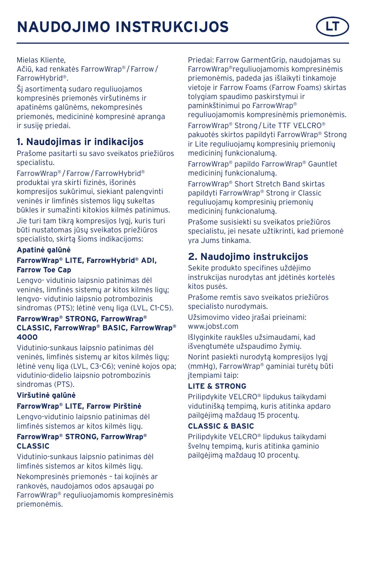# **NAUDOJIMO INSTRUKCIJOS**



Mielas Kliente,

Ačiū, kad renkatės FarrowWrap® /Farrow/ FarrowHybrid®.

Šį asortimentą sudaro reguliuojamos kompresinės priemonės viršutinėms ir apatinėms galūnėms, nekompresinės priemonės, medicininė kompresinė apranga ir susije priedai.

# **1. Naudojimas ir indikacijos**

Prašome pasitarti su savo sveikatos priežiūros specialistu.

FarrowWrap® /Farrow/FarrowHybrid® produktai yra skirti fizinės, išorinės kompresijos sukūrimui, siekiant palengvinti veninės ir limfinės sistemos ligų sukeltas būkles ir sumažinti kitokios kilmės patinimus.

Jie turi tam tikrą kompresijos lygį, kuris turi būti nustatomas jūsų sveikatos priežiūros specialisto, skirtą šioms indikacijoms:

#### **Apatinė galūnė**

#### **FarrowWrap® LITE, FarrowHybrid® ADI, Farrow Toe Cap**

Lengvo- vidutinio laipsnio patinimas dėl veninės, limfinės sistemų ar kitos kilmės ligų; lengvo- vidutinio laipsnio potrombozinis sindromas (PTS); lėtinė venų liga (LVL, C1-C5).

#### **FarrowWrap® STRONG, FarrowWrap® CLASSIC, FarrowWrap® BASIC, FarrowWrap® 4000**

Vidutinio-sunkaus laipsnio patinimas dėl veninės, limfinės sistemų ar kitos kilmės ligų; lėtinė venų liga (LVL, C3-C6); veninė kojos opa; vidutinio-didelio laipsnio potrombozinis sindromas (PTS).

#### **Viršutinė galūnė**

#### **FarrowWrap® LITE, Farrow Pirštinė**

Lengvo-vidutinio laipsnio patinimas dėl limfinės sistemos ar kitos kilmės ligų.

#### **FarrowWrap® STRONG, FarrowWrap® CLASSIC**

Vidutinio-sunkaus laipsnio patinimas dėl limfinės sistemos ar kitos kilmės ligų.

Nekompresinės priemonės – tai kojinės ar rankovės, naudojamos odos apsaugai po FarrowWrap® reguliuojamomis kompresinėmis priemonėmis.

Priedai: Farrow GarmentGrip, naudojamas su FarrowWrap®reguliuojamomis kompresinėmis priemonėmis, padeda jas išlaikyti tinkamoje vietoje ir Farrow Foams (Farrow Foams) skirtas tolygiam spaudimo paskirstymui ir paminkštinimui po FarrowWrap® reguliuojamomis kompresinėmis priemonėmis. FarrowWrap® Strong/Lite TTF VELCRO® pakuotės skirtos papildyti FarrowWrap® Strong ir Lite reguliuojamų kompresinių priemonių medicininį funkcionalumą.

FarrowWrap® papildo FarrowWrap® Gauntlet medicininį funkcionalumą.

FarrowWrap® Short Stretch Band skirtas papildyti FarrowWrap® Strong ir Classic reguliuojamų kompresinių priemonių medicininį funkcionalumą.

Prašome susisiekti su sveikatos priežiūros specialistu, jei nesate užtikrinti, kad priemonė yra Jums tinkama.

# **2. Naudojimo instrukcijos**

Sekite produkto specifines uždėjimo instrukcijas nurodytas ant įdėtinės kortelės kitos pusės.

Prašome remtis savo sveikatos priežiūros specialisto nurodymais.

Užsimovimo video įrašai prieinami: www.jobst.com

Išlyginkite raukšles užsimaudami, kad išvengtumėte užspaudimo žymių.

Norint pasiekti nurodytą kompresijos lygį (mmHg), FarrowWrap® gaminiai turėtų būti įtempiami taip:

#### **LITE & STRONG**

Prilipdykite VELCRO® lipdukus taikydami vidutinišką tempimą, kuris atitinka apdaro pailgėjimą maždaug 15 procentų.

#### **CLASSIC & BASIC**

Prilipdykite VELCRO® lipdukus taikydami švelnų tempimą, kuris atitinka gaminio pailgėjimą maždaug 10 procentų.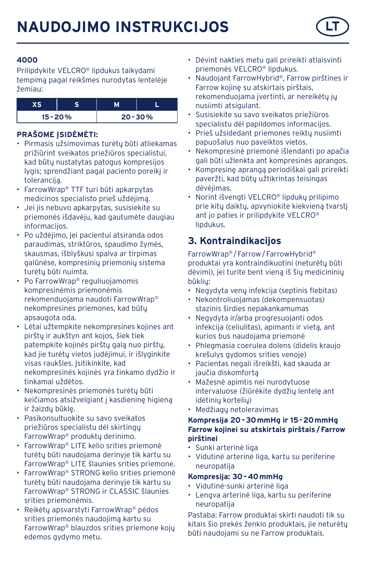

Prilipdykite VELCRO® lipdukus taikydami tempimą pagal reikšmes nurodytas lentelėje žemiau:

| $15 - 20%$ |  | $20 - 30%$ |
|------------|--|------------|

#### **PRAŠOME ĮSIDĖMĖTI:**

- Pirmasis užsimovimas turėtų būti atliekamas prižiūrint sveikatos priežiūros specialistui, kad būtų nustatytas patogus kompresijos lygis; sprendžiant pagal paciento poreikį ir toleranciją.
- FarrowWrap® TTF turi būti apkarpytas medicinos specialisto prieš uždėjimą.
- Jei jis nebuvo apkarpytas, susisiekite su priemonės išdavėju, kad gautumėte daugiau informacijos.
- Po uždėjimo, jei pacientui atsiranda odos paraudimas, striktūros, spaudimo žymės, skausmas, išblyškusi spalva ar tirpimas galūnėse, kompresinių priemonių sistema turėtų būti nuimta.
- Po FarrowWrap® reguliuojamomis kompresinėmis priemonėmis rekomenduojama naudoti FarrowWrap® nekompresines priemones, kad būtų apsaugota oda.
- Lėtai užtempkite nekompresines kojines ant pirštų ir aukštyn ant kojos, šiek tiek patempkite kojinės pirštų galą nuo pirštų, kad jie turėtų vietos judėjimui, ir išlyginkite visas raukšles. Isitikinkite, kad nekompresinės kojinės yra tinkamo dydžio ir tinkamai uždėtos.
- Nekompresinės priemonės turėtų būti keičiamos atsižvelgiant į kasdieninę higieną ir žaizdų būklę.
- Pasikonsultuokite su savo sveikatos priežiūros specialistu dėl skirtingų FarrowWrap® produktų derinimo.
- FarrowWrap® LITE kelio srities priemonė turėtų būti naudojama derinyje tik kartu su FarrowWrap® LITE šlaunies srities priemone.
- FarrowWrap® STRONG kelio srities priemonė turėtų būti naudojama derinyje tik kartu su FarrowWrap® STRONG ir CLASSIC šlaunies srities priemonėmis.
- Reikėtų apsvarstyti FarrowWrap® pėdos srities priemonės naudojimą kartu su FarrowWrap® blauzdos srities priemone kojų edemos gydymo metu.
- Dėvint nakties metu gali prireikti atlaisvinti priemonės VELCRO® lipdukus.
- Naudojant FarrowHybrid®, Farrow pirštines ir Farrow kojinę su atskirtais pirštais, rekomenduojama įvertinti, ar nereikėtų jų nusiimti atsigulant.
- Susisiekite su savo sveikatos priežiūros specialistu dėl papildomos informacijos.
- Prieš užsidedant priemones reiktų nusiimti papuošalus nuo paveiktos vietos.
- Nekompresinė priemonė išlendanti po apačia gali būti užlenkta ant kompresinės aprangos.
- Kompresinę aprangą periodiškai gali prireikti paveržti, kad būtų užtikrintas teisingas dėvėjimas.
- Norint išvengti VELCRO® lipdukų prilipimo prie kitų daiktų, apvyniokite kiekvieną tvarstį ant jo paties ir prilipdykite VELCRO® lipdukus.

# **3. Kontraindikacijos**

FarrowWrap® /Farrow/FarrowHybrid® produktai yra kontraindikuotini (neturėtų būti dėvimi), jei turite bent vieną iš šių medicininių būklių:

- Negydyta venų infekcija (septinis flebitas)
- Nekontroliuojamas (dekompensuotas) stazinis širdies nepakankamumas
- Negydyta ir/arba progresuojanti odos infekcija (celiulitas), apimanti ir vietą, ant kurios bus naudojama priemonė
- Phlegmasia coerulea dolens (didelis kraujo krešulys gydomos srities venoje)
- Pacientas negali išreikšti, kad skauda ar jaučia diskomfortą
- Mažesnė apimtis nei nurodytuose intervaluose (žiūrėkite dydžių lentelę ant idėtinių kortelių)
- Medžiagų netoleravimas

#### **Kompresija 20–30mmHg ir 15-20mmHg Farrow kojinei su atskirtais pirštais/Farrow pirštinei**

- Sunki arterinė liga
- Vidutinė arterinė liga, kartu su periferine neuropatija

#### **Kompresija: 30–40mmHg**

- Vidutinė-sunki arterinė liga
- Lengva arterinė liga, kartu su periferine neuropatija

Pastaba: Farrow produktai skirti naudoti tik su kitais šio prekės ženklo produktais, jie neturėtų būti naudojami su ne Farrow produktais.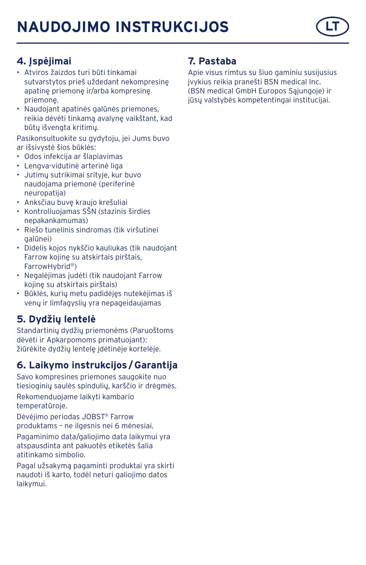

# **4. Įspėjimai**

- Atviros žaizdos turi būti tinkamai sutvarstytos prieš uždedant nekompresinę apatinę priemonę ir/arba kompresinę priemonę.
- Naudojant apatinės galūnės priemones, reikia dėvėti tinkamą avalynę vaikštant, kad būtų išvengta kritimų.

Pasikonsultuokite su gydytoju, jei Jums buvo ar išsivystė šios būklės:

- Odos infekcija ar šlapiavimas
- Lengva-vidutinė arterinė liga
- Jutimų sutrikimai srityje, kur buvo naudojama priemonė (periferinė neuropatija)
- Anksčiau buvę kraujo krešuliai
- Kontroliuojamas SŠN (stazinis širdies nepakankamumas)
- Riešo tunelinis sindromas (tik viršutinei galūnei)
- Didelis kojos nykščio kauliukas (tik naudojant Farrow kojinę su atskirtais pirštais, FarrowHybrid®)
- Negalėjimas judėti (tik naudojant Farrow kojinę su atskirtais pirštais)
- Būklės, kurių metu padidėjęs nutekėjimas iš venų ir limfagyslių yra nepageidaujamas

# **5. Dydžių lentelė**

Standartinių dydžių priemonėms (Paruoštoms dėvėti ir Apkarpomoms primatuojant): žiūrėkite dydžių lentelę įdėtinėje kortelėje.

# **6. Laikymo instrukcijos/Garantija**

Savo kompresines priemones saugokite nuo tiesioginių saulės spindulių, karščio ir drėgmės. Rekomenduojame laikyti kambario temperatūroje.

Dėvėjimo periodas JOBST® Farrow produktams – ne ilgesnis nei 6 mėnesiai. Pagaminimo data/galiojimo data laikymui yra atspausdinta ant pakuotės etiketės šalia atitinkamo simbolio.

Pagal užsakymą pagaminti produktai yra skirti naudoti iš karto, todėl neturi galiojimo datos laikymui.

## **7. Pastaba**

Apie visus rimtus su šiuo gaminiu susijusius įvykius reikia pranešti BSN medical Inc. (BSN medical GmbH Europos Sąjungoje) ir jūsų valstybės kompetentingai institucijai.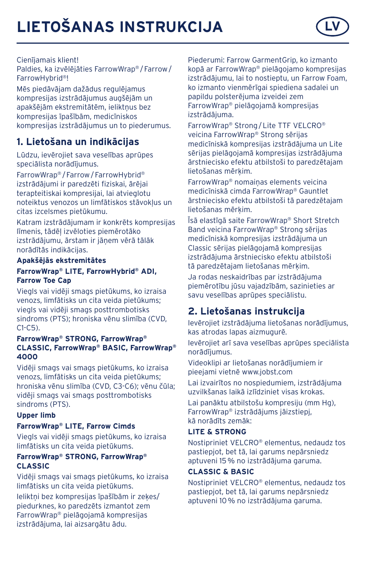# **LIETOŠANAS INSTRUKCIJA LV**



#### Cienījamais klient!

Paldies, ka izvēlējāties FarrowWrap® /Farrow/ FarrowHybrid®!

Mēs piedāvājam dažādus regulējamus kompresijas izstrādājumus augšējām un apakšējām ekstremitātēm, ieliktņus bez kompresijas īpašībām, medicīniskos kompresijas izstrādājumus un to piederumus.

# **1. Lietošana un indikācijas**

Lūdzu, ievērojiet sava veselības aprūpes speciālista norādījumus.

FarrowWrap® /Farrow/FarrowHybrid® izstrādājumi ir paredzēti fiziskai, ārējai terapteitiskai kompresijai, lai atvieglotu noteiktus venozos un limfātiskos stāvokļus un citas izcelsmes pietūkumu.

Katram izstrādājumam ir konkrēts kompresijas līmenis, tādēļ izvēloties piemērotāko izstrādājumu, ārstam ir jānem vērā tālāk norādītās indikācijas.

#### **Apakšējās ekstremitātes FarrowWrap® LITE, FarrowHybrid® ADI, Farrow Toe Cap**

Viegls vai vidēji smags pietūkums, ko izraisa venozs, limfātisks un cita veida pietūkums; viegls vai vidēji smags posttrombotisks sindroms (PTS); hroniska vēnu slimība (CVD,  $C1-C5$ ).

#### **FarrowWrap® STRONG, FarrowWrap® CLASSIC, FarrowWrap® BASIC, FarrowWrap® 4000**

Vidēji smags vai smags pietūkums, ko izraisa venozs, limfātisks un cita veida pietūkums; hroniska vēnu slimība (CVD, C3-C6); vēnu čūla; vidēji smags vai smags posttrombotisks sindroms (PTS).

#### **Upper limb**

#### **FarrowWrap® LITE, Farrow Cimds**

Viegls vai vidēji smags pietūkums, ko izraisa limfātisks un cita veida pietūkums.

#### **FarrowWrap® STRONG, FarrowWrap® CLASSIC**

Vidēji smags vai smags pietūkums, ko izraisa limfātisks un cita veida pietūkums.

Ieliktni bez kompresijas īpašībām ir zekes/ piedurknes, ko paredzēts izmantot zem FarrowWrap® pielāgojamā kompresijas izstrādājuma, lai aizsargātu ādu.

Piederumi: Farrow GarmentGrip, ko izmanto kopā ar FarrowWrap® pielāgojamo kompresijas izstrādājumu, lai to nostieptu, un Farrow Foam, ko izmanto vienmērīgai spiediena sadalei un papildu polsterējuma izveidei zem FarrowWrap® pielāgojamā kompresijas izstrādājuma.

FarrowWrap® Strong/Lite TTF VELCRO® veicina FarrowWrap® Strong sērijas medicīniskā kompresijas izstrādājuma un Lite sērijas pielāgojamā kompresijas izstrādājuma ārstniecisko efektu atbilstoši to paredzētajam lietošanas mērķim.

FarrowWrap® nomaiņas elements veicina medicīniskā cimda FarrowWrap® Gauntlet ārstniecisko efektu atbilstoši tā paredzētajam lietošanas mērķim.

Īsā elastīgā saite FarrowWrap® Short Stretch Band veicina FarrowWrap® Strong sērijas medicīniskā kompresijas izstrādājuma un Classic sērijas pielāgojamā kompresijas izstrādājuma ārstniecisko efektu atbilstoši tā paredzētajam lietošanas mērķim.

Ja rodas neskaidrības par izstrādājuma piemērotību jūsu vajadzībām, sazinieties ar savu veselības aprūpes speciālistu.

# **2. Lietošanas instrukcija**

Ievērojiet izstrādājuma lietošanas norādījumus, kas atrodas lapas aizmugurē.

Ievērojiet arī sava veselības aprūpes speciālista norādījumus.

Videoklipi ar lietošanas norādījumiem ir pieejami vietnē www.jobst.com

Lai izvairītos no nospiedumiem, izstrādājuma uzvilkšanas laikā izlīdziniet visas krokas.

Lai panāktu atbilstošu kompresiju (mm Hg), FarrowWrap® izstrādājums jāizstiepj, kā norādīts zemāk:

#### **LITE & STRONG**

Nostipriniet VELCRO® elementus, nedaudz tos pastiepjot, bet tā, lai garums nepārsniedz aptuveni 15% no izstrādājuma garuma.

### **CLASSIC & BASIC**

Nostipriniet VELCRO® elementus, nedaudz tos pastiepjot, bet tā, lai garums nepārsniedz aptuveni 10% no izstrādājuma garuma.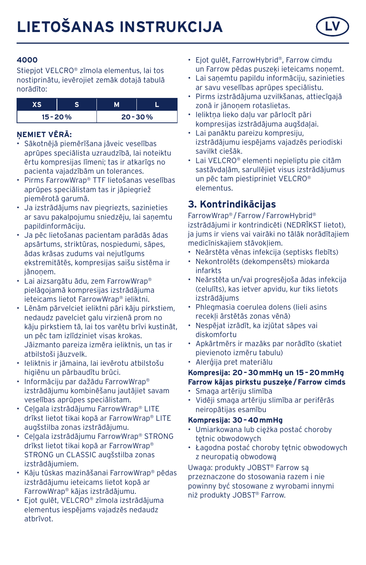

Stiepjot VELCRO® zīmola elementus, lai tos nostiprinātu, ievērojiet zemāk dotajā tabulā norādīto:

| r c        |  |            |
|------------|--|------------|
| $15 - 20%$ |  | $20 - 30%$ |

#### **ŅEMIET VĒRĀ:**

- Sākotnējā piemērīšana jāveic veselības aprūpes speciālista uzraudzībā, lai noteiktu ērtu kompresijas līmeni; tas ir atkarīgs no pacienta vajadzībām un tolerances.
- Pirms FarrowWrap® TTF lietošanas veselības aprūpes speciālistam tas ir jāpiegriež piemērotā garumā.
- Ja izstrādājums nav piegriezts, sazinieties ar savu pakalpojumu sniedzēju, lai saņemtu papildinformāciju.
- Ja pēc lietošanas pacientam parādās ādas apsārtums, striktūras, nospiedumi, sāpes, ādas krāsas zudums vai nejutīgums ekstremitātēs, kompresijas saišu sistēma ir iānoņem
- Lai aizsargātu ādu, zem FarrowWrap® pielāgojamā kompresijas izstrādājuma ieteicams lietot FarrowWrap® ieliktni.
- Lēnām pārvelciet ieliktni pāri kāju pirkstiem, nedaudz pavelciet galu virzienā prom no kāju pirkstiem tā, lai tos varētu brīvi kustināt, un pēc tam izlīdziniet visas krokas. Jāizmanto pareiza izmēra ieliktnis, un tas ir atbilstoši jāuzvelk.
- Ieliktnis ir jāmaina, lai ievērotu atbilstošu higiēnu un pārbaudītu brūci.
- Informāciju par dažādu FarrowWrap® izstrādājumu kombinēšanu jautājiet savam veselības aprūpes speciālistam.
- Ceļgala izstrādājumu FarrowWrap® LITE drīkst lietot tikai kopā ar FarrowWrap® LITE augšstilba zonas izstrādājumu.
- Ceļgala izstrādājumu FarrowWrap® STRONG drīkst lietot tikai kopā ar FarrowWrap® STRONG un CLASSIC augšstilba zonas izstrādājumiem.
- Kāju tūskas mazināšanai FarrowWrap® pēdas izstrādājumu ieteicams lietot kopā ar FarrowWrap® kājas izstrādājumu.
- Ejot gulēt, VELCRO® zīmola izstrādājuma elementus iespējams vajadzēs nedaudz atbrīvot.
- Ejot gulēt, FarrowHybrid®, Farrow cimdu un Farrow pēdas puszeķi ieteicams noņemt.
- Lai saņemtu papildu informāciju, sazinieties ar savu veselības aprūpes speciālistu.
- Pirms izstrādājuma uzvilkšanas, attiecīgajā zonā ir jānoņem rotaslietas.
- Ieliktņa lieko daļu var pārlocīt pāri kompresijas izstrādājuma augšdaļai.
- Lai panāktu pareizu kompresiju, izstrādājumu iespējams vajadzēs periodiski savilkt ciešāk.
- Lai VELCRO® elementi nepieliptu pie citām sastāvdaļām, sarullējiet visus izstrādājumus un pēc tam piestipriniet VELCRO® elementus.

# **3. Kontrindikācijas**

FarrowWrap® /Farrow/FarrowHybrid® izstrādājumi ir kontrindicēti (NEDRĪKST lietot), ja jums ir viens vai vairāki no tālāk norādītajiem medicīniskajiem stāvokļiem.

- Neārstēta vēnas infekcija (septisks flebīts)
- Nekontrolēts (dekompensēts) miokarda infarkts
- Neārstēta un/vai progresējoša ādas infekcija (celulīts), kas ietver apvidu, kur tiks lietots izstrādājums
- Phlegmasia coerulea dolens (lieli asins recekļi ārstētās zonas vēnā)
- Nespējat izrādīt, ka izjūtat sāpes vai diskomfortu
- Apkārtmērs ir mazāks par norādīto (skatiet pievienoto izmēru tabulu)
- Alerģija pret materiālu

#### **Kompresija: 20–30mmHg un 15–20mmHg Farrow kājas pirkstu puszeķe/Farrow cimds**

- Smaga artēriju slimība
- Vidēji smaga artēriju slimība ar perifērās neiropātijas esamību

#### **Kompresija: 30–40mmHg**

- Umiarkowana lub ciężka postać choroby tętnic obwodowych
- Łagodna postać choroby tętnic obwodowych z neuropatią obwodową

Uwaga: produkty JOBST® Farrow są przeznaczone do stosowania razem i nie powinny być stosowane z wyrobami innymi niż produkty JOBST® Farrow.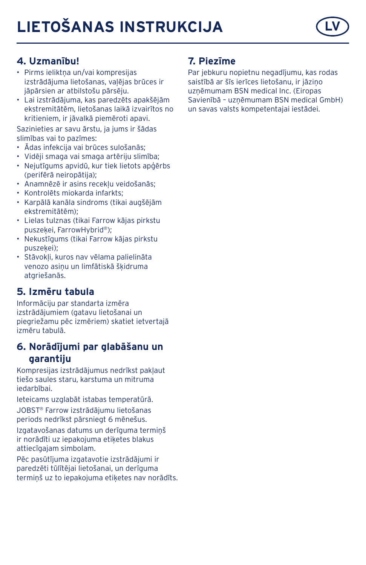# **LIETOŠANAS INSTRUKCIJA**



## **4. Uzmanību!**

- Pirms ieliktņa un/vai kompresijas izstrādājuma lietošanas, vaļējas brūces ir jāpārsien ar atbilstošu pārsēju.
- Lai izstrādājuma, kas paredzēts apakšējām ekstremitātēm, lietošanas laikā izvairītos no kritieniem, ir jāvalkā piemēroti apavi.

Sazinieties ar savu ārstu, ja jums ir šādas slimības vai to pazīmes:

- Ādas infekcija vai brūces sulošanās;
- Vidēji smaga vai smaga artēriju slimība;
- Nejutīgums apvidū, kur tiek lietots apģērbs (perifērā neiropātija);
- Anamnēzē ir asins recekļu veidošanās;
- Kontrolēts miokarda infarkts;
- Karpālā kanāla sindroms (tikai augšējām ekstremitātēm);
- Lielas tulznas (tikai Farrow kājas pirkstu puszekei, FarrowHybrid®);
- Nekustīgums (tikai Farrow kājas pirkstu puszeķei);
- Stāvokļi, kuros nav vēlama palielināta venozo asiņu un limfātiskā šķidruma atgriešanās.

## **5. Izmēru tabula**

Informāciju par standarta izmēra izstrādājumiem (gatavu lietošanai un piegriežamu pēc izmēriem) skatiet ietvertajā izmēru tabulā.

### **6. Norādījumi par glabāšanu un garantiju**

Kompresijas izstrādājumus nedrīkst pakļaut tiešo saules staru, karstuma un mitruma iedarbībai.

Ieteicams uzglabāt istabas temperatūrā.

JOBST® Farrow izstrādājumu lietošanas periods nedrīkst pārsniegt 6 mēnešus.

Izgatavošanas datums un derīguma termiņš ir norādīti uz iepakojuma etiķetes blakus attiecīgajam simbolam.

Pēc pasūtījuma izgatavotie izstrādājumi ir paredzēti tūlītējai lietošanai, un derīguma termiņš uz to iepakojuma etiķetes nav norādīts.

## **7. Piezīme**

Par jebkuru nopietnu negadījumu, kas rodas saistībā ar šīs ierīces lietošanu, ir jāziņo uzņēmumam BSN medical Inc. (Eiropas Savienībā – uzņēmumam BSN medical GmbH) un savas valsts kompetentajai iestādei.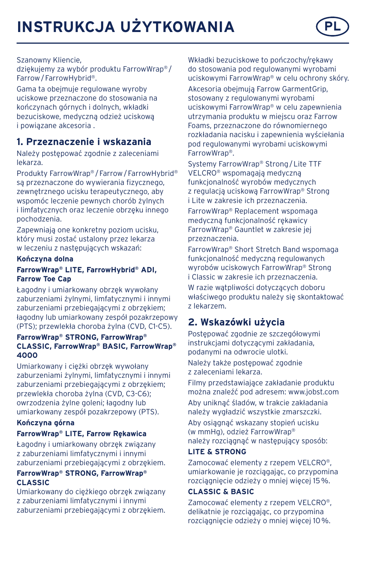#### Szanowny Kliencie,

dziękujemy za wybór produktu FarrowWrap® / Farrow/FarrowHybrid®.

Gama ta obejmuje regulowane wyroby uciskowe przeznaczone do stosowania na kończynach górnych i dolnych, wkładki bezuciskowe, medyczną odzież uciskową i powiązane akcesoria .

# **1. Przeznaczenie i wskazania**

Należy postępować zgodnie z zaleceniami lekarza.

Produkty FarrowWrap® /Farrow/FarrowHybrid® są przeznaczone do wywierania fizycznego, zewnętrznego ucisku terapeutycznego, aby wspomóc leczenie pewnych chorób żylnych i limfatycznych oraz leczenie obrzęku innego pochodzenia.

Zapewniają one konkretny poziom ucisku, który musi zostać ustalony przez lekarza w leczeniu z następujących wskazań:

#### **Kończyna dolna**

#### **FarrowWrap® LITE, FarrowHybrid® ADI, Farrow Toe Cap**

Łagodny i umiarkowany obrzęk wywołany zaburzeniami żylnymi, limfatycznymi i innymi zaburzeniami przebiegającymi z obrzękiem; łagodny lub umiarkowany zespół pozakrzepowy (PTS); przewlekła choroba żylna (CVD, C1-C5).

#### **FarrowWrap® STRONG, FarrowWrap® CLASSIC, FarrowWrap® BASIC, FarrowWrap® 4000**

Umiarkowany i ciężki obrzęk wywołany zaburzeniami żylnymi, limfatycznymi i innymi zaburzeniami przebiegającymi z obrzękiem; przewlekła choroba żylna (CVD, C3-C6); owrzodzenia żylne goleni; łagodny lub umiarkowany zespół pozakrzepowy (PTS).

#### **Kończyna górna FarrowWrap® LITE, Farrow Rękawica**

Łagodny i umiarkowany obrzęk związany z zaburzeniami limfatycznymi i innymi zaburzeniami przebiegającymi z obrzękiem.

#### **FarrowWrap® STRONG, FarrowWrap® CLASSIC**

Umiarkowany do ciężkiego obrzęk związany z zaburzeniami limfatycznymi i innymi zaburzeniami przebiegającymi z obrzękiem. Wkładki bezuciskowe to pończochy/rękawy do stosowania pod regulowanymi wyrobami uciskowymi FarrowWrap® w celu ochrony skóry.

Akcesoria obejmują Farrow GarmentGrip, stosowany z regulowanymi wyrobami uciskowymi FarrowWrap® w celu zapewnienia utrzymania produktu w miejscu oraz Farrow Foams, przeznaczone do równomiernego rozkładania nacisku i zapewnienia wyściełania pod regulowanymi wyrobami uciskowymi FarrowWrap®.

Systemy FarrowWrap® Strong/Lite TTF VELCRO® wspomagają medyczną funkcjonalność wyrobów medycznych z regulacją uciskową FarrowWrap® Strong i Lite w zakresie ich przeznaczenia.

FarrowWrap® Replacement wspomaga medyczną funkcjonalność rękawicy FarrowWrap® Gauntlet w zakresie jej przeznaczenia.

FarrowWrap® Short Stretch Band wspomaga funkcjonalność medyczną regulowanych wyrobów uciskowych FarrowWrap® Strong i Classic w zakresie ich przeznaczenia.

W razie wątpliwości dotyczących doboru właściwego produktu należy się skontaktować z lekarzem.

# **2. Wskazówki użycia**

Postępować zgodnie ze szczegółowymi instrukcjami dotyczącymi zakładania, podanymi na odwrocie ulotki. Należy także postępować zgodnie z zaleceniami lekarza.

Filmy przedstawiające zakładanie produktu można znaleźć pod adresem: www.jobst.com Aby uniknąć śladów, w trakcie zakładania należy wygładzić wszystkie zmarszczki. Aby osiągnąć wskazany stopień ucisku

(w mmHg), odzież FarrowWrap® należy rozciągnąć w następujący sposób:

#### **LITE & STRONG**

Zamocować elementy z rzepem VELCRO®, umiarkowanie je rozciągając, co przypomina rozciągnięcie odzieży o mniej więcej 15%.

#### **CLASSIC & BASIC**

Zamocować elementy z rzepem VELCRO®, delikatnie je rozciągając, co przypomina rozciągnięcie odzieży o mniej więcej 10%.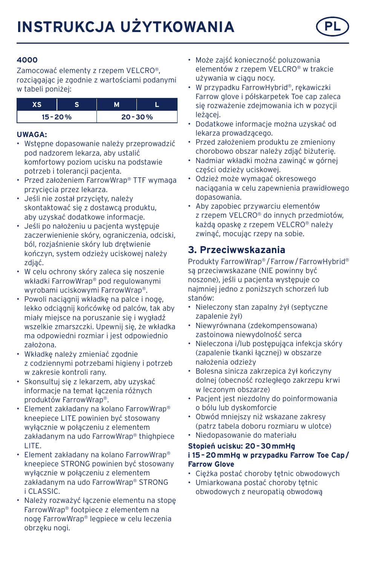

Zamocować elementy z rzepem VELCRO®, rozciągając je zgodnie z wartościami podanymi w tabeli poniżej:

| $15 - 20%$ |  | $20 - 30%$ |
|------------|--|------------|

#### **UWAGA:**

- Wstępne dopasowanie należy przeprowadzić pod nadzorem lekarza, aby ustalić komfortowy poziom ucisku na podstawie potrzeb i tolerancji pacjenta.
- Przed założeniem FarrowWran® TTF wymaga przycięcia przez lekarza.
- Jeśli nie został przycięty, należy skontaktować się z dostawcą produktu, aby uzyskać dodatkowe informacje.
- Jeśli po nałożeniu u pacjenta występuje zaczerwienienie skóry, ograniczenia, odciski, ból, rozjaśnienie skóry lub drętwienie kończyn, system odzieży uciskowej należy zdjąć.
- W celu ochrony skóry zaleca się noszenie wkładki FarrowWrap® pod regulowanymi wyrobami uciskowymi FarrowWrap®.
- Powoli naciągnij wkładkę na palce i nogę, lekko odciągnij końcówkę od palców, tak aby miały miejsce na poruszanie się i wygładź wszelkie zmarszczki. Upewnij się, że wkładka ma odpowiedni rozmiar i jest odpowiednio założona.
- Wkładkę należy zmieniać zgodnie z codziennymi potrzebami higieny i potrzeb w zakresie kontroli rany.
- Skonsultuj się z lekarzem, aby uzyskać informacje na temat łączenia różnych produktów FarrowWrap®.
- Element zakładany na kolano FarrowWrap® kneepiece LITE powinien być stosowany wyłącznie w połączeniu z elementem zakładanym na udo FarrowWrap® thighpiece LITE.
- Element zakładany na kolano FarrowWrap® kneepiece STRONG powinien być stosowany wyłącznie w połączeniu z elementem zakładanym na udo FarrowWrap® STRONG i CLASSIC.
- Należy rozważyć łączenie elementu na stopę FarrowWrap® footpiece z elementem na nogę FarrowWrap® legpiece w celu leczenia obrzęku nogi.
- Może zajść konieczność poluzowania elementów z rzepem VELCRO® w trakcie używania w ciągu nocy.
- W przypadku FarrowHybrid®, rękawiczki Farrow glove i półskarpetek Toe cap zaleca się rozważenie zdejmowania ich w pozycji leżącej.
- Dodatkowe informacje można uzyskać od lekarza prowadzącego.
- Przed założeniem produktu ze zmieniony chorobowo obszar należy zdjąć biżuterię.
- Nadmiar wkładki można zawinąć w górnej części odzieży uciskowej.
- Odzież może wymagać okresowego naciągania w celu zapewnienia prawidłowego dopasowania.
- Aby zapobiec przywarciu elementów z rzepem VELCRO® do innych przedmiotów, każdą opaskę z rzepem VELCRO® należy zwinąć, mocując rzepy na sobie.

## **3. Przeciwwskazania**

Produkty FarrowWrap® /Farrow/FarrowHybrid® są przeciwwskazane (NIE powinny być noszone), jeśli u pacjenta występuje co najmniej jedno z poniższych schorzeń lub stanów:

- Nieleczony stan zapalny żył (septyczne zapalenie żył)
- Niewyrównana (zdekompensowana) zastoinowa niewydolność serca
- Nieleczona i/lub postępująca infekcja skóry (zapalenie tkanki łącznej) w obszarze nałożenia odzieży
- Bolesna sinicza zakrzepica żył kończyny dolnej (obecność rozległego zakrzepu krwi w leczonym obszarze)
- Pacjent jest niezdolny do poinformowania o bólu lub dyskomforcie
- Obwód mniejszy niż wskazane zakresy (patrz tabela doboru rozmiaru w ulotce) • Niedopasowanie do materiału
- 

#### **Stopień ucisku: 20–30mmHg i 15–20mmHg w przypadku Farrow Toe Cap/ Farrow Glove**

- Ciężka postać choroby tętnic obwodowych
- Umiarkowana postać choroby tętnic obwodowych z neuropatią obwodową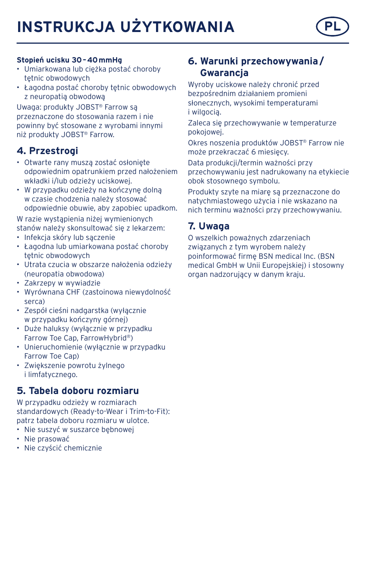# **INSTRUKCJA UŻYTKOWANIA**



#### **Stopień ucisku 30–40mmHg**

- Umiarkowana lub ciężka postać choroby tętnic obwodowych
- Łagodna postać choroby tętnic obwodowych z neuropatią obwodową

Uwaga: produkty JOBST® Farrow są przeznaczone do stosowania razem i nie powinny być stosowane z wyrobami innymi niż produkty JOBST® Farrow.

### **4. Przestrogi**

- Otwarte rany muszą zostać osłonięte odpowiednim opatrunkiem przed nałożeniem wkładki i/lub odzieży uciskowej.
- W przypadku odzieży na kończynę dolną w czasie chodzenia należy stosować odpowiednie obuwie, aby zapobiec upadkom.

W razie wystąpienia niżej wymienionych stanów należy skonsultować się z lekarzem:

- Infekcja skóry lub sączenie
- Łagodna lub umiarkowana postać choroby tętnic obwodowych
- Utrata czucia w obszarze nałożenia odzieży (neuropatia obwodowa)
- Zakrzepy w wywiadzie
- Wyrównana CHF (zastoinowa niewydolność serca)
- Zespół cieśni nadgarstka (wyłącznie w przypadku kończyny górnej)
- Duże haluksy (wyłącznie w przypadku Farrow Toe Cap, FarrowHybrid®)
- Unieruchomienie (wyłącznie w przypadku Farrow Toe Cap)
- Zwiększenie powrotu żylnego i limfatycznego.

### **5. Tabela doboru rozmiaru**

W przypadku odzieży w rozmiarach standardowych (Ready-to-Wear i Trim-to-Fit): patrz tabela doboru rozmiaru w ulotce.

- Nie suszyć w suszarce bebnowei
- Nie prasować
- Nie czyścić chemicznie

# **6. Warunki przechowywania/ Gwarancja**

Wyroby uciskowe należy chronić przed bezpośrednim działaniem promieni słonecznych, wysokimi temperaturami i wilgocią.

Zaleca się przechowywanie w temperaturze pokojowej.

Okres noszenia produktów JOBST® Farrow nie może przekraczać 6 miesięcy.

Data produkcji/termin ważności przy przechowywaniu jest nadrukowany na etykiecie obok stosownego symbolu.

Produkty szyte na miarę są przeznaczone do natychmiastowego użycia i nie wskazano na nich terminu ważności przy przechowywaniu.

# **7. Uwaga**

O wszelkich poważnych zdarzeniach związanych z tym wyrobem należy poinformować firmę BSN medical Inc. (BSN medical GmbH w Unii Europejskiej) i stosowny organ nadzorujący w danym kraju.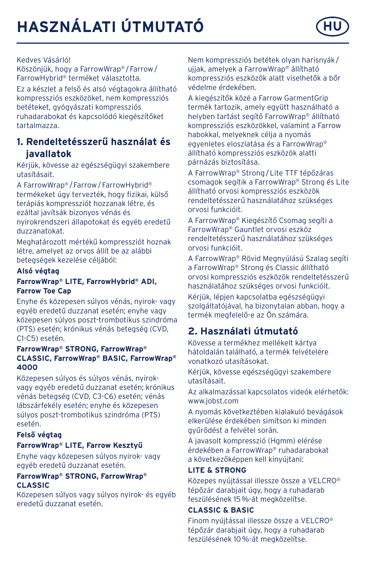# **HASZNÁLATI ÚTMUTATÓ HU**



Köszönjük, hogy a FarrowWrap® /Farrow/ FarrowHybrid® terméket választotta.

Ez a készlet a felső és alsó végtagokra állítható kompressziós eszközöket, nem kompressziós betéteket, gyógyászati kompressziós ruhadarabokat és kapcsolódó kiegészítőket tartalmazza.

## **1. Rendeltetésszerű használat és javallatok**

Kérjük, kövesse az egészségügyi szakembere utasításait.

A FarrowWrap® /Farrow/FarrowHybrid® termékeket úgy tervezték, hogy fizikai, külső terápiás kompressziót hozzanak létre, és ezáltal javítsák bizonyos vénás és nyirokrendszeri állapotokat és egyéb eredetű duzzanatokat.

Meghatározott mértékű kompressziót hoznak létre, amelyet az orvos állít be az alábbi betegségek kezelése céljából:

#### **Alsó végtag**

#### **FarrowWrap® LITE, FarrowHybrid® ADI, Farrow Toe Cap**

Enyhe és közepesen súlyos vénás, nyirok- vagy egyéb eredetű duzzanat esetén; enyhe vagy közepesen súlyos poszt-trombotikus szindróma (PTS) esetén; krónikus vénás betegség (CVD, C1-C5) esetén.

#### **FarrowWrap® STRONG, FarrowWrap® CLASSIC, FarrowWrap® BASIC, FarrowWrap® 4000**

Közepesen súlyos és súlyos vénás, nyirokvagy egyéb eredetű duzzanat esetén; krónikus vénás betegség (CVD, C3-C6) esetén; vénás lábszárfekély esetén; enyhe és közepesen súlyos poszt-trombotikus szindróma (PTS) esetén.

#### **Felső végtag**

#### **FarrowWrap® LITE, Farrow Kesztyű**

Enyhe vagy közepesen súlyos nyirok- vagy egyéb eredetű duzzanat esetén.

#### **FarrowWrap® STRONG, FarrowWrap® CLASSIC**

Közepesen súlyos vagy súlyos nyirok- és egyéb eredetű duzzanat esetén.

Nem kompressziós betétek olyan harisnyák/ ujjak, amelyek a FarrowWrap® állítható kompressziós eszközök alatt viselhetők a bőr védelme érdekében.

A kiegészítők közé a Farrow GarmentGrip termék tartozik, amely együtt használható a helyben tartást segítő FarrowWrap® állítható kompressziós eszközökkel, valamint a Farrow habokkal, melyeknek célja a nyomás egyenletes eloszlatása és a FarrowWrap® állítható kompressziós eszközök alatti párnázás biztosítása.

A FarrowWrap® Strong/Lite TTF tépőzáras csomagok segítik a FarrowWrap® Strong és Lite állítható orvosi kompressziós eszközök rendeltetésszerű használatához szükséges orvosi funkcióit.

A FarrowWrap® Kiegészítő Csomag segíti a FarrowWrap® Gauntlet orvosi eszköz rendeltetésszerű használatához szükséges orvosi funkcióit.

A FarrowWrap® Rövid Megnyúlású Szalag segíti a FarrowWrap® Strong és Classic állítható orvosi kompressziós eszközök rendeltetésszerű használatához szükséges orvosi funkcióit.

Kérjük, lépjen kapcsolatba egészségügyi szolgáltatójával, ha bizonytalan abban, hogy a termék megfelelő-e az Ön számára.

# **2. Használati útmutató**

Kövesse a termékhez mellékelt kártya hátoldalán található, a termék felvételére vonatkozó utasításokat.

Kérjük, kövesse egészségügyi szakembere utasításait.

Az alkalmazással kapcsolatos videók elérhetők: www.jobst.com

A nyomás következtében kialakuló bevágások elkerülése érdekében simítson ki minden gyűrődést a felvétel során.

A javasolt kompresszió (Hgmm) elérése érdekében a FarrowWrap® ruhadarabokat a következőképpen kell kinyújtani:

#### **LITE & STRONG**

Közepes nyújtással illessze össze a VELCRO® tépőzár darabjait úgy, hogy a ruhadarab feszülésének 15%-át megközelítse.

#### **CLASSIC & BASIC**

Finom nyújtással illessze össze a VELCRO® tépőzár darabjait úgy, hogy a ruhadarab feszülésének 10%-át megközelítse.

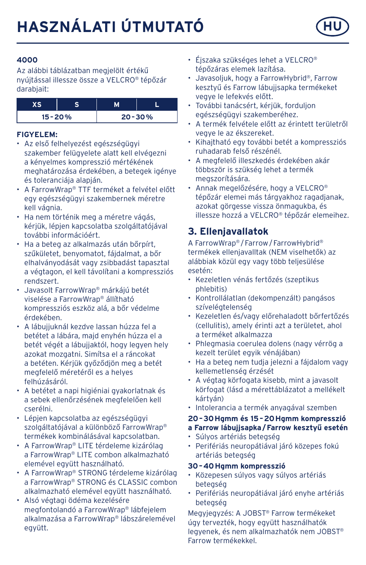

Az alábbi táblázatban megjelölt értékű nyújtással illessze össze a VELCRO® tépőzár darabiait:

| $15 - 20%$ |  | $20 - 30%$ |
|------------|--|------------|

#### **FIGYELEM:**

- Az első felhelyezést egészségügyi szakember felügyelete alatt kell elvégezni a kényelmes kompresszió mértékének meghatározása érdekében, a betegek igénye és toleranciája alapján.
- A FarrowWrap® TTF terméket a felvétel előtt egy egészségügyi szakembernek méretre kell vágnia.
- Ha nem történik meg a méretre vágás, kériük, lépjen kapcsolatba szolgáltatójával. további információért.
- Ha a beteg az alkalmazás után bőrpírt, szűkületet, benyomatot, fájdalmat, a bőr elhalványodását vagy zsibbadást tapasztal a végtagon, el kell távolítani a kompressziós rendszert.
- Javasolt FarrowWrap® márkájú betét viselése a FarrowWrap® állítható kompressziós eszköz alá, a bőr védelme érdekében.
- A lábujjuknál kezdve lassan húzza fel a betétet a lábára, majd enyhén húzza el a betét végét a lábujjaktól, hogy legyen hely azokat mozgatni. Simítsa el a ráncokat a betéten. Kérjük győződjön meg a betét megfelelő méretéről es a helyes felhúzásáról.
- A betétet a napi higiéniai gyakorlatnak és a sebek ellenőrzésének megfelelően kell cserélni.
- Lépjen kapcsolatba az egészségügyi szolgáltatójával a különböző FarrowWrap® termékek kombinálásával kapcsolatban.
- A FarrowWrap® LITE térdeleme kizárólag a FarrowWrap® LITE combon alkalmazható elemével együtt használható.
- A FarrowWrap® STRONG térdeleme kizárólag a FarrowWrap® STRONG és CLASSIC combon alkalmazható elemével együtt használható.
- Alsó végtagi ödéma kezelésére megfontolandó a FarrowWrap® lábfejelem alkalmazása a FarrowWrap® lábszárelemével együtt.
- Éjszaka szükséges lehet a VELCRO® tépőzáras elemek lazítása.
- Javasoljuk, hogy a FarrowHybrid®, Farrow kesztyű és Farrow lábujjsapka termékeket vegye le lefekvés előtt.
- További tanácsért, kérjük, forduljon egészségügyi szakemberéhez.
- A termék felvétele előtt az érintett területről vegye le az ékszereket.
- Kihajtható egy további betét a kompressziós ruhadarab felső részénél.
- A megfelelő illeszkedés érdekében akár többször is szükség lehet a termék megszorítására.
- Annak megelőzésére, hogy a VELCRO® tépőzár elemei más tárgyakhoz ragadjanak, azokat görgesse vissza önmagukba, és illessze hozzá a VELCRO® tépőzár elemeihez.

# **3. Ellenjavallatok**

A FarrowWrap® /Farrow/FarrowHybrid® termékek ellenjavalltak (NEM viselhetők) az alábbiak közül egy vagy több teljesülése esetén:

- Kezeletlen vénás fertőzés (szeptikus phlebitis)
- Kontrollálatlan (dekompenzált) pangásos szívelégtelenség
- Kezeletlen és/vagy előrehaladott bőrfertőzés (cellulitis), amely érinti azt a területet, ahol a terméket alkalmazza
- Phlegmasia coerulea dolens (nagy vérrög a kezelt terület egyik vénájában)
- Ha a beteg nem tudja jelezni a fájdalom vagy kellemetlenség érzését
- A végtag körfogata kisebb, mint a javasolt körfogat (lásd a mérettáblázatot a mellékelt kártyán)
- Intolerancia a termék anyagával szemben

#### **20–30Hgmm és 15–20Hgmm kompresszió**

- **a Farrow lábujjsapka/Farrow kesztyű esetén**
- Súlyos artériás betegség
- Perifériás neuropátiával járó közepes fokú artériás betegség

#### **30–40Hgmm kompresszió**

- Közepesen súlyos vagy súlyos artériás betegség
- Perifériás neuropátiával járó enyhe artériás betegség

Megyjegyzés: A JOBST® Farrow termékeket úgy tervezték, hogy együtt használhatók legyenek, és nem alkalmazhatók nem JOBST® Farrow termékekkel.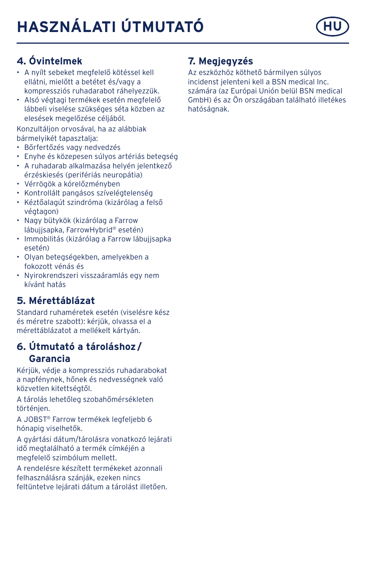# **HASZNÁLATI ÚTMUTATÓ HU**



# **4. Óvintelmek**

- A nyílt sebeket megfelelő kötéssel kell ellátni, mielőtt a betétet és/vagy a kompressziós ruhadarabot ráhelyezzük.
- Alsó végtagi termékek esetén megfelelő lábbeli viselése szükséges séta közben az elesések megelőzése céljából.

Konzultáljon orvosával, ha az alábbiak bármelyikét tapasztalja:

- Bőrfertőzés vagy nedvedzés
- Enyhe és közepesen súlyos artériás betegség
- A ruhadarab alkalmazása helyén jelentkező érzéskiesés (perifériás neuropátia)
- Vérrögök a kórelőzményben
- Kontrollált pangásos szívelégtelenség
- Kéztőalagút szindróma (kizárólag a felső végtagon)
- Nagy bütykök (kizárólag a Farrow lábujjsapka, FarrowHybrid® esetén)
- Immobilitás (kizárólag a Farrow lábujjsapka esetén)
- Olyan betegségekben, amelyekben a fokozott vénás és
- Nyirokrendszeri visszaáramlás egy nem kívánt hatás

# **5. Mérettáblázat**

Standard ruhaméretek esetén (viselésre kész és méretre szabott): kérjük, olvassa el a mérettáblázatot a mellékelt kártyán.

## **6. Útmutató a tároláshoz/ Garancia**

Kérjük, védje a kompressziós ruhadarabokat a napfénynek, hőnek és nedvességnek való közvetlen kitettségtől.

A tárolás lehetőleg szobahőmérsékleten történjen.

A JOBST® Farrow termékek legfeljebb 6 hónapig viselhetők.

A gyártási dátum/tárolásra vonatkozó lejárati idő megtalálható a termék címkéjén a megfelelő szimbólum mellett.

A rendelésre készített termékeket azonnali felhasználásra szánják, ezeken nincs feltüntetve lejárati dátum a tárolást illetően.

# **7. Megjegyzés**

Az eszközhöz köthető bármilyen súlyos incidenst jelenteni kell a BSN medical Inc. számára (az Európai Unión belül BSN medical GmbH) és az Ön országában található illetékes hatóságnak.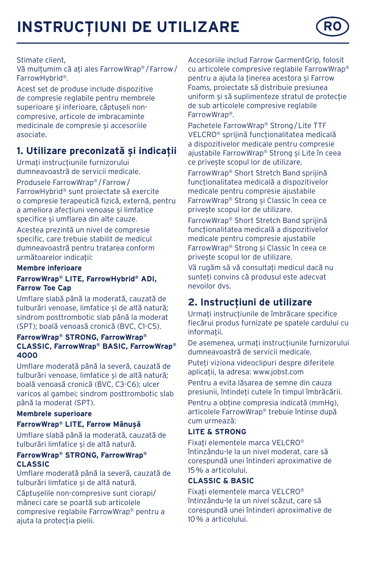# **INSTRUCȚIUNI DE UTILIZARE RO**



#### Stimate client,

Vă mulțumim că ați ales FarrowWrap® /Farrow/ FarrowHybrid®.

Acest set de produse include dispozitive de compresie reglabile pentru membrele superioare și inferioare, căptușeli noncompresive, articole de imbracaminte medicinale de compresie și accesoriile asociate.

## **1. Utilizare preconizată și indicații**

Urmați instrucțiunile furnizorului dumneavoastră de servicii medicale.

Produsele FarrowWrap® /Farrow/ FarrowHybrid® sunt proiectate să exercite o compresie terapeutică fizică, externă, pentru a ameliora afecțiuni venoase și limfatice specifice și umflarea din alte cauze.

Acestea prezintă un nivel de compresie specific, care trebuie stabilit de medicul dumneavoastră pentru tratarea conform următoarelor indicații:

#### **Membre inferioare**

#### **FarrowWrap® LITE, FarrowHybrid® ADI, Farrow Toe Cap**

Umflare slabă până la moderată, cauzată de tulburări venoase, limfatice și de altă natură; sindrom posttrombotic slab până la moderat (SPT); boală venoasă cronică (BVC, C1-C5).

#### **FarrowWrap® STRONG, FarrowWrap® CLASSIC, FarrowWrap® BASIC, FarrowWrap® 4000**

Umflare moderată până la severă, cauzată de tulburări venoase, limfatice și de altă natură: boală venoasă cronică (BVC, C3-C6); ulcer varicos al gambei; sindrom posttrombotic slab până la moderat (SPT).

#### **Membrele superioare**

#### **FarrowWrap® LITE, Farrow Mănușă**

Umflare slabă până la moderată, cauzată de tulburări limfatice și de altă natură.

#### **FarrowWrap® STRONG, FarrowWrap® CLASSIC**

Umflare moderată până la severă, cauzată de tulburări limfatice și de altă natură.

Căptușelile non-compresive sunt ciorapi/ mâneci care se poartă sub articolele compresive reglabile FarrowWrap® pentru a ajuta la protecția pielii.

Accesoriile includ Farrow GarmentGrip, folosit cu articolele compresive reglabile FarrowWrap® pentru a ajuta la ținerea acestora și Farrow Foams, proiectate să distribuie presiunea uniform și să suplimenteze stratul de protecție de sub articolele compresive reglabile FarrowWrap®.

Pachetele FarrowWrap® Strong/Lite TTF VELCRO® sprijină funcționalitatea medicală a dispozitivelor medicale pentru compresie ajustabile FarrowWrap® Strong și Lite în ceea ce privește scopul lor de utilizare.

FarrowWrap® Short Stretch Band sprijină funcționalitatea medicală a dispozitivelor medicale pentru compresie ajustabile FarrowWrap® Strong și Classic în ceea ce privește scopul lor de utilizare.

FarrowWrap® Short Stretch Band sprijină funcționalitatea medicală a dispozitivelor medicale pentru compresie ajustabile FarrowWrap® Strong și Classic în ceea ce privește scopul lor de utilizare.

Vă rugăm să vă consultați medicul dacă nu sunteți convins că produsul este adecvat nevoilor dvs.

## **2. Instrucțiuni de utilizare**

Urmați instrucțiunile de îmbrăcare specifice fiecărui produs furnizate pe spatele cardului cu informații.

De asemenea, urmați instrucțiunile furnizorului dumneavoastră de servicii medicale.

Puteți viziona videoclipuri despre diferitele aplicații, la adresa: www.jobst.com

Pentru a evita lăsarea de semne din cauza presiunii, întindeți cutele în timpul îmbrăcării. Pentru a obține compresia indicată (mmHg), articolele FarrowWrap® trebuie întinse după cum urmează:

#### **LITE & STRONG**

Fixați elementele marca VELCRO® întinzându-le la un nivel moderat, care să corespundă unei întinderi aproximative de 15% a articolului.

#### **CLASSIC & BASIC**

Fixați elementele marca VELCRO® întinzându-le la un nivel scăzut, care să corespundă unei întinderi aproximative de 10% a articolului.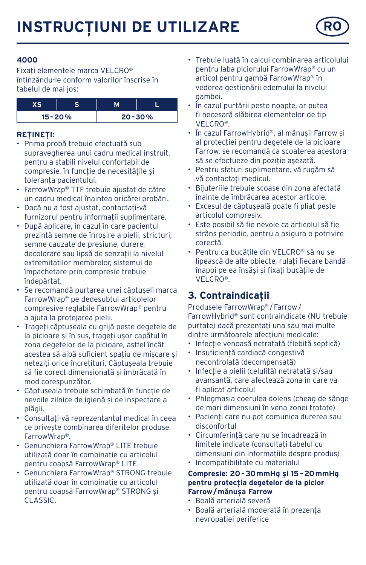

Fixați elementele marca VELCRO® întinzându-le conform valorilor înscrise în tabelul de mai jos:

| $15 - 20%$ |  | $20 - 30%$ |
|------------|--|------------|

#### **REȚINEȚI:**

- Prima probă trebuie efectuată sub supravegherea unui cadru medical instruit, pentru a stabili nivelul confortabil de compresie, în funcție de necesitățile și toleranța pacientului.
- FarrowWrap® TTF trebuie ajustat de către un cadru medical înaintea oricărei probări.
- Dacă nu a fost ajustat, contactați-vă furnizorul pentru informații suplimentare.
- După aplicare, în cazul în care pacientul prezintă semne de înroșire a pielii, stricturi, semne cauzate de presiune, durere, decolorare sau lipsă de senzații la nivelul extremitatilor membrelor, sistemul de împachetare prin compresie trebuie îndepărtat.
- Se recomandă purtarea unei căptușeli marca FarrowWrap® pe dedesubtul articolelor compresive reglabile FarrowWrap® pentru a ajuta la protejarea pielii.
- Trageți căptușeala cu grijă peste degetele de la picioare și în sus, trageți ușor capătul în zona degetelor de la picioare, astfel încât acestea să aibă suficient spațiu de mișcare și neteziți orice încrețituri. Căptușeala trebuie să fie corect dimensionată și îmbrăcată în mod corespunzător.
- Căptușeala trebuie schimbată în funcție de nevoile zilnice de igienă și de inspectare a plăgii.
- Consultați-vă reprezentantul medical în ceea ce privește combinarea diferitelor produse FarrowWrap®.
- Genunchiera FarrowWrap® LITE trebuie utilizată doar în combinație cu articolul pentru coapsă FarrowWrap® LITE.
- Genunchiera FarrowWrap® STRONG trebuie utilizată doar în combinație cu articolul pentru coapsă FarrowWrap® STRONG și CLASSIC.
- Trebuie luată în calcul combinarea articolului pentru laba piciorului FarrowWrap® cu un articol pentru gambă FarrowWrap® în vederea gestionării edemului la nivelul gambei.
- În cazul purtării peste noapte, ar putea fi necesară slăbirea elementelor de tip VELCRO®.
- În cazul FarrowHybrid®, al mănușii Farrow și al protecției pentru degetele de la picioare Farrow, se recomandă ca scoaterea acestora să se efectueze din poziție așezată.
- Pentru sfaturi suplimentare, vă rugăm să vă contactați medicul.
- Bijuteriile trebuie scoase din zona afectată înainte de îmbrăcarea acestor articole.
- Excesul de căptușeală poate fi pliat peste articolul compresiv.
- Este posibil să fie nevoie ca articolul să fie strâns periodic, pentru a asigura o potrivire corectă.
- Pentru ca bucățile din VELCRO® să nu se lipească de alte obiecte, rulați fiecare bandă înapoi pe ea însăși și fixați bucățile de VELCRO®.

# **3. Contraindicații**

Produsele FarrowWrap® /Farrow/ FarrowHybrid® sunt contraindicate (NU trebuie purtate) dacă prezentați una sau mai multe dintre următoarele afecțiuni medicale:

- Infecție venoasă netratată (flebită septică)
- Insuficiență cardiacă congestivă necontrolată (decompensată)
- Infecție a pielii (celulită) netratată și/sau avansantă, care afectează zona în care va fi aplicat articolul
- Phlegmasia coerulea dolens (cheag de sânge de mari dimensiuni în vena zonei tratate)
- Pacienți care nu pot comunica durerea sau disconfortul
- Circumferință care nu se încadrează în limitele indicate (consultați tabelul cu dimensiuni din informațiile despre produs)
- Incompatibilitate cu materialul

#### **Compresie: 20–30mmHg și 15–20mmHg pentru protecția degetelor de la picior Farrow/mănușa Farrow**

- Boală arterială severă
- Boală arterială moderată în prezența nevropatiei periferice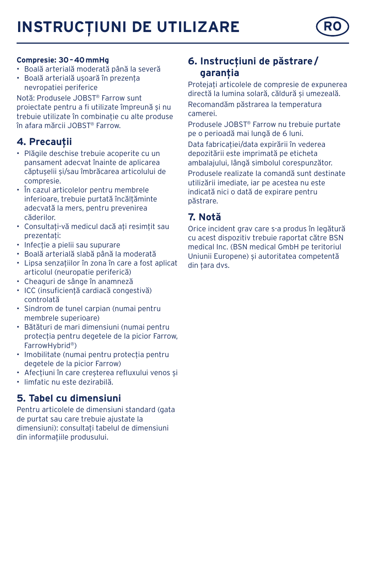# **INSTRUCȚIUNI DE UTILIZARE RO**



#### **Compresie: 30–40mmHg**

- Boală arterială moderată până la severă
- Boală arterială ușoară în prezența nevropatiei periferice

Notă: Produsele JOBST® Farrow sunt proiectate pentru a fi utilizate împreună și nu trebuie utilizate în combinație cu alte produse în afara mărcii JOBST® Farrow.

## **4. Precauții**

- Plăgile deschise trebuie acoperite cu un pansament adecvat înainte de aplicarea căptușelii și/sau îmbrăcarea articolului de compresie.
- În cazul articolelor pentru membrele inferioare, trebuie purtată încălțăminte adecvată la mers, pentru prevenirea căderilor.
- Consultați-vă medicul dacă ați resimțit sau prezentați:
- Infecție a pielii sau supurare
- Boală arterială slabă până la moderată
- Lipsa senzațiilor în zona în care a fost aplicat articolul (neuropatie periferică)
- Cheaguri de sânge în anamneză
- ICC (insuficiență cardiacă congestivă) controlată
- Sindrom de tunel carpian (numai pentru membrele superioare)
- Bătături de mari dimensiuni (numai pentru protecția pentru degetele de la picior Farrow, FarrowHybrid®)
- Imobilitate (numai pentru protecția pentru degetele de la picior Farrow)
- Afecțiuni în care creșterea refluxului venos și
- limfatic nu este dezirabilă.

### **5. Tabel cu dimensiuni**

Pentru articolele de dimensiuni standard (gata de purtat sau care trebuie ajustate la dimensiuni): consultați tabelul de dimensiuni din informațiile produsului.

# **6. Instrucțiuni de păstrare/ garanția**

Protejați articolele de compresie de expunerea directă la lumina solară, căldură și umezeală. Recomandăm păstrarea la temperatura camerei.

Produsele JOBST® Farrow nu trebuie purtate pe o perioadă mai lungă de 6 luni. Data fabricației/data expirării în vederea depozitării este imprimată pe eticheta ambalajului, lângă simbolul corespunzător.

Produsele realizate la comandă sunt destinate utilizării imediate, iar pe acestea nu este indicată nici o dată de expirare pentru păstrare.

# **7. Notă**

Orice incident grav care s-a produs în legătură cu acest dispozitiv trebuie raportat către BSN medical Inc. (BSN medical GmbH pe teritoriul Uniunii Europene) și autoritatea competentă din țara dvs.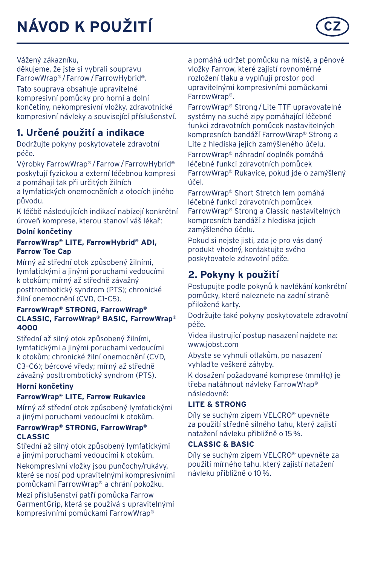

děkujeme, že jste si vybrali soupravu FarrowWrap® /Farrow/FarrowHybrid®.

Tato souprava obsahuje upravitelné kompresivní pomůcky pro horní a dolní končetiny, nekompresivní vložky, zdravotnické kompresivní návleky a související příslušenství.

# **1. Určené použití a indikace**

Dodržujte pokyny poskytovatele zdravotní péče.

Výrobky FarrowWrap® /Farrow/FarrowHybrid® poskytují fyzickou a externí léčebnou kompresi a pomáhají tak při určitých žilních

a lymfatických onemocněních a otocích jiného původu.

K léčbě následujících indikací nabízejí konkrétní úroveň komprese, kterou stanoví váš lékař:

#### **Dolní končetiny**

#### **FarrowWrap® LITE, FarrowHybrid® ADI, Farrow Toe Cap**

Mírný až střední otok způsobený žilními, lymfatickými a jinými poruchami vedoucími k otokům; mírný až středně závažný posttrombotický syndrom (PTS); chronické žilní onemocnění (CVD, C1–C5).

#### **FarrowWrap® STRONG, FarrowWrap® CLASSIC, FarrowWrap® BASIC, FarrowWrap® 4000**

Střední až silný otok způsobený žilními, lymfatickými a jinými poruchami vedoucími k otokům; chronické žilní onemocnění (CVD, C3–C6); bércové vředy; mírný až středně závažný posttrombotický syndrom (PTS).

#### **Horní končetiny**

#### **FarrowWrap® LITE, Farrow Rukavice**

Mírný až střední otok způsobený lymfatickými a jinými poruchami vedoucími k otokům.

#### **FarrowWrap® STRONG, FarrowWrap® CLASSIC**

Střední až silný otok způsobený lymfatickými a jinými poruchami vedoucími k otokům. Nekompresivní vložky jsou punčochy/rukávy, které se nosí pod upravitelnými kompresivními pomůckami FarrowWrap® a chrání pokožku.

Mezi příslušenství patří pomůcka Farrow GarmentGrip, která se používá s upravitelnými kompresivními pomůckami FarrowWrap®

a pomáhá udržet pomůcku na místě, a pěnové vložky Farrow, které zajistí rovnoměrné rozložení tlaku a vyplňují prostor pod upravitelnými kompresivními pomůckami FarrowWrap®.

FarrowWrap® Strong/Lite TTF upravovatelné systémy na suché zipy pomáhající léčebné funkci zdravotních pomůcek nastavitelných kompresních bandáží FarrowWrap® Strong a Lite z hlediska jejich zamýšleného účelu. FarrowWrap® náhradní doplněk pomáhá léčebné funkci zdravotních pomůcek FarrowWrap® Rukavice, pokud jde o zamýšlený účel.

FarrowWrap® Short Stretch lem pomáhá léčebné funkci zdravotních pomůcek FarrowWrap® Strong a Classic nastavitelných kompresních bandáží z hlediska jejich zamýšleného účelu.

Pokud si nejste jisti, zda je pro vás daný produkt vhodný, kontaktujte svého poskytovatele zdravotní péče.

# **2. Pokyny k použití**

Postupujte podle pokynů k navlékání konkrétní pomůcky, které naleznete na zadní straně přiložené karty.

Dodržujte také pokyny poskytovatele zdravotní péče.

Videa ilustrující postup nasazení najdete na: www.jobst.com

Abyste se vyhnuli otlakům, po nasazení vyhlaďte veškeré záhyby.

K dosažení požadované komprese (mmHg) je třeba natáhnout návleky FarrowWrap® následovně:

#### **LITE & STRONG**

Díly se suchým zipem VELCRO® upevněte za použití středně silného tahu, který zajistí natažení návleku přibližně o 15%.

#### **CLASSIC & BASIC**

Díly se suchým zipem VELCRO® upevněte za použití mírného tahu, který zajistí natažení návleku přibližně o 10%.

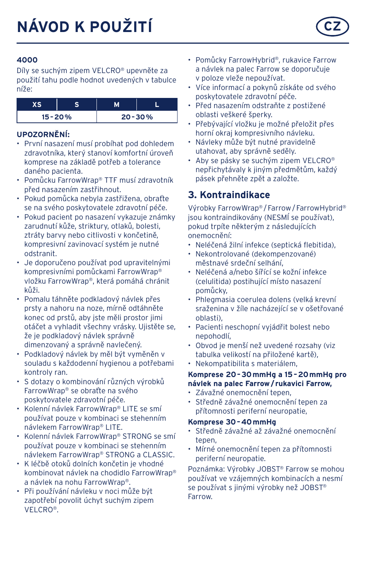Díly se suchým zipem VELCRO® upevněte za použití tahu podle hodnot uvedených v tabulce níže:

| $15 - 20%$ | $20 - 30%$ |
|------------|------------|

#### **UPOZORNĚNÍ:**

- První nasazení musí probíhat pod dohledem zdravotníka, který stanoví komfortní úroveň komprese na základě potřeb a tolerance daného pacienta.
- Pomůcku FarrowWrap® TTF musí zdravotník před nasazením zastřihnout.
- Pokud pomůcka nebyla zastřižena, obraťte se na svého poskytovatele zdravotní péče.
- Pokud pacient po nasazení vykazuje známky zarudnutí kůže, striktury, otlaků, bolesti, ztráty barvy nebo citlivosti v končetině, kompresivní zavinovací systém je nutné odstranit.
- Je doporučeno používat pod upravitelnými kompresivními pomůckami FarrowWrap® vložku FarrowWrap®, která pomáhá chránit kůži.
- Pomalu táhněte podkladový návlek přes prsty a nahoru na noze, mírně odtáhněte konec od prstů, aby jste měli prostor jimi otáčet a vyhladit všechny vrásky. Ujistěte se, že je podkladový návlek správně dimenzovaný a správně navlečený.
- Podkladový návlek by měl být vyměněn v souladu s každodenní hygienou a potřebami kontroly ran.
- S dotazy o kombinování různých výrobků FarrowWrap® se obraťte na svého poskytovatele zdravotní péče.
- Kolenní návlek FarrowWrap® LITE se smí používat pouze v kombinaci se stehenním návlekem FarrowWrap® LITE.
- Kolenní návlek FarrowWrap® STRONG se smí používat pouze v kombinaci se stehenním návlekem FarrowWrap® STRONG a CLASSIC.
- K léčbě otoků dolních končetin je vhodné kombinovat návlek na chodidlo FarrowWrap® a návlek na nohu FarrowWrap®.
- Při používání návleku v noci může být zapotřebí povolit úchyt suchým zipem VELCRO®.
- Pomůcky FarrowHybrid®, rukavice Farrow a návlek na palec Farrow se doporučuje v poloze vleže nepoužívat.
- Více informací a pokynů získáte od svého poskytovatele zdravotní péče.
- Před nasazením odstraňte z postižené oblasti veškeré šperky.
- Přebývající vložku je možné přeložit přes horní okraj kompresivního návleku.
- Návleky může být nutné pravidelně utahovat, aby správně seděly.
- Aby se pásky se suchým zipem VELCRO® nepřichytávaly k jiným předmětům, každý pásek přehněte zpět a založte.

### **3. Kontraindikace**

Výrobky FarrowWrap® /Farrow/FarrowHybrid® jsou kontraindikovány (NESMÍ se používat), pokud trpíte některým z následujících onemocnění:

- Neléčená žilní infekce (septická flebitida),
- Nekontrolované (dekompenzované) městnavé srdeční selhání,
- Neléčená a/nebo šířící se kožní infekce (celulitida) postihující místo nasazení pomůcky,
- Phlegmasia coerulea dolens (velká krevní sraženina v žíle nacházející se v ošetřované oblasti),
- Pacienti neschopní vyjádřit bolest nebo nepohodlí,
- Obvod je menší než uvedené rozsahy (viz tabulka velikostí na přiložené kartě),
- Nekompatibilita s materiálem,

#### **Komprese 20–30mmHg a 15–20mmHg pro návlek na palec Farrow/ rukavici Farrow,**

- Závažné onemocnění tepen,
- Středně závažné onemocnění tepen za přítomnosti periferní neuropatie,

#### **Komprese 30–40mmHg**

- Středně závažné až závažné onemocnění tepen,
- Mírné onemocnění tepen za přítomnosti periferní neuropatie.

Poznámka: Výrobky JOBST® Farrow se mohou používat ve vzájemných kombinacích a nesmí se používat s jinými výrobky než JOBST® Farrow.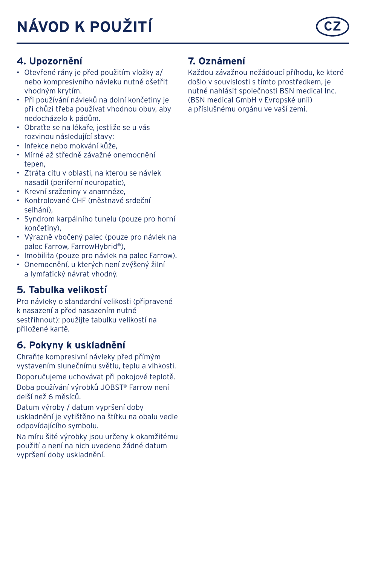# **4. Upozornění**

- Otevřené rány je před použitím vložky a/ nebo kompresivního návleku nutné ošetřit vhodným krytím.
- Při používání návleků na dolní končetiny je při chůzi třeba používat vhodnou obuv, aby nedocházelo k pádům.
- Obraťte se na lékaře, jestliže se u vás rozvinou následující stavy:
- Infekce nebo mokvání kůže,
- Mírné až středně závažné onemocnění tenen
- Ztráta citu v oblasti, na kterou se návlek nasadil (periferní neuropatie),
- Krevní sraženiny v anamnéze,
- Kontrolované CHF (městnavé srdeční selhání),
- Syndrom karpálního tunelu (pouze pro horní končetiny),
- Výrazně vbočený palec (pouze pro návlek na palec Farrow, FarrowHybrid®),
- Imobilita (pouze pro návlek na palec Farrow).
- Onemocnění, u kterých není zvýšený žilní a lymfatický návrat vhodný.

# **5. Tabulka velikostí**

Pro návleky o standardní velikosti (připravené k nasazení a před nasazením nutné sestřihnout): použijte tabulku velikostí na přiložené kartě.

## **6. Pokyny k uskladnění**

Chraňte kompresivní návleky před přímým vystavením slunečnímu světlu, teplu a vlhkosti.

Doporučujeme uchovávat při pokojové teplotě. Doba používání výrobků JOBST® Farrow není delší než 6 měsíců.

Datum výroby / datum vypršení doby uskladnění je vytištěno na štítku na obalu vedle odpovídajícího symbolu.

Na míru šité výrobky jsou určeny k okamžitému použití a není na nich uvedeno žádné datum vypršení doby uskladnění.

# **7. Oznámení**

Každou závažnou nežádoucí příhodu, ke které došlo v souvislosti s tímto prostředkem, je nutné nahlásit společnosti BSN medical Inc. (BSN medical GmbH v Evropské unii) a příslušnému orgánu ve vaší zemi.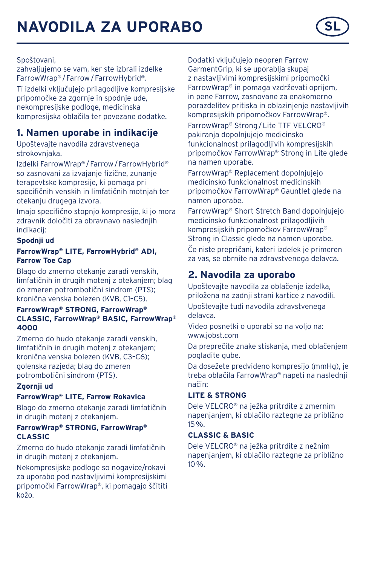Spoštovani,

zahvaljujemo se vam, ker ste izbralj izdelke FarrowWrap® /Farrow/FarrowHybrid®.

Ti izdelki vključujejo prilagodljive kompresijske pripomočke za zgornje in spodnje ude, nekompresijske podloge, medicinska kompresijska oblačila ter povezane dodatke.

# **1. Namen uporabe in indikacije**

Upoštevajte navodila zdravstvenega strokovnjaka.

Izdelki FarrowWrap® /Farrow/FarrowHybrid® so zasnovani za izvajanje fizične, zunanje terapevtske kompresije, ki pomaga pri specifičnih venskih in limfatičnih motnjah ter otekanju drugega izvora.

Imajo specifično stopnjo kompresije, ki jo mora zdravnik določiti za obravnavo naslednjih indikacij:

#### **Spodnji ud**

#### **FarrowWrap® LITE, FarrowHybrid® ADI, Farrow Toe Cap**

Blago do zmerno otekanje zaradi venskih, limfatičnih in drugih motenj z otekanjem; blag do zmeren potrombotični sindrom (PTS); kronična venska bolezen (KVB, C1–C5).

#### **FarrowWrap® STRONG, FarrowWrap® CLASSIC, FarrowWrap® BASIC, FarrowWrap® 4000**

Zmerno do hudo otekanje zaradi venskih, limfatičnih in drugih motenj z otekanjem; kronična venska bolezen (KVB, C3–C6); golenska razjeda; blag do zmeren potrombotični sindrom (PTS).

#### **Zgornji ud**

#### **FarrowWrap® LITE, Farrow Rokavica**

Blago do zmerno otekanje zaradi limfatičnih in drugih motenj z otekanjem.

#### **FarrowWrap® STRONG, FarrowWrap® CLASSIC**

Zmerno do hudo otekanje zaradi limfatičnih in drugih motenj z otekanjem.

Nekompresijske podloge so nogavice/rokavi za uporabo pod nastavljivimi kompresijskimi pripomočki FarrowWrap®, ki pomagajo ščititi kožo.

Dodatki vključujejo neopren Farrow GarmentGrip, ki se uporablja skupaj z nastavljivimi kompresijskimi pripomočki FarrowWrap® in pomaga vzdrževati oprijem, in pene Farrow, zasnovane za enakomerno porazdelitev pritiska in oblazinjenje nastavljivih kompresijskih pripomočkov FarrowWrap®.

FarrowWrap® Strong/Lite TTF VELCRO® pakiranja dopolnjujejo medicinsko funkcionalnost prilagodljivih kompresijskih pripomočkov FarrowWrap® Strong in Lite glede na namen uporabe.

FarrowWrap® Replacement dopolnjujejo medicinsko funkcionalnost medicinskih pripomočkov FarrowWrap® Gauntlet glede na namen uporabe.

FarrowWrap® Short Stretch Band dopolnjujejo medicinsko funkcionalnost prilagodljivih kompresijskih pripomočkov FarrowWrap® Strong in Classic glede na namen uporabe.

Če niste prepričani, kateri izdelek je primeren za vas, se obrnite na zdravstvenega delavca.

# **2. Navodila za uporabo**

Upoštevajte navodila za oblačenje izdelka, priložena na zadnji strani kartice z navodili.

Upoštevajte tudi navodila zdravstvenega delavca.

Video posnetki o uporabi so na voljo na: www.jobst.com

Da preprečite znake stiskanja, med oblačenjem pogladite gube.

Da dosežete predvideno kompresijo (mmHg), je treba oblačila FarrowWrap® napeti na naslednji način:

#### **LITE & STRONG**

Dele VELCRO® na ježka pritrdite z zmernim napenjanjem, ki oblačilo raztegne za približno 15%.

#### **CLASSIC & BASIC**

Dele VELCRO® na ježka pritrdite z nežnim napenjanjem, ki oblačilo raztegne za približno 10%.

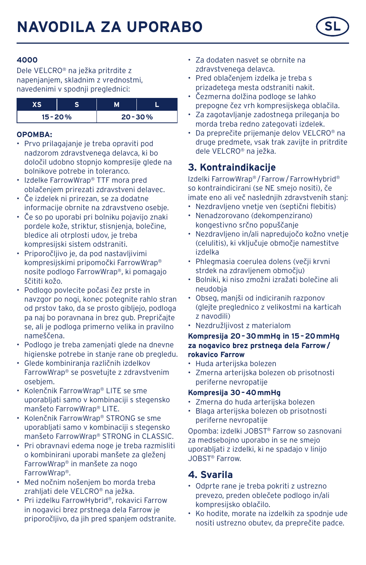

Dele VELCRO® na ježka pritrdite z napenjanjem, skladnim z vrednostmi, navedenimi v spodnji preglednici:

| $15 - 20%$ |  | $20 - 30%$ |
|------------|--|------------|

### **OPOMBA:**

- Prvo prilagajanje je treba opraviti pod nadzorom zdravstvenega delavca, ki bo določil udobno stopnjo kompresije glede na bolnikove potrebe in toleranco.
- Izdelke FarrowWrap® TTF mora pred oblačenjem prirezati zdravstveni delavec.
- Če izdelek ni prirezan, se za dodatne informacije obrnite na zdravstveno osebje.
- Če so po uporabi pri bolniku pojavijo znaki pordele kože, striktur, stisnjenja, bolečine, bledice ali otrplosti udov, je treba kompresijski sistem odstraniti.
- Priporočljivo je, da pod nastavljivimi kompresijskimi pripomočki FarrowWrap® nosite podlogo FarrowWrap®, ki pomagajo ščititi kožo.
- Podlogo povlecite počasi čez prste in navzgor po nogi, konec potegnite rahlo stran od prstov tako, da se prosto gibljejo, podloga pa naj bo poravnana in brez gub. Prepričajte se, ali je podloga primerno velika in pravilno nameščena.
- Podlogo je treba zamenjati glede na dnevne higienske potrebe in stanje rane ob pregledu.
- Glede kombiniranja različnih izdelkov FarrowWrap® se posvetujte z zdravstvenim osebjem.
- Kolenčnik FarrowWrap® LITE se sme uporabljati samo v kombinaciji s stegensko manšeto FarrowWrap® LITE.
- Kolenčnik FarrowWrap® STRONG se sme uporabljati samo v kombinaciji s stegensko manšeto FarrowWrap® STRONG in CLASSIC.
- Pri obravnavi edema noge je treba razmisliti o kombinirani uporabi manšete za gleženj FarrowWrap® in manšete za nogo FarrowWrap®.
- Med nočnim nošenjem bo morda treba zrahljati dele VELCRO® na ježka.
- Pri izdelku FarrowHybrid®, rokavici Farrow in nogavici brez prstnega dela Farrow je priporočljivo, da jih pred spanjem odstranite.
- Za dodaten nasvet se obrnite na zdravstvenega delavca.
- Pred oblačenjem izdelka je treba s prizadetega mesta odstraniti nakit.
- Čezmerna dolžina podloge se lahko prepogne čez vrh kompresijskega oblačila.
- Za zagotavljanje zadostnega prileganja bo morda treba redno zategovati izdelek.
- Da preprečite prijemanje delov VELCRO® na druge predmete, vsak trak zavijte in pritrdite dele VELCRO® na ježka.

# **3. Kontraindikacije**

Izdelki FarrowWrap® /Farrow/FarrowHybrid® so kontraindicirani (se NE smejo nositi), če imate eno ali več nasledniih zdravstvenih stani:

- Nezdravljeno vnetje ven (septični flebitis)
- Nenadzorovano (dekompenzirano) kongestivno srčno popuščanje
- Nezdravljeno in/ali napredujočo kožno vnetje (celulitis), ki vključuje območje namestitve izdelka
- Phlegmasia coerulea dolens (večji krvni strdek na zdravljenem območju)
- Bolniki, ki niso zmožni izražati bolečine ali neudobja
- Obseg, manjši od indiciranih razponov (glejte preglednico z velikostmi na karticah z navodili)
- Nezdružljivost z materialom

#### **Kompresija 20–30mmHg in 15–20mmHg za nogavico brez prstnega dela Farrow/ rokavico Farrow**

- Huda arterijska bolezen
- Zmerna arterijska bolezen ob prisotnosti periferne nevropatije

### **Kompresija 30–40mmHg**

- Zmerna do huda arterijska bolezen
- Blaga arterijska bolezen ob prisotnosti periferne nevropatije

Opomba: izdelki JOBST® Farrow so zasnovani za medsebojno uporabo in se ne smejo uporabljati z izdelki, ki ne spadajo v linijo JOBST® Farrow.

# **4. Svarila**

- Odprte rane je treba pokriti z ustrezno prevezo, preden oblečete podlogo in/ali kompresijsko oblačilo.
- Ko hodite, morate na izdelkih za spodnje ude nositi ustrezno obutev, da preprečite padce.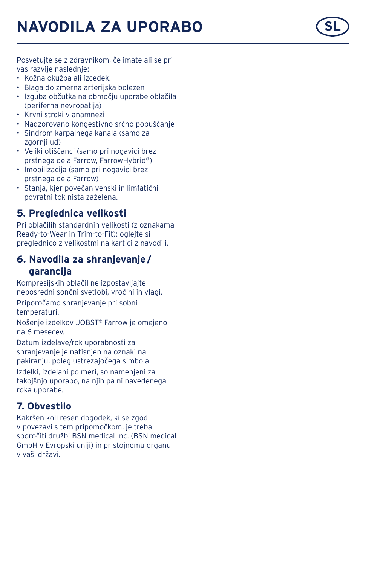# **NAVODILA ZA UPORABO**



Posvetujte se z zdravnikom, če imate ali se pri vas razvije naslednje:

- Kožna okužba ali izcedek.
- Blaga do zmerna arterijska bolezen
- Izguba občutka na območju uporabe oblačila (periferna nevropatija)
- Krvni strdki v anamnezi
- Nadzorovano kongestivno srčno popuščanje
- Sindrom karpalnega kanala (samo za zgornji ud)
- Veliki otiščanci (samo pri nogavici brez prstnega dela Farrow, FarrowHybrid ® )
- Imobilizacija (samo pri nogavici brez prstnega dela Farrow)
- Stanja, kjer povečan venski in limfatični povratni tok nista zaželena.

## **5. Preglednica velikosti**

Pri oblačilih standardnih velikosti (z oznakama Ready-to-Wear in Trim-to-Fit): oglejte si preglednico z velikostmi na kartici z navodili.

## **6. Navodila za shranjevanje / garancija**

Kompresijskih oblačil ne izpostavljajte neposredni sončni svetlobi, vročini in vlagi.

Priporočamo shranjevanje pri sobni temperaturi.

Nošenje izdelkov JOBST ® Farrow je omejeno na 6 mesecev.

Datum izdelave/rok uporabnosti za shranjevanje je natisnjen na oznaki na pakiranju, poleg ustrezajočega simbola. Izdelki, izdelani po meri, so namenjeni za takojšnjo uporabo, na njih pa ni navedenega roka uporabe.

# **7. Obvestilo**

Kakršen koli resen dogodek, ki se zgodi<br>v povezavi s tem pripomočkom, je treba sporočiti družbi BSN medical Inc. (BSN medical GmbH v Evropski uniji) in pristojnemu organu<br>v vaši državi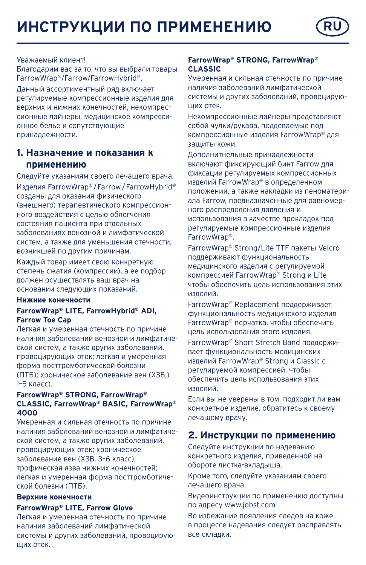

#### Уважаемый клиент!

Благодарим вас за то, что вы выбрали товары FarrowWrap®/Farrow/FarrowHybrid®.

Данный ассортиментный ряд включает регулируемые компрессионные изделия для верхних и нижних конечностей, некомпрессионные лайнеры, медицинское компрессионное белье и сопутствующие принадлежности.

#### **1. Назначение и показания к применению**

Следуйте указаниям своего лечащего врача. Изделия FarrowWrap® /Farrow/FarrowHybrid® созданы для оказания физического (внешнего) терапевтического компрессионного воздействия с целью облегчения состояния пациента при отдельных заболеваниях венозной и лимфатической систем, а также для уменьшения отечности, возникшей по другим причинам.

Каждый товар имеет свою конкретную степень сжатия (компрессии), а ее подбор должен осуществлять ваш врач на основании следующих показаний.

#### **Нижние конечности**

#### **FarrowWrap® LITE, FarrowHybrid® ADI, Farrow Toe Cap**

Легкая и умеренная отечность по причине наличия заболеваний венозной и лимфатической систем, а также других заболеваний, провоцирующих отек; легкая и умеренная форма посттромботической болезни (ПТБ); хроническое заболевание вен (ХЗБ,) 1–5 класс).

#### **FarrowWrap® STRONG, FarrowWrap® CLASSIC, FarrowWrap® BASIC, FarrowWrap® 4000**

Умеренная и сильная отечность по причине наличия заболеваний венозной и лимфатической систем, а также других заболеваний, провоцирующих отек; хроническое заболевание вен (ХЗВ, 3–6 класс);

трофическая язва нижних конечностей; легкая и умеренная форма посттромботической болезни (ПТБ).

#### **Верхние конечности**

#### **FarrowWrap® LITE, Farrow Glove**

Легкая и умеренная отечность по причине наличия заболеваний лимфатической системы и других заболеваний, провоцирующих отек.

#### **FarrowWrap® STRONG, FarrowWrap® CLASSIC**

Умеренная и сильная отечность по причине наличия заболеваний лимфатической системы и других заболеваний, провоцирующих отек.

Некомпрессионные лайнеры представляют собой чулки/рукава, поддеваемые под компрессионные изделия FarrowWrap® для защиты кожи.

Дополнитнельные принадлежности включают фиксирующий бинт Farrow для фиксации регулируемых компрессионных изделий FarrowWrap® в определенном положении, а также накладки из пеноматериала Farrow, предназначенные для равномерного распределения давления и использования в качестве прокладок под регулируемые компрессионные изделия FarrowWrap®.

FarrowWrap® Strong/Lite TTF пакеты Velcro поддерживают функциональность медицинского изделия с регулируемой компрессией FarrowWrap® Strong и Lite чтобы обеспечить цель использования этих изделий.

FarrowWrap® Replacement поддерживает функциональность медицинского изделия FarrowWrap® перчатка, чтобы обеспечить цель использования этого изделия.

FarrowWrap® Short Stretch Band поддерживает функциональность медицинских изделий FarrowWrap® Strong и Classic с регулируемой компрессией, чтобы обеспечить цель использования этих изделий.

Если вы не уверены в том, подходит ли вам конкретное изделие, обратитесь к своему лечащему врачу.

## **2. Инструкции по применению**

Следуйте инструкции по надеванию конкретного изделия, приведенной на обороте листка-вкладыша.

Кроме того, следуйте указаниям своего лечащего врача.

Видеоинструкции по применению доступны по адресу www.jobst.com

Во избежание появления следов на коже в процессе надевания следует расправлять все складки.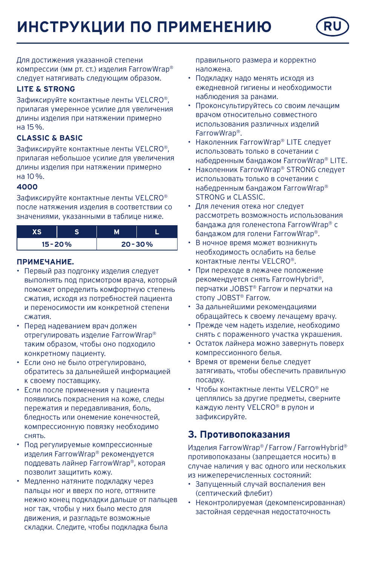**ИНСТРУКЦИИ ПО ПРИМЕНЕНИЮ RU**

Для достижения указанной степени компрессии (мм рт. ст.) изделия FarrowWrap® следует натягивать следующим образом.

#### **LITE & STRONG**

Зафиксируйте контактные ленты VELCRO®, прилагая умеренное усилие для увеличения длины изделия при натяжении примерно на 15%.

#### **CLASSIC & BASIC**

Зафиксируйте контактные ленты VELCRO®, прилагая небольшое усилие для увеличения длины изделия при натяжении примерно на 10%.

#### **4000**

Зафиксируйте контактные ленты VELCRO® после натяжения изделия в соответствии со значениями, указанными в таблице ниже.

| $15 - 20%$ |  | $20 - 30%$ |  |
|------------|--|------------|--|

#### **ПРИМЕЧАНИЕ.**

- Первый раз подгонку изделия следует выполнять под присмотром врача, который поможет определить комфортную степень сжатия, исходя из потребностей пациента и переносимости им конкретной степени сжатия.
- Перед надеванием врач должен отрегулировать изделие FarrowWrap® таким образом, чтобы оно подходило конкретному пациенту.
- Если оно не было отрегулировано, обратитесь за дальнейшей информацией к своему поставщику.
- Если после применения у пациента появились покраснения на коже, следы пережатия и передавливания, боль, бледность или онемение конечностей, компрессионную повязку необходимо снять.
- Под регулируемые компрессионные изделия FarrowWrap® рекомендуется поддевать лайнер FarrowWrap®, которая позволит защитить кожу.
- Медленно натяните подкладку через пальцы ног и вверх по ноге, оттяните нежно конец подкладки дальше от пальцев ног так, чтобы у них было место для движения, и разгладьте возможные складки. Следите, чтобы подкладка была

правильного размера и корректно наложена.

- Подкладку надо менять исходя из ежедневной гигиены и необходимости наблюдения за ранами.
- Проконсультируйтесь со своим лечащим врачом относительно совместного использования различных изделий FarrowWrap®.
- Наколенник FarrowWrap® LITE следует использовать только в сочетании с набедренным бандажом FarrowWrap® LITE.
- Наколенник FarrowWrap® STRONG следует использовать только в сочетании с набедренным бандажом FarrowWrap® **STRONG и CLASSIC.**
- Для лечения отека ног следует рассмотреть возможность использования бандажа для голенестопа FarrowWrap® с бандажом для голени FarrowWrap®.
- В ночное время может возникнуть необходимость ослабить на белье контактные ленты VELCRO®.
- При переходе в лежачее положение рекомендуется снять FarrowHybrid®, перчатки JOBST® Farrow и перчатки на стопу JOBST® Farrow.
- За дальнейшими рекомендациями обращайтесь к своему лечащему врачу.
- Прежде чем надеть изделие, необходимо снять с пораженного участка украшения.
- Остаток лайнера можно завернуть поверх компрессионного белья.
- Время от времени белье следует затягивать, чтобы обеспечить правильную посадку.
- Чтобы контактные ленты VELCRO® не цеплялись за другие предметы, сверните каждую ленту VELCRO® в рулон и зафиксируйте.

#### **3. Противопоказания**

Изделия FarrowWrap® /Farrow/FarrowHybrid® противопоказаны (запрещается носить) в случае наличия у вас одного или нескольких из нижеперечисленных состояний:

- Запущенный случай воспаления вен (септический флебит)
- Неконтролируемая (декомпенсированная) застойная сердечная недостаточность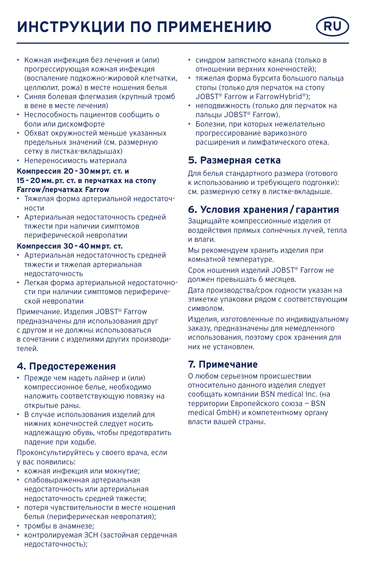# **ИНСТРУКЦИИ ПО ПРИМЕНЕНИЮ RU**



- Кожная инфекция без лечения и (или) прогрессирующая кожная инфекция (воспаление подкожно-жировой клетчатки, целлюлит, рожа) в месте ношения белья
- Синяя болевая флегмазия (крупный тромб в вене в месте лечения)
- Неспособность пациентов сообщить о боли или дискомфорте
- Обхват окружностей меньше указанных предельных значений (см. размерную сетку в листках-вкладышах)
- Непереносимость материала

# **Компрессия 20–30ммрт. ст. и 15–20мм.рт. ст. в перчатках на стопу**

# **Farrow/перчатках Farrow**

- Тяжелая форма артериальной недостаточности
- Артериальная недостаточность средней тяжести при наличии симптомов периферической невропатии

#### **Компрессия 30–40ммрт. ст.**

- Артериальная недостаточность средней тяжести и тяжелая артериальная недостаточность
- Легкая форма артериальной недостаточности при наличии симптомов периферической невропатии

Примечание. Изделия JOBST® Farrow предназначены для использования друг с другом и не должны использоваться в сочетании с изделиями других производителей.

### **4. Предостережения**

- Прежде чем надеть лайнер и (или) компрессионное белье, необходимо наложить соответствующую повязку на открытые раны.
- В случае использования изделий для нижних конечностей следует носить надлежащую обувь, чтобы предотвратить падение при ходьбе.

Проконсультируйтесь у своего врача, если у вас появились:

- кожная инфекция или мокнутие;
- слабовыраженная артериальная недостаточность или артериальная недостаточность средней тяжести;
- потеря чувствительности в месте ношения белья (периферическая невропатия);
- тромбы в анамнезе;
- контролируемая ЗСН (застойная сердечная недостаточность);
- синдром запястного канала (только в отношении верхних конечностей);
- тяжелая форма бурсита большого пальца стопы (только для перчаток на стопу JOBST® Farrow и FarrowHybrid®);
- неподвижность (только для перчаток на пальцы JOBST® Farrow).
- Болезни, при которых нежелательно прогрессирование варикозного расширения и лимфатического отека.

# **5. Размерная сетка**

Для белья стандартного размера (готового к использованию и требующего подгонки): см. размерную сетку в листке-вкладыше.

# **6. Условия хранения/ гарантия**

Защищайте компрессионные изделия от воздействия прямых солнечных лучей, тепла и влаги.

Мы рекомендуем хранить изделия при комнатной температуре.

Срок ношения изделий JOBST® Farrow не должен превышать 6 месяцев.

Дата производства/срок годности указан на этикетке упаковки рядом с соответствующим символом.

Изделия, изготовленные по индивидуальному заказу, предназначены для немедленного использования, поэтому срок хранения для них не установлен.

# **7. Примечание**

О любом серьезном происшествии относительно данного изделия следует сообщать компании BSN medical Inc. (на территории Европейского союза — BSN medical GmbH) и компетентному органу власти вашей страны.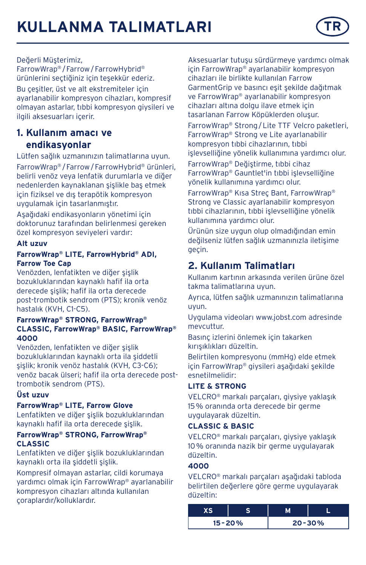

#### Değerli Müşterimiz,

FarrowWrap® /Farrow/FarrowHybrid® ürünlerini seçtiğiniz için teşekkür ederiz. Bu çeşitler, üst ve alt ekstremiteler için ayarlanabilir kompresyon cihazları, kompresif olmayan astarlar, tıbbi kompresyon giysileri ve ilgili aksesuarları içerir.

# **1. Kullanım amacı ve endikasyonlar**

Lütfen sağlık uzmanınızın talimatlarına uyun. FarrowWrap® /Farrow/FarrowHybrid® ürünleri, belirli venöz veya lenfatik durumlarla ve diğer nedenlerden kaynaklanan şişlikle baş etmek için fiziksel ve dış terapötik kompresyon uygulamak için tasarlanmıştır.

Aşağıdaki endikasyonların yönetimi için doktorunuz tarafından belirlenmesi gereken özel kompresyon seviyeleri vardır:

#### **Alt uzuv**

#### **FarrowWrap® LITE, FarrowHybrid® ADI, Farrow Toe Cap**

Venözden, lenfatikten ve diğer şişlik bozukluklarından kaynaklı hafif ila orta derecede şişlik; hafif ila orta derecede post-trombotik sendrom (PTS); kronik venöz hastalık (KVH, C1-C5).

#### **FarrowWrap® STRONG, FarrowWrap® CLASSIC, FarrowWrap® BASIC, FarrowWrap® 4000**

Venözden, lenfatikten ve diğer şişlik bozukluklarından kaynaklı orta ila şiddetli şişlik; kronik venöz hastalık (KVH, C3-C6); venöz bacak ülseri; hafif ila orta derecede posttrombotik sendrom (PTS).

#### **Üst uzuv**

#### **FarrowWrap® LITE, Farrow Glove**

Lenfatikten ve diğer şişlik bozukluklarından kaynaklı hafif ila orta derecede şişlik.

#### **FarrowWrap® STRONG, FarrowWrap® CLASSIC**

Lenfatikten ve diğer şişlik bozukluklarından kaynaklı orta ila şiddetli şişlik.

Kompresif olmayan astarlar, cildi korumaya yardımcı olmak için FarrowWrap® ayarlanabilir kompresyon cihazları altında kullanılan çoraplardır/kolluklardır.

Aksesuarlar tutuşu sürdürmeye yardımcı olmak için FarrowWrap® ayarlanabilir kompresyon cihazları ile birlikte kullanılan Farrow GarmentGrip ve basıncı eşit şekilde dağıtmak ve FarrowWrap® ayarlanabilir kompresyon cihazları altına dolgu ilave etmek için tasarlanan Farrow Köpüklerden oluşur.

FarrowWrap® Strong/Lite TTF Velcro paketleri, FarrowWrap® Strong ve Lite ayarlanabilir kompresyon tıbbi cihazlarının, tıbbi işlevselliğine yönelik kullanımına yardımcı olur.

FarrowWrap® Değiştirme, tıbbi cihaz FarrowWrap® Gauntlet'in tıbbi işlevselliğine yönelik kullanımına yardımcı olur.

FarrowWrap® Kısa Streç Bant, FarrowWrap® Strong ve Classic ayarlanabilir kompresyon tıbbi cihazlarının, tıbbi işlevselliğine yönelik kullanımına yardımcı olur.

Ürünün size uygun olup olmadığından emin değilseniz lütfen sağlık uzmanınızla iletişime geçin.

# **2. Kullanım Talimatları**

Kullanım kartının arkasında verilen ürüne özel takma talimatlarına uyun.

Ayrıca, lütfen sağlık uzmanınızın talimatlarına uyun.

Uygulama videoları www.jobst.com adresinde mevcuttur.

Basınç izlerini önlemek için takarken kırışıklıkları düzeltin.

Belirtilen kompresyonu (mmHg) elde etmek için FarrowWrap® giysileri aşağıdaki şekilde esnetilmelidir:

#### **LITE & STRONG**

VELCRO® markalı parçaları, giysiye yaklaşık 15% oranında orta derecede bir germe uygulayarak düzeltin.

#### **CLASSIC & BASIC**

VELCRO® markalı parçaları, giysiye yaklaşık 10% oranında nazik bir germe uygulayarak düzeltin.

#### **4000**

VELCRO® markalı parçaları aşağıdaki tabloda belirtilen değerlere göre germe uygulayarak düzeltin:

| $15 - 20%$ |  | $20 - 30%$ |  |
|------------|--|------------|--|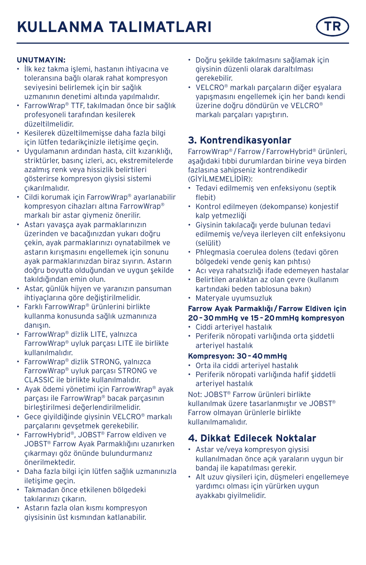#### **UNUTMAYIN:**

- İlk kez takma işlemi, hastanın ihtiyacına ve toleransına bağlı olarak rahat kompresyon seviyesini belirlemek için bir sağlık uzmanının denetimi altında yapılmalıdır.
- FarrowWrap® TTF, takılmadan önce bir sağlık profesyoneli tarafından kesilerek düzeltilmelidir.
- Kesilerek düzeltilmemişse daha fazla bilgi için lütfen tedarikçinizle iletişime geçin.
- Uygulamanın ardından hasta, cilt kızarıklığı, striktürler, basınç izleri, acı, ekstremitelerde azalmış renk veya hissizlik belirtileri gösterirse kompresyon giysisi sistemi çıkarılmalıdır.
- Cildi korumak için FarrowWrap® ayarlanabilir kompresyon cihazları altına FarrowWrap® markalı bir astar giymeniz önerilir.
- Astarı yavaşça ayak parmaklarınızın üzerinden ve bacağınızdan yukarı doğru çekin, ayak parmaklarınızı oynatabilmek ve astarın kırışmasını engellemek için sonunu ayak parmaklarınızdan biraz sıyırın. Astarın doğru boyutta olduğundan ve uygun şekilde takıldığından emin olun.
- Astar, günlük hijyen ve yaranızın pansuman ihtiyaçlarına göre değiştirilmelidir.
- Farklı FarrowWrap® ürünlerini birlikte kullanma konusunda sağlık uzmanınıza danışın.
- FarrowWrap® dizlik LITE, yalnızca FarrowWrap® uyluk parçası LITE ile birlikte kullanılmalıdır.
- FarrowWrap® dizlik STRONG, yalnızca FarrowWrap® uyluk parçası STRONG ve CLASSIC ile birlikte kullanılmalıdır.
- Ayak ödemi yönetimi için FarrowWrap® ayak parçası ile FarrowWrap® bacak parçasının birleştirilmesi değerlendirilmelidir.
- Gece giyildiğinde giysinin VELCRO® markalı parçalarını gevşetmek gerekebilir.
- FarrowHybrid®, JOBST® Farrow eldiven ve JOBST® Farrow Ayak Parmaklığını uzanırken çıkarmayı göz önünde bulundurmanız önerilmektedir.
- Daha fazla bilgi için lütfen sağlık uzmanınızla iletişime geçin.
- Takmadan önce etkilenen bölgedeki takılarınızı çıkarın.
- Astarın fazla olan kısmı kompresyon giysisinin üst kısmından katlanabilir.
- Doğru şekilde takılmasını sağlamak için giysinin düzenli olarak daraltılması gerekebilir.
- VELCRO® markalı parçaların diğer eşyalara yapışmasını engellemek için her bandı kendi üzerine doğru döndürün ve VELCRO® markalı parçaları yapıştırın.

## **3. Kontrendikasyonlar**

FarrowWrap® /Farrow/FarrowHybrid® ürünleri, aşağıdaki tıbbi durumlardan birine veya birden fazlasına sahipseniz kontrendikedir (GİYİLMEMELİDİR):

- Tedavi edilmemiş ven enfeksiyonu (septik flebit)
- Kontrol edilmeyen (dekompanse) konjestif kalp yetmezliği
- Giysinin takılacağı yerde bulunan tedavi edilmemiş ve/veya ilerleyen cilt enfeksiyonu (selülit)
- Phlegmasia coerulea dolens (tedavi gören bölgedeki vende geniş kan pıhtısı)
- Acı veya rahatsızlığı ifade edemeyen hastalar
- Belirtilen aralıktan az olan çevre (kullanım kartındaki beden tablosuna bakın)
- Materyale uyumsuzluk

#### **Farrow Ayak Parmaklığı /Farrow Eldiven için 20–30mmHg ve 15–20mmHg kompresyon**

- Ciddi arteriyel hastalık
- Periferik nöropati varlığında orta şiddetli arteriyel hastalık

#### **Kompresyon: 30–40mmHg**

- Orta ila ciddi arteriyel hastalık
- Periferik nöropati varlığında hafif şiddetli arteriyel hastalık

Not: JOBST® Farrow ürünleri birlikte kullanılmak üzere tasarlanmıştır ve JOBST® Farrow olmayan ürünlerle birlikte kullanılmamalıdır.

# **4. Dikkat Edilecek Noktalar**

- Astar ve/veya kompresyon giysisi kullanılmadan önce açık yaraların uygun bir bandaj ile kapatılması gerekir.
- Alt uzuv giysileri için, düşmeleri engellemeye yardımcı olması için yürürken uygun ayakkabı giyilmelidir.

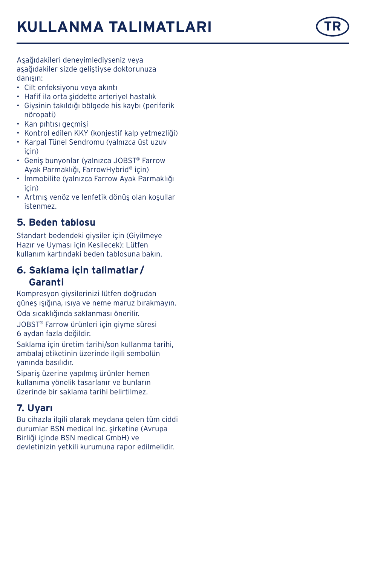# **KULLANMA TALIMATLARI**



Aşağıdakileri deneyimlediyseniz veya aşağıdakiler sizde geliştiyse doktorunuza danışın:

- Cilt enfeksiyonu veya akıntı
- Hafif ila orta şiddette arteriyel hastalık
- Giysinin takıldığı bölgede his kaybı (periferik nöropati)
- Kan pıhtısı geçmişi
- Kontrol edilen KKY (konjestif kalp yetmezliği)
- Karpal Tünel Sendromu (yalnızca üst uzuv için)
- Geniş bunyonlar (yalnızca JOBST ® Farrow Ayak Parmaklığı, FarrowHybrid ® için)
- İmmobilite (yalnızca Farrow Ayak Parmaklığı için)
- Artmış venöz ve lenfetik dönüş olan koşullar istenmez.

# **5. Beden tablosu**

Standart bedendeki giysiler için (Giyilmeye Hazır ve Uyması için Kesilecek): Lütfen kullanım kartındaki beden tablosuna bakın.

# **6. Saklama için talimatlar / Garanti**

Kompresyon giysilerinizi lütfen doğrudan güneş ışığına, ısıya ve neme maruz bırakmayın. Oda sıcaklığında saklanması önerilir. JOBST ® Farrow ürünleri için giyme süresi 6 aydan fazla değildir.

Saklama için üretim tarihi/son kullanma tarihi, ambalaj etiketinin üzerinde ilgili sembolün yanında basılıdır.

Sipariş üzerine yapılmış ürünler hemen kullanıma yönelik tasarlanır ve bunların üzerinde bir saklama tarihi belirtilmez.

# **7. Uyarı**

Bu cihazla ilgili olarak meydana gelen tüm ciddi durumlar BSN medical Inc. şirketine (Avrupa Birliği içinde BSN medical GmbH) ve devletinizin yetkili kurumuna rapor edilmelidir.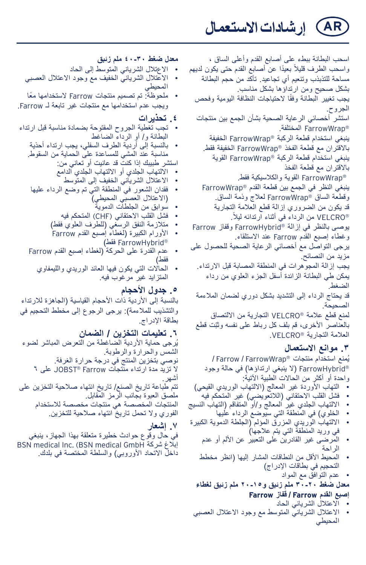**AR إرشادات االستعمال**

اسحب البطانة ببطء على أصابع القدم وأعلى الساق ، واسحب الطرف قليلاً بعيدًا عن أصابع القدم حتى يكون لديهم مساحة للتذبذب وتنعيم أي تجاعيد. تأكد من حجم البطانة بشكل صحيح ومن ارتداؤها بشكل مناسب. يجب تغيير البطانة وفقًا لاحتياجات النظافة اليومية وفحص الجروح. استشر أخصائي الرعاية الصحية بشأن الجمع بين منتجات RFarrowWrap المختلفة. ينبغي استخدام قطعة الركبة RFarrowWrap الخفيفة باالقتران مع قطعة الفخذ RFarrowWrap الخفيفة فقط. ينبغي استخدام قطعة الركبة RFarrowWrap القوية باالقتران مع قطعة الفخذ RFarrowWrap القوية والكالسيكية فقط. ينبغي النظر في الجمع بين قطعة القدم RFarrowWrap وقطعة الساق RFarrowWrap لعالج وذمة الساق. قد يكون من الضروري إزالة قطع العالمة التجارية .ً RVELCRO من الرداء في أثناء ارتدائه ليال يوصى بالنظر في إزالة RFarrowHybrid وقفاز Farrow وغطاء إصبع القدم Farrow عند االستلقاء. يرجى التواصل مع أخصائي الرعاية الصحية للحصول على مزيد من النصائح. يجب إزالة المجوهرات في المنطقة المصابة قبل االرتداء. يمكن طي البطانة الزائدة أسفل الجزء العلوي من رداء الضغط. قد يحتاج الرداء إلى التشديد بشكل دوري لضمان المالءمة الصحيحة. لمنع قطع عالمة RVELCRO التجارية من االلتصاق ّ بالعناصر األخرى، قم بلف كل رباط على نفسه وثبت قطع

العالمة التجارية RVELCRO.

#### **.3 موانع االستعمال**

ُيمنع استخدام منتجات RFarrowWrap / Farrow / RFarrowHybrid( ال ينبغي ارتداؤها( في حالة وجود واحدة أو أكثر من الحاالت الطبية اآلتية:

- التهاب الأوردة غير المعالج (الالتهاب الوريدي القيحي)
	- فشل القلب االحتقاني )الالتعويضي( غير المتحكم فيه
- االلتهاب الجلدي غير المعالج و/أو المتفاقم )التهاب النسيج
	- الخلوي( في المنطقة التي سيوضع الرداء عليها
- االلتهاب الوريدي المزرق المؤلم )الجلطة الدموية الكبيرة في وريد المنطقة التي يتم عالجها(
	- المرضى غير القادرين على التعبير عن األلم أو عدم الراحة
	- المحيط األقل من النطاقات المشار إليها )انظر مخطط التحجيم في بطاقات اإلدراج(
		- عدم التوافق مع المواد

**معدل ضغط 30-20 ملم زئبق و20-15 ملم زئبق لغطاء** 

- **إصبع القدم Farrow / قفاز Farrow**
- االعتالل الشرياني الحاد
- االعتالل الشرياني المتوسط مع وجود االعتالل العصبي المحيطي
- **معدل ضغط 40-30 ملم زئبق**
- الاعتلال الشرياني المتوسط إلى الحاد<br>• الاعتلال الشرباني الخفيف مع وجود ا
- االعتالل الشرياني الخفيف مع وجود االعتالل العصبي المحيطي
- ملحوظة: تم تصميم منتجات Farrow ً الستخدامها معا ويجب عدم استخدامها مع منتجات غير تابعة لـ Farrow.
	- **.4 تحذيرات**
- تجب تغطية الجروح المفتوحة بضمادة مناسبة قبل ارتداء البطانة و/ أو الرداء الضاغط
	- بالنسبة إلى أردية الطرف السفلي، يجب ارتداء أحذية مناسبة عند المشي للمساعدة على الحماية من السقوط.
		- استشر طبيبك إذا كنت قد عانيت أو تعاني من:
		- االلتهاب الجلدي أو االلتهاب الجلدي الدامع • االعتالل الشرياني الخفيف إلى المتوسط
	- فقدان الشعور في المنطقة التي تم وضع الرداء عليها )االعتالل العصبي المحيطي(
		- سُوابق من الجلطات الدموية<br>• فشل القلب الاحتقانـ ، (CHF)<br>•
		- فشل القلب الاحتقاني (CHF) المتحكم فيه<br>• متلاز مة النفق الر سغي (للطر ف العلو ي ف
		- متلازمة النفق الرسغي (للطرف العلوي فقط)<br>• الأورام الكبيرة (لغطاء إصبع القدم Farrow
		- RFarrowHybrid فقط(
	- عدم القدرة على الحركة )لغطاء إصبع القدم Farrow فقط(
		- الحاالت التي يكون فيها العائد الوريدي والليمفاوي المتزايد غير مرغوب فيه.
			-

**0<sub>-</sub> جدول الاحجام**<br>بالنسبة إلى الأردية ذات الأحجام القياسية (الجاهزة للارتداء والتشذيب للملاءمة): يرجى الرجوع إلى مخطط التحجيم في بطاقة اإلدراج.

**.6 تعليمات التخزين / الضمان**

ُيرجى حماية األردية الضاغطة من التعرض المباشر لضوء الشمس والحرارة والرطوبة. نوصي بتخزين المنتج في درجة حرارة الغرفة. ال تزيد مدة ارتداء منتجات Farrow® JOBST على 6 أشهر. تتم طباعة تاريخ الصنع/ تاريخ انتهاء صالحية التخزين على ملصق العبوة بجانب الرمز المقابل. المنتجات المخصصة هي منتجات مخصصة لالستخدام

الفوري وال تحمل تاريخ انتهاء صالحية للتخزين.

**.7 إشعار**

في حال وقوع حوادث خطيرة متعلقة بهذا الجهاز، ينبغي BSN medical Inc. (BSN medical GmbH شركة إبالغ داخل الاتحاد الأوروبي) والسلطة المختصة في بلدك.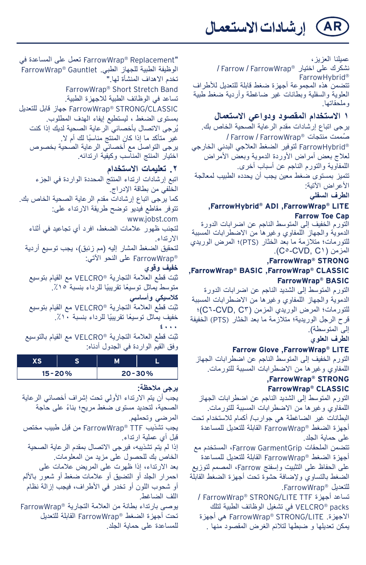**AR إرشادات االستعمال**

عميلنا العزيز، نشكرك على اختيار RFarrowWrap / Farrow / FarrowHybrid® تتضمن هذه المجموعة أجهزة ضغط قابلة للتعديل لألطراف العلوية والسفلية وبطانات غير ضاغطة وأردية ضغط طبية وملحقاتها.

# **1 االستخدام المقصود ودواعي االستعمال**

يرجى اتباع إرشادات مقدم الرعاية الصحية الخاص بك. ُصممت منتجات RFarrowWrap / Farrow /  RFarrowHybrid لتوفير الضغط العالجي البدني الخارجي لعلاج بعض أمر اض الأوردة الدموية وبعض الأمراض اللمفاوية والتورم الناجم عن أسباب أخرى. تتميز بمستوى ضغط معين يجب أن يحدده الطبيب لمعالجة الأعراض الآتية: **الطرف السفلي**

#### **,FarrowHybrid® ADI ,FarrowWrap® LITE Farrow Toe Cap**

التورم الخفيف إلى المتوسط الناجم عن اضرابات الدورة الدموية والجهاز اللمفاوي وغيرها من االضطرابات المسببة للتورمات؛ متلازمة ما بعد الخثار (PTS)؛ المرض الوريدي .)C5-CVD, C1( المزمن

#### **,FarrowWrap® STRONG ,FarrowWrap® BASIC ,FarrowWrap® CLASSIC FarrowWrap® BASIC**

التورم المتوسط إلى الشديد الناجم عن اضرابات الدورة الدموية والجهاز اللمفاوي وغيرها من االضطرابات المسببة للتورمات؛ المرض الوريدي المزمن )3C ,CVD6-C)؛ قرح الرجل الوريدية؛ متالزمة ما بعد الخثار (PTS (الخفيفة إلى المتوسطة).

#### **الطرف العلوي**

#### **Farrow Glove ,FarrowWrap® LITE**

التورم الخفيف إلى المتوسط الناجم عن اضطرابات الجهاز اللمفاوي وغيرها من االضطرابات المسببة للتورمات.

#### **,FarrowWrap® STRONG FarrowWrap® CLASSIC**

التورم المتوسط إلى الشديد الناجم عن اضطرابات الجهاز اللمفاوي وغيرها من االضطرابات المسببة للتورمات. البطانات غير الضاغطة هي جوارب/ أكمام لالستخدام تحت أجهزة الضغط RFarrowWrap القابلة للتعديل للمساعدة على حماية الجلد.

تتضمن الملحقات GarmentGrip Farrow، المستخدم مع أجهزة الضغط RFarrowWrap القابلة للتعديل للمساعدة على الحفاظ على التثبيت وإسفنج Farrow، المصمم لتوزيع الضغط بالتساوي وإلضافة حشوة تحت أجهزة الضغط القابلة للتعديل RFarrowWrap.

/ FarrowWrap® STRONG/LITE TTF أجهزة تساعد packs® VELCRO في تشغيل الوظائف الطبية لتلك االجهزة. LITE/STRONG® FarrowWrap هي أجهزة يمكن تعديلها و ضبطها لتالئم الغرض المقصود منها .

"Replacement® FarrowWrap تعمل على المساعدة في الوظيفة الطبية للجهاز الطبي. Gauntlet® FarrowWrap تخدم االهداف المنشأة لها." FarrowWrap® Short Stretch Band تساعد في الوظائف الطبية لالجهزة الطبية. CLASSIC/STRONG® FarrowWrap جهاز قابل للتعديل بمستوى الضغط ، ليستطيع إيفاء الهدف المطلوب. ُيرجى االتصال بأخصائي الرعاية الصحية لديك إذا كنت ً غير متأكد ما إذا كان المنتج مناسبا لك أم ال. يرجى التواصل مع أخصائي الرعاية الصحية بخصوص اختيار المنتج المناسب وكيفية ارتدائه.

#### **.2 تعليمات االستخدام**

اتبع إرشادات ارتداء المنتج المحددة الواردة في الجزء الخلفي من بطاقة اإلدراج. كما يرجى اتباع إرشادات مقدم الرعاية الصحية الخاص بك. تتوفر مقاطع فيديو توضح طريقة االرتداء على: www.jobst.com لتجنب ظهور عالمات الضغط، افرد أي تجاعيد في أثناء االرتداء. لتحقيق الضغط المشار إليه (مم زئبق)، يجب توسيع أردية RFarrowWrap على النحو اآلتي: **خفيف وقوي** ّثبت قطع العالمة التجارية RVELCRO مع القيام بتوسيع متوسط يماثل توسيعًا تقريبيًا للرداء بنسبة ١٥٪. **كالسيكي وأساسي** ّثبت قطع العالمة التجارية RVELCRO مع القيام بتوسيع خفيف يماثل توسيعًا تقريبيًا للرداء بنسبة ١٠٪.

#### **4000**

ّثبت قطع العالمة التجارية RVELCRO مع القيام بالتوسيع وفق القيم الواردة في الجدول أدناه:

| $15 - 20%$ |  | $20 - 30%$ |  |
|------------|--|------------|--|
|            |  |            |  |

#### **يرجى مالحظة:** يجب أن يتم الارتداء الأولى تحت إشراف أخصائي الرعاية ً الصحية، لتحديد مستوى ضغط مريح؛ بناء على حاجة المرضى وتحملهم. يجب تشذيب TTF® FarrowWrap من قبل طبيب مختص قبل أي عملية ارتداء. إذا لم يتم تشذيبه، فيرجى االتصال بمقدم الرعاية الصحية الخاص بك للحصول على مزيد من المعلومات. بعد االرتداء، إذا ظهرت على المريض عالمات على احمرار الجلد أو التضيق أو عالمات ضغط أو شعور باأللم أو شحوب اللون أو تخدر في األطراف، فيجب إزالة نظام اللف الضاغط. يوصى بارتداء بطانة من العالمة التجارية RFarrowWrap تحت أجهزة الضغط RFarrowWrap القابلة للتعديل للمساعدة على حماية الجلد.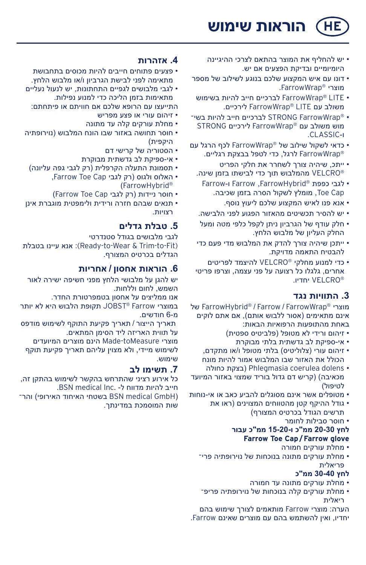**HE הוראות שימוש**

- יש להחליף את המוצר בהתאם לצרכי ההיגיינה היומיומיים ובדיקת הפצעים אם יש.
- דונו עם איש המקצוע שלכם בנוגע לשילוב של מספר מוצרי RFarrowWrap.
- LITE® FarrowWrap לברכיים חייב להיות בשימוש משולב עם LITE® FarrowWrap לירכיים.
- RFarrowWrap STRONG לברכיים חייב להיות בש י מוש משולב עם RFarrowWrap לירכיים STRONG ו-CLASSIC.
- כדאי לשקול שילוב של RFarrowWrap לכף הרגל עם RFarrowWrap לרגל, כדי לטפל בבצקת רגליים.
	- ייתכ, שיהיה צורך לשחרר את חלקי הפריט RVELCRO מהמלבוש תוך כדי לבישתו בזמן שינה.
		- לגבי כפפת RFarrowHybrid, Farrow ו-Farrow Toe Cap, מומלץ לשקול הסרה בזמן שכיבה.
			- אנא פנו לאיש המקצוע שלכם ליעוץ נוסף.
	- יש להסיר תכשיטים מהאזור הפגוע לפני הלבישה.
	- חלק עודף של הגרביון ניתן לקפל כלפי מטה ומעל החלק העליון של מלבוש הלחץ.
	- ייתכן שיהיה צורך להדק את המלבוש מדי פעם כדי להבטיח התאמה מדויקת.
	- כדי למנוע מחלקי RVELCRO להיצמד לפריטים אחרים, גלגלו כל רצועה על פני עצמה, וצרפו פריטי RVELCRO יחדיו.

#### **.3 התוויות נגד**

 של FarrowHybrid® / Farrow / FarrowWrap® מוצרי אינם מתאימים (אסור ללבוש אותם). אם אתם לוקים באחת מהתופעות הרפואיות הבאות:

- זיהום ורידי לא מטופל (פלביטיס ספטית)
	- אי-ספיקת לב גדשתית בלתי מבוקרת
- זיהום עורי (צלוליטיס) בלתי מטופל ו/או מתקדם. הכולל את האזור שבו המלבוש אמור להיות מונח
- כחולה בצקת )Phlegmasia coerulea dolens מכאיבה) (קריש דם גדול בוריד שמצוי באזור המיועד לטיפול)
- מטופלים אשר אינם מסוגלים להביע כאב או אי-נוחות
	- גודל ההיקף קטן מהטווחים המצוינים )ראו את תרשים הגודל בכרטיס המצורף(
		- חוסר סבילות לחומר

#### **לחץ 20-30 ממ"כ ו15-20- ממ"כ עבור Farrow Toe Cap/Farrow glove**

- מחלת עורקים חמורה
- מחלת עורקים מתונה בנוכחות של נוירופתיה פריי פריאלית

#### **לחץ 30-40 ממ"כ**

- מחלת עורקים מתונה עד חמורה
- מחלת עורקים קלה בנוכחות של נוירופתיה פריפי ריאלית

הערה: מוצרי Farrow מותאמים לצורך שימוש בהם יחדיו, ואין להשתמש בהם עם מוצרים שאינם Farrow.

#### **.4 אזהרות**

- פצעים פתוחים חייבים להיות מכוסים בתחבושת מתאימה לפני לבישת הגרביון ו/או מלבוש הלחץ.
- לגבי מלבושים לגפיים התחתונות, יש לנעול נעליים מתאימות בזמן הליכה כדי למנוע נפילות.
	- התייעצו עם הרופא שלכם אם חוויתם או פיתחתם:
		- זיהום עורי או פצע מפריש
		- מחלת עורקים קלה עד מתונה
- חוסר תחושה באזור שבו הונח המלבוש )נוירופתיה היקפית(
	- הסטוריה של קרישי דם
	- אי-ספיקת לב גדשתית מבוקרת
	- תסמונת התעלה הקרפלית (רק לגבי גפה עליונה) • האלוס ולגוס )רק לגבי Cap Toe Farrow,
		- )FarrowHybrid®
		- חוסר ניידות )רק לגבי Cap Toe Farrow)
- תנאים שבהם חזרה ורידית ולימפטית מוגברת אינן רצויות.

## **.5 טבלת גדלים**

לגבי מלבושים בגודל סטנדרטי בטבלת עיינו אנא :)Ready-to-Wear & Trim-to-Fit) הגדלים בכרטיס המצורף.

#### **.6 הוראות אחסון / אחריות**

יש להגן על מלבושי הלחץ מפני חשיפה ישירה לאור השמש, לחום וללחות.

אנו ממליצים על אחסון בטמפרטורת החדר.

במוצרי Farrow® JOBST תקופת הלבוש היא לא יותר מ6- חודשים.

 תאריך הייצור / תאריך פקיעת התוקף לשימוש מודפס על תווית האריזה ליד הסימן המתאים.

מוצרי toMeasure-Made הינם מוצרים המיועדים לשימוש מיידי, ולא מצוין עליהם תאריך פקיעת תוקף שימוש.

# **.7 תשימו לב**

כל אירוע רציני שהתרחש בהקשר לשימוש בהתקן זה, חייב להיות מדווח ל- .Inc medical BSN. והר־BSN medical GmbH) בשטחי האיחוד האירופי) והר שות המוסמכת במדינתך.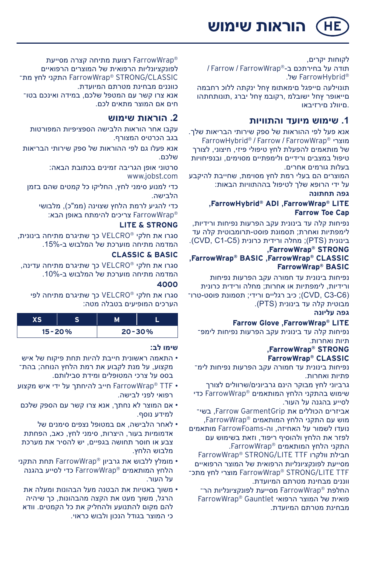**HE הוראות שימוש**

לקוחות יקרים, תודה על בחירתכם ב-RFarrowWrap / Farrow / RFarrowHybrid של.

 תונוילעה םייפגל םימאתומ ץחל ינקתה ללוכ רחבמה םייאופר ץחל ישובלמ ,רקובמ ץחל יברג ,תונותחתהו .םיוולנ םירזיבאו

#### **.1 שימוש מיועד והתוויות**

אנא פעל לפי ההוראות של ספק שירותי הבריאות שלך. FarrowHybrid® / Farrow / FarrowWrap® מוצרי של מותאמים להפעלת לחץ טיפולי פיזי, חיצוני, לצורך טיפול במצבים ורידיים ולימפתיים מסוימים, ובנפיחויות בעלות גורמים אחרים.

המוצרים הם בעלי רמת לחץ מסוימת, שחייבת להיקבע על ידי הרופא שלך לטיפול בההתוויות הבאות: **גפה תחתונה**

#### **,FarrowHybrid® ADI ,FarrowWrap® LITE Farrow Toe Cap**

נפיחות קלה עד בינונית עקב הפרעות נפיחות ורידיות, לימפתיות ואחרת; תסמונת פוסט-תרומבוטית קלה עד בינונית )PTS ;)מחלה ורידית כרונית )5C1-C ,CVD).

#### **,FarrowWrap® STRONG ,FarrowWrap® BASIC ,FarrowWrap® CLASSIC FarrowWrap® BASIC**

נפיחות בינונית עד חמורה עקב הפרעות נפיחות ורידיות, לימפתיות או אחרות; מחלה ורידית כרונית )6C3-C ,CVD ;)כיב רגליים ורידי; תסמונת פוסט-טרו מבוטית קלה עד בינונית )PTS).

#### **גפה עליונה**

#### **Farrow Glove ,FarrowWrap® LITE**

נפיחות קלה עד בינונית עקב הפרעות נפיחות לימפי תיות ואחרות.

#### **,FarrowWrap® STRONG FarrowWrap® CLASSIC**

נפיחות בינונית עד חמורה עקב הפרעות נפיחות לימי פתיות ואחרות.

גרביוני לחץ מבוקר הינם גרביונים/שרוולים לצורך שימוש בהתקני הלחץ המותאמים RFarrowWrap כדי לסייע בהגנה על העור.

אביזרים הכוללים את Farrow GarmentGrip, בשי־ מוש עם התקני הלחץ המותאמים RFarrowWrap, נועדו לשמור על האחיזה, וה-FarrowFoams מותאמים לפזר את הלחץ ולהוסיף ריפוד, וזאת בשימוש עם התקני הלחץ המותאמים RFarrowWrap. FarrowWrap® STRONG/LITE TTF וולקרו חבילת

מסייעת לפונקציונליות הרפואית של המוצר הרפואיים מתכ לחץ מוצרי FarrowWrap® STRONG/LITE TTF ווננים מבחינת מטרתם המיועדת.

החלפת FarrowWrap® מסייעת לפונקציונליות הר־ פואית של המוצר הרפואי Gauntlet® FarrowWrap מבחינת מטרתם המיועדת.

RFarrowWrap רצועת מתיחה קצרה מסייעת לפונקציונליות הרפואית של המוצרים הרפואיים CLASSIC/STRONG® FarrowWrap התקני לחץ מת כווננים מבחינת מטרתם המיועדת. אנא צרו קשר עם המטפל שלכם, במידה ואינכם בטוי חים אם המוצר מתאים לכם.

#### **.2 הוראות שימוש**

עקבו אחר הוראות הלבישה הספציפיות המפורטות בגב הכרטיס המצורף.

אנא פעלו גם לפי ההוראות של ספק שירותי הבריאות שלכם.

> סרטוני אופן הגריבה זמינים בכתובת הבאה: www.jobst.com

כדי למנוע סימני לחץ, החליקו כל קמטים שהם בזמן הלבישה.

כדי להגיע לרמת הלחץ שצוינה (ממ"כ), מלבושי RFarrowWrap צריכים להימתח באופן הבא:

#### **LITE & STRONG**

סגרו את חלקי RVELCRO כך שתיגרם מתיחה בינונית, המדמה מתיחה מוערכת של המלבוש ב.15%-

#### **CLASSIC & BASIC**

סגרו את חלקי RVELCRO כך שתיגרם מתיחה עדינה, המדמה מתיחה מוערכת של המלבוש ב.10%- **4000**

סגרו את חלקי RVELCRO כך שתיגרם מתיחה לפי הערכים המופיעים בטבלה מטה:

| $15 - 20%$ |  | $20 - 30%$ |  |
|------------|--|------------|--|

#### **שימו לב:**

- התאמה ראשונית חייבת להיות תחת פיקוח של איש מקצוע, על מנת לקבוע את רמת הלחץ הנוחה; בהתי בסס על צרכי המטופלים ומידת סבילותם.
- TTF® FarrowWrap חייב להיחתך על ידי איש מקצוע רפואי לפני לבישה.
- אם המוצר לא נחתך, אנא צרו קשר עם הספק שלכם למידע נוסף.
- לאחר הלבישה, אם במטופל נצפים סימנים של אדמומיות בעור, היצרות, סימני לחץ, כאב, הפחתת צבע או חוסר תחושה בגפיים, יש להסיר את מערכת מלבוש הלחץ.
- מומלץ ללבוש את גרביון RFarrowWrap תחת התקני הלחץ המותאמים RFarrowWrap כדי לסייע בהגנה על העור.
- משוך באטיות את הבטנה מעל הבהונות ומעלה את הרגל, משוך מעט את הקצה מהבהונות, כך שיהיה להם מקום להתנועע ולהחליק את כל הקמטים. וודא כי המוצר בגודל הנכון ולבוש כראוי.